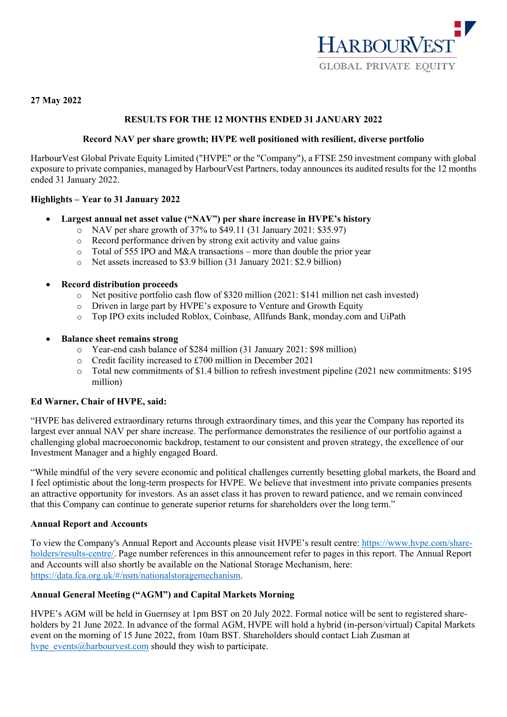

**27 May 2022**

#### **RESULTS FOR THE 12 MONTHS ENDED 31 JANUARY 2022**

#### **Record NAV per share growth; HVPE well positioned with resilient, diverse portfolio**

HarbourVest Global Private Equity Limited ("HVPE" or the "Company"), a FTSE 250 investment company with global exposure to private companies, managed by HarbourVest Partners, today announces its audited results for the 12 months ended 31 January 2022.

#### **Highlights – Year to 31 January 2022**

- **Largest annual net asset value ("NAV") per share increase in HVPE's history** 
	- o NAV per share growth of 37% to \$49.11 (31 January 2021: \$35.97)
	- o Record performance driven by strong exit activity and value gains
	- o Total of 555 IPO and M&A transactions more than double the prior year
	- o Net assets increased to \$3.9 billion (31 January 2021: \$2.9 billion)
- **Record distribution proceeds** 
	- o Net positive portfolio cash flow of \$320 million (2021: \$141 million net cash invested)<br>  $\circ$  Driven in large part by HVPE's exposure to Venture and Growth Equity
	- Driven in large part by HVPE's exposure to Venture and Growth Equity
	- o Top IPO exits included Roblox, Coinbase, Allfunds Bank, monday.com and UiPath
- **Balance sheet remains strong**
	- o Year-end cash balance of \$284 million (31 January 2021: \$98 million)
	- o Credit facility increased to £700 million in December 2021
	- o Total new commitments of \$1.4 billion to refresh investment pipeline (2021 new commitments: \$195 million)

#### **Ed Warner, Chair of HVPE, said:**

"HVPE has delivered extraordinary returns through extraordinary times, and this year the Company has reported its largest ever annual NAV per share increase. The performance demonstrates the resilience of our portfolio against a challenging global macroeconomic backdrop, testament to our consistent and proven strategy, the excellence of our Investment Manager and a highly engaged Board.

"While mindful of the very severe economic and political challenges currently besetting global markets, the Board and I feel optimistic about the long-term prospects for HVPE. We believe that investment into private companies presents an attractive opportunity for investors. As an asset class it has proven to reward patience, and we remain convinced that this Company can continue to generate superior returns for shareholders over the long term."

#### **Annual Report and Accounts**

To view the Company's Annual Report and Accounts please visit HVPE's result centre: [https://www.hvpe.com/share](https://www.hvpe.com/shareholders/results-centre/)[holders/results-centre/.](https://www.hvpe.com/shareholders/results-centre/) Page number references in this announcement refer to pages in this report. The Annual Report and Accounts will also shortly be available on the National Storage Mechanism, here: [https://data.fca.org.uk/#/nsm/nationalstoragemechanism.](https://data.fca.org.uk/#/nsm/nationalstoragemechanism)

## **Annual General Meeting ("AGM") and Capital Markets Morning**

HVPE's AGM will be held in Guernsey at 1pm BST on 20 July 2022. Formal notice will be sent to registered shareholders by 21 June 2022. In advance of the formal AGM, HVPE will hold a hybrid (in-person/virtual) Capital Markets event on the morning of 15 June 2022, from 10am BST. Shareholders should contact Liah Zusman at hvpe  $events@harbourvest.com$  should they wish to participate.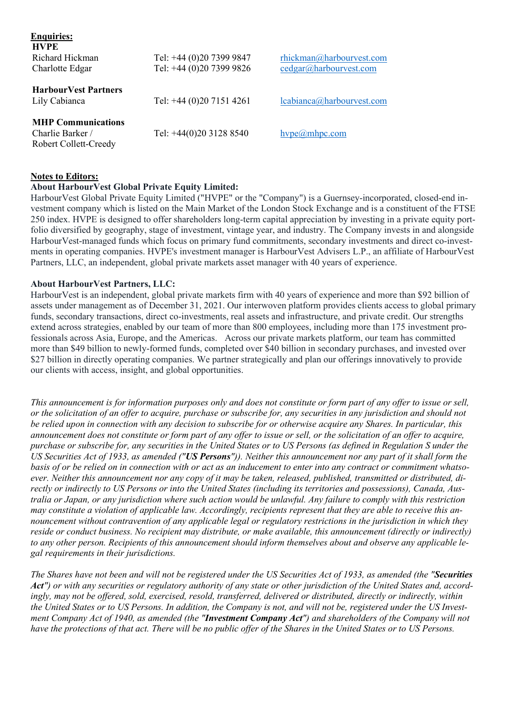| <b>Enquiries:</b>            |                           |                           |
|------------------------------|---------------------------|---------------------------|
| <b>HVPE</b>                  |                           |                           |
| Richard Hickman              | Tel: +44 (0)20 7399 9847  | rhickman@harbourvest.com  |
| Charlotte Edgar              | Tel: +44 (0)20 7399 9826  | cedgar@harbourvest.com    |
| <b>HarbourVest Partners</b>  |                           |                           |
| Lily Cabianca                | Tel: +44 (0)20 7151 4261  | lcabianca@harbourvest.com |
| <b>MHP</b> Communications    |                           |                           |
| Charlie Barker /             | Tel: $+44(0)20$ 3128 8540 | h vpe@m hpc.com           |
| <b>Robert Collett-Creedy</b> |                           |                           |

#### **Notes to Editors:**

#### **About HarbourVest Global Private Equity Limited:**

HarbourVest Global Private Equity Limited ("HVPE" or the "Company") is a Guernsey-incorporated, closed-end investment company which is listed on the Main Market of the London Stock Exchange and is a constituent of the FTSE 250 index. HVPE is designed to offer shareholders long-term capital appreciation by investing in a private equity portfolio diversified by geography, stage of investment, vintage year, and industry. The Company invests in and alongside HarbourVest-managed funds which focus on primary fund commitments, secondary investments and direct co-investments in operating companies. HVPE's investment manager is HarbourVest Advisers L.P., an affiliate of HarbourVest Partners, LLC, an independent, global private markets asset manager with 40 years of experience.

#### **About HarbourVest Partners, LLC:**

HarbourVest is an independent, global private markets firm with 40 years of experience and more than \$92 billion of assets under management as of December 31, 2021. Our interwoven platform provides clients access to global primary funds, secondary transactions, direct co-investments, real assets and infrastructure, and private credit. Our strengths extend across strategies, enabled by our team of more than 800 employees, including more than 175 investment professionals across Asia, Europe, and the Americas. Across our private markets platform, our team has committed more than \$49 billion to newly-formed funds, completed over \$40 billion in secondary purchases, and invested over \$27 billion in directly operating companies. We partner strategically and plan our offerings innovatively to provide our clients with access, insight, and global opportunities.

*This announcement is for information purposes only and does not constitute or form part of any offer to issue or sell, or the solicitation of an offer to acquire, purchase or subscribe for, any securities in any jurisdiction and should not be relied upon in connection with any decision to subscribe for or otherwise acquire any Shares. In particular, this announcement does not constitute or form part of any offer to issue or sell, or the solicitation of an offer to acquire, purchase or subscribe for, any securities in the United States or to US Persons (as defined in Regulation S under the US Securities Act of 1933, as amended ("US Persons")). Neither this announcement nor any part of it shall form the basis of or be relied on in connection with or act as an inducement to enter into any contract or commitment whatsoever. Neither this announcement nor any copy of it may be taken, released, published, transmitted or distributed, directly or indirectly to US Persons or into the United States (including its territories and possessions), Canada, Australia or Japan, or any jurisdiction where such action would be unlawful. Any failure to comply with this restriction may constitute a violation of applicable law. Accordingly, recipients represent that they are able to receive this announcement without contravention of any applicable legal or regulatory restrictions in the jurisdiction in which they reside or conduct business. No recipient may distribute, or make available, this announcement (directly or indirectly) to any other person. Recipients of this announcement should inform themselves about and observe any applicable legal requirements in their jurisdictions.*

*The Shares have not been and will not be registered under the US Securities Act of 1933, as amended (the "Securities Act") or with any securities or regulatory authority of any state or other jurisdiction of the United States and, accordingly, may not be offered, sold, exercised, resold, transferred, delivered or distributed, directly or indirectly, within the United States or to US Persons. In addition, the Company is not, and will not be, registered under the US Investment Company Act of 1940, as amended (the "Investment Company Act") and shareholders of the Company will not have the protections of that act. There will be no public offer of the Shares in the United States or to US Persons.*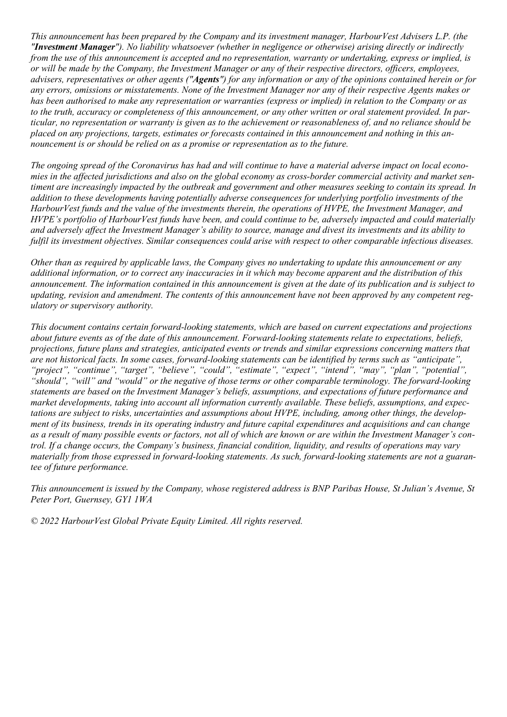*This announcement has been prepared by the Company and its investment manager, HarbourVest Advisers L.P. (the "Investment Manager"). No liability whatsoever (whether in negligence or otherwise) arising directly or indirectly from the use of this announcement is accepted and no representation, warranty or undertaking, express or implied, is or will be made by the Company, the Investment Manager or any of their respective directors, officers, employees, advisers, representatives or other agents ("Agents") for any information or any of the opinions contained herein or for any errors, omissions or misstatements. None of the Investment Manager nor any of their respective Agents makes or has been authorised to make any representation or warranties (express or implied) in relation to the Company or as to the truth, accuracy or completeness of this announcement, or any other written or oral statement provided. In particular, no representation or warranty is given as to the achievement or reasonableness of, and no reliance should be placed on any projections, targets, estimates or forecasts contained in this announcement and nothing in this announcement is or should be relied on as a promise or representation as to the future.*

*The ongoing spread of the Coronavirus has had and will continue to have a material adverse impact on local economies in the affected jurisdictions and also on the global economy as cross-border commercial activity and market sentiment are increasingly impacted by the outbreak and government and other measures seeking to contain its spread. In addition to these developments having potentially adverse consequences for underlying portfolio investments of the HarbourVest funds and the value of the investments therein, the operations of HVPE, the Investment Manager, and HVPE's portfolio of HarbourVest funds have been, and could continue to be, adversely impacted and could materially and adversely affect the Investment Manager's ability to source, manage and divest its investments and its ability to fulfil its investment objectives. Similar consequences could arise with respect to other comparable infectious diseases.*

*Other than as required by applicable laws, the Company gives no undertaking to update this announcement or any additional information, or to correct any inaccuracies in it which may become apparent and the distribution of this announcement. The information contained in this announcement is given at the date of its publication and is subject to updating, revision and amendment. The contents of this announcement have not been approved by any competent regulatory or supervisory authority.*

*This document contains certain forward-looking statements, which are based on current expectations and projections about future events as of the date of this announcement. Forward-looking statements relate to expectations, beliefs, projections, future plans and strategies, anticipated events or trends and similar expressions concerning matters that are not historical facts. In some cases, forward-looking statements can be identified by terms such as "anticipate", "project", "continue", "target", "believe", "could", "estimate", "expect", "intend", "may", "plan", "potential", "should", "will" and "would" or the negative of those terms or other comparable terminology. The forward-looking statements are based on the Investment Manager's beliefs, assumptions, and expectations of future performance and market developments, taking into account all information currently available. These beliefs, assumptions, and expectations are subject to risks, uncertainties and assumptions about HVPE, including, among other things, the development of its business, trends in its operating industry and future capital expenditures and acquisitions and can change as a result of many possible events or factors, not all of which are known or are within the Investment Manager's control. If a change occurs, the Company's business, financial condition, liquidity, and results of operations may vary materially from those expressed in forward-looking statements. As such, forward-looking statements are not a guarantee of future performance.*

*This announcement is issued by the Company, whose registered address is BNP Paribas House, St Julian's Avenue, St Peter Port, Guernsey, GY1 1WA*

*© 2022 HarbourVest Global Private Equity Limited. All rights reserved.*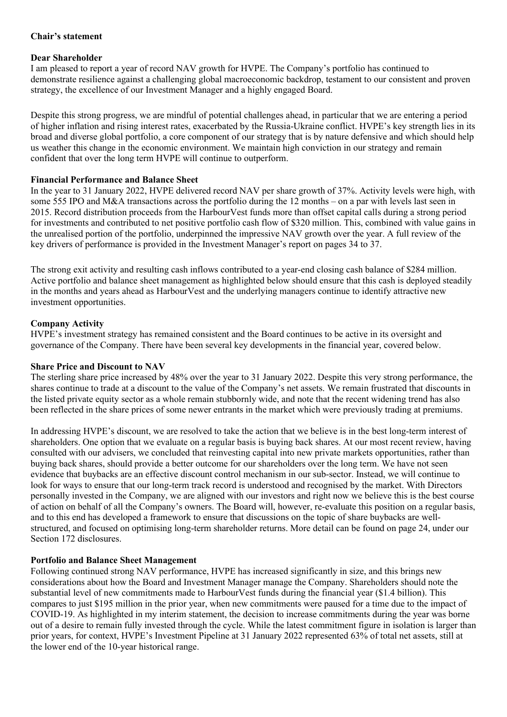## **Chair's statement**

## **Dear Shareholder**

I am pleased to report a year of record NAV growth for HVPE. The Company's portfolio has continued to demonstrate resilience against a challenging global macroeconomic backdrop, testament to our consistent and proven strategy, the excellence of our Investment Manager and a highly engaged Board.

Despite this strong progress, we are mindful of potential challenges ahead, in particular that we are entering a period of higher inflation and rising interest rates, exacerbated by the Russia-Ukraine conflict. HVPE's key strength lies in its broad and diverse global portfolio, a core component of our strategy that is by nature defensive and which should help us weather this change in the economic environment. We maintain high conviction in our strategy and remain confident that over the long term HVPE will continue to outperform.

#### **Financial Performance and Balance Sheet**

In the year to 31 January 2022, HVPE delivered record NAV per share growth of 37%. Activity levels were high, with some 555 IPO and M&A transactions across the portfolio during the 12 months – on a par with levels last seen in 2015. Record distribution proceeds from the HarbourVest funds more than offset capital calls during a strong period for investments and contributed to net positive portfolio cash flow of \$320 million. This, combined with value gains in the unrealised portion of the portfolio, underpinned the impressive NAV growth over the year. A full review of the key drivers of performance is provided in the Investment Manager's report on pages 34 to 37.

The strong exit activity and resulting cash inflows contributed to a year-end closing cash balance of \$284 million. Active portfolio and balance sheet management as highlighted below should ensure that this cash is deployed steadily in the months and years ahead as HarbourVest and the underlying managers continue to identify attractive new investment opportunities.

## **Company Activity**

HVPE's investment strategy has remained consistent and the Board continues to be active in its oversight and governance of the Company. There have been several key developments in the financial year, covered below.

#### **Share Price and Discount to NAV**

The sterling share price increased by 48% over the year to 31 January 2022. Despite this very strong performance, the shares continue to trade at a discount to the value of the Company's net assets. We remain frustrated that discounts in the listed private equity sector as a whole remain stubbornly wide, and note that the recent widening trend has also been reflected in the share prices of some newer entrants in the market which were previously trading at premiums.

In addressing HVPE's discount, we are resolved to take the action that we believe is in the best long-term interest of shareholders. One option that we evaluate on a regular basis is buying back shares. At our most recent review, having consulted with our advisers, we concluded that reinvesting capital into new private markets opportunities, rather than buying back shares, should provide a better outcome for our shareholders over the long term. We have not seen evidence that buybacks are an effective discount control mechanism in our sub-sector. Instead, we will continue to look for ways to ensure that our long-term track record is understood and recognised by the market. With Directors personally invested in the Company, we are aligned with our investors and right now we believe this is the best course of action on behalf of all the Company's owners. The Board will, however, re-evaluate this position on a regular basis, and to this end has developed a framework to ensure that discussions on the topic of share buybacks are wellstructured, and focused on optimising long-term shareholder returns. More detail can be found on page 24, under our Section 172 disclosures.

## **Portfolio and Balance Sheet Management**

Following continued strong NAV performance, HVPE has increased significantly in size, and this brings new considerations about how the Board and Investment Manager manage the Company. Shareholders should note the substantial level of new commitments made to HarbourVest funds during the financial year (\$1.4 billion). This compares to just \$195 million in the prior year, when new commitments were paused for a time due to the impact of COVID-19. As highlighted in my interim statement, the decision to increase commitments during the year was borne out of a desire to remain fully invested through the cycle. While the latest commitment figure in isolation is larger than prior years, for context, HVPE's Investment Pipeline at 31 January 2022 represented 63% of total net assets, still at the lower end of the 10-year historical range.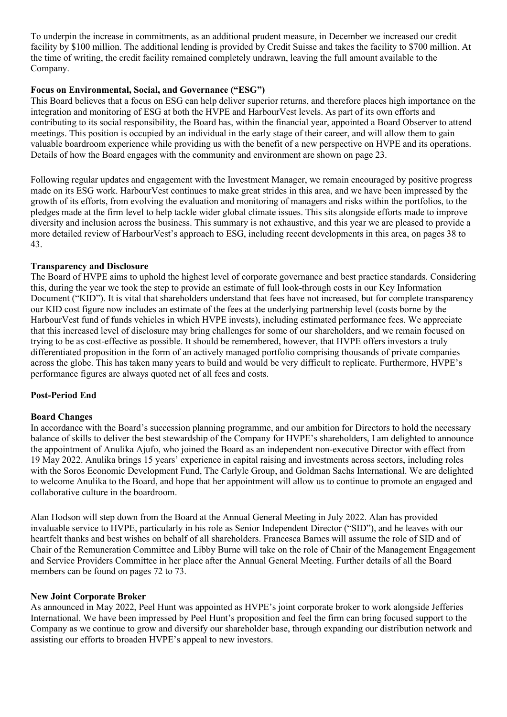To underpin the increase in commitments, as an additional prudent measure, in December we increased our credit facility by \$100 million. The additional lending is provided by Credit Suisse and takes the facility to \$700 million. At the time of writing, the credit facility remained completely undrawn, leaving the full amount available to the Company.

## **Focus on Environmental, Social, and Governance ("ESG")**

This Board believes that a focus on ESG can help deliver superior returns, and therefore places high importance on the integration and monitoring of ESG at both the HVPE and HarbourVest levels. As part of its own efforts and contributing to its social responsibility, the Board has, within the financial year, appointed a Board Observer to attend meetings. This position is occupied by an individual in the early stage of their career, and will allow them to gain valuable boardroom experience while providing us with the benefit of a new perspective on HVPE and its operations. Details of how the Board engages with the community and environment are shown on page 23.

Following regular updates and engagement with the Investment Manager, we remain encouraged by positive progress made on its ESG work. HarbourVest continues to make great strides in this area, and we have been impressed by the growth of its efforts, from evolving the evaluation and monitoring of managers and risks within the portfolios, to the pledges made at the firm level to help tackle wider global climate issues. This sits alongside efforts made to improve diversity and inclusion across the business. This summary is not exhaustive, and this year we are pleased to provide a more detailed review of HarbourVest's approach to ESG, including recent developments in this area, on pages 38 to 43.

## **Transparency and Disclosure**

The Board of HVPE aims to uphold the highest level of corporate governance and best practice standards. Considering this, during the year we took the step to provide an estimate of full look-through costs in our Key Information Document ("KID"). It is vital that shareholders understand that fees have not increased, but for complete transparency our KID cost figure now includes an estimate of the fees at the underlying partnership level (costs borne by the HarbourVest fund of funds vehicles in which HVPE invests), including estimated performance fees. We appreciate that this increased level of disclosure may bring challenges for some of our shareholders, and we remain focused on trying to be as cost-effective as possible. It should be remembered, however, that HVPE offers investors a truly differentiated proposition in the form of an actively managed portfolio comprising thousands of private companies across the globe. This has taken many years to build and would be very difficult to replicate. Furthermore, HVPE's performance figures are always quoted net of all fees and costs.

#### **Post-Period End**

#### **Board Changes**

In accordance with the Board's succession planning programme, and our ambition for Directors to hold the necessary balance of skills to deliver the best stewardship of the Company for HVPE's shareholders, I am delighted to announce the appointment of Anulika Ajufo, who joined the Board as an independent non-executive Director with effect from 19 May 2022. Anulika brings 15 years' experience in capital raising and investments across sectors, including roles with the Soros Economic Development Fund, The Carlyle Group, and Goldman Sachs International. We are delighted to welcome Anulika to the Board, and hope that her appointment will allow us to continue to promote an engaged and collaborative culture in the boardroom.

Alan Hodson will step down from the Board at the Annual General Meeting in July 2022. Alan has provided invaluable service to HVPE, particularly in his role as Senior Independent Director ("SID"), and he leaves with our heartfelt thanks and best wishes on behalf of all shareholders. Francesca Barnes will assume the role of SID and of Chair of the Remuneration Committee and Libby Burne will take on the role of Chair of the Management Engagement and Service Providers Committee in her place after the Annual General Meeting. Further details of all the Board members can be found on pages 72 to 73.

#### **New Joint Corporate Broker**

As announced in May 2022, Peel Hunt was appointed as HVPE's joint corporate broker to work alongside Jefferies International. We have been impressed by Peel Hunt's proposition and feel the firm can bring focused support to the Company as we continue to grow and diversify our shareholder base, through expanding our distribution network and assisting our efforts to broaden HVPE's appeal to new investors.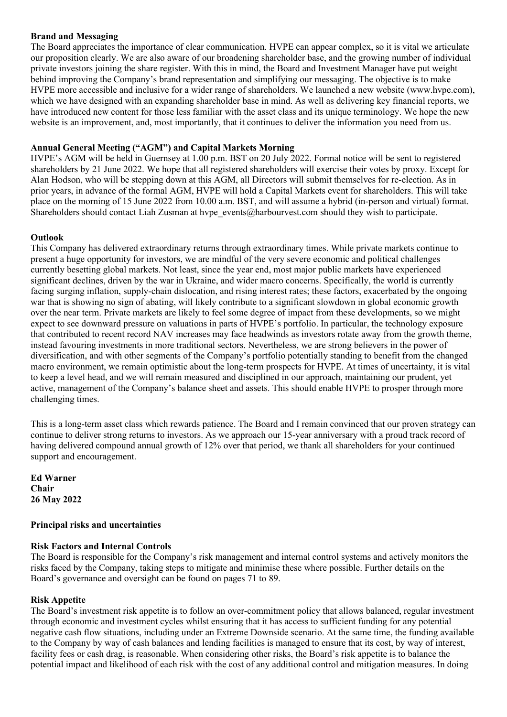## **Brand and Messaging**

The Board appreciates the importance of clear communication. HVPE can appear complex, so it is vital we articulate our proposition clearly. We are also aware of our broadening shareholder base, and the growing number of individual private investors joining the share register. With this in mind, the Board and Investment Manager have put weight behind improving the Company's brand representation and simplifying our messaging. The objective is to make HVPE more accessible and inclusive for a wider range of shareholders. We launched a new website (www.hvpe.com), which we have designed with an expanding shareholder base in mind. As well as delivering key financial reports, we have introduced new content for those less familiar with the asset class and its unique terminology. We hope the new website is an improvement, and, most importantly, that it continues to deliver the information you need from us.

## **Annual General Meeting ("AGM") and Capital Markets Morning**

HVPE's AGM will be held in Guernsey at 1.00 p.m. BST on 20 July 2022. Formal notice will be sent to registered shareholders by 21 June 2022. We hope that all registered shareholders will exercise their votes by proxy. Except for Alan Hodson, who will be stepping down at this AGM, all Directors will submit themselves for re-election. As in prior years, in advance of the formal AGM, HVPE will hold a Capital Markets event for shareholders. This will take place on the morning of 15 June 2022 from 10.00 a.m. BST, and will assume a hybrid (in-person and virtual) format. Shareholders should contact Liah Zusman at hvpe\_events@harbourvest.com should they wish to participate.

## **Outlook**

This Company has delivered extraordinary returns through extraordinary times. While private markets continue to present a huge opportunity for investors, we are mindful of the very severe economic and political challenges currently besetting global markets. Not least, since the year end, most major public markets have experienced significant declines, driven by the war in Ukraine, and wider macro concerns. Specifically, the world is currently facing surging inflation, supply-chain dislocation, and rising interest rates; these factors, exacerbated by the ongoing war that is showing no sign of abating, will likely contribute to a significant slowdown in global economic growth over the near term. Private markets are likely to feel some degree of impact from these developments, so we might expect to see downward pressure on valuations in parts of HVPE's portfolio. In particular, the technology exposure that contributed to recent record NAV increases may face headwinds as investors rotate away from the growth theme, instead favouring investments in more traditional sectors. Nevertheless, we are strong believers in the power of diversification, and with other segments of the Company's portfolio potentially standing to benefit from the changed macro environment, we remain optimistic about the long-term prospects for HVPE. At times of uncertainty, it is vital to keep a level head, and we will remain measured and disciplined in our approach, maintaining our prudent, yet active, management of the Company's balance sheet and assets. This should enable HVPE to prosper through more challenging times.

This is a long-term asset class which rewards patience. The Board and I remain convinced that our proven strategy can continue to deliver strong returns to investors. As we approach our 15-year anniversary with a proud track record of having delivered compound annual growth of 12% over that period, we thank all shareholders for your continued support and encouragement.

**Ed Warner Chair 26 May 2022**

#### **Principal risks and uncertainties**

#### **Risk Factors and Internal Controls**

The Board is responsible for the Company's risk management and internal control systems and actively monitors the risks faced by the Company, taking steps to mitigate and minimise these where possible. Further details on the Board's governance and oversight can be found on pages 71 to 89.

#### **Risk Appetite**

The Board's investment risk appetite is to follow an over-commitment policy that allows balanced, regular investment through economic and investment cycles whilst ensuring that it has access to sufficient funding for any potential negative cash flow situations, including under an Extreme Downside scenario. At the same time, the funding available to the Company by way of cash balances and lending facilities is managed to ensure that its cost, by way of interest, facility fees or cash drag, is reasonable. When considering other risks, the Board's risk appetite is to balance the potential impact and likelihood of each risk with the cost of any additional control and mitigation measures. In doing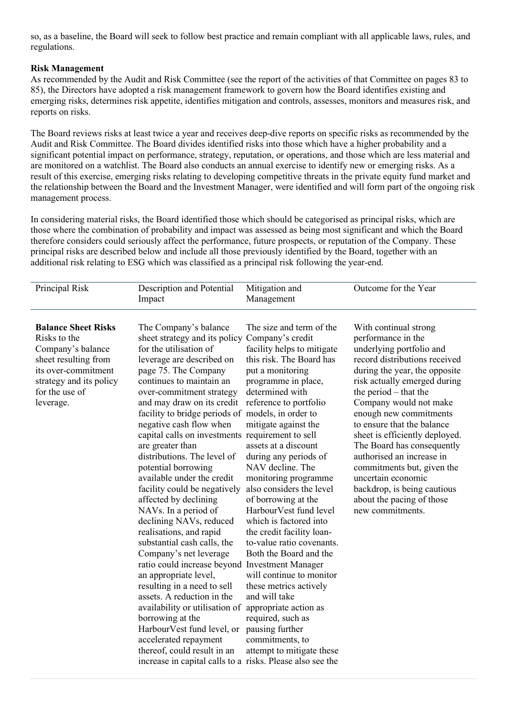so, as a baseline, the Board will seek to follow best practice and remain compliant with all applicable laws, rules, and regulations.

#### **Risk Management**

As recommended by the Audit and Risk Committee (see the report of the activities of that Committee on pages 83 to 85), the Directors have adopted a risk management framework to govern how the Board identifies existing and emerging risks, determines risk appetite, identifies mitigation and controls, assesses, monitors and measures risk, and reports on risks.

The Board reviews risks at least twice a year and receives deep-dive reports on specific risks as recommended by the Audit and Risk Committee. The Board divides identified risks into those which have a higher probability and a significant potential impact on performance, strategy, reputation, or operations, and those which are less material and are monitored on a watchlist. The Board also conducts an annual exercise to identify new or emerging risks. As a result of this exercise, emerging risks relating to developing competitive threats in the private equity fund market and the relationship between the Board and the Investment Manager, were identified and will form part of the ongoing risk management process.

In considering material risks, the Board identified those which should be categorised as principal risks, which are those where the combination of probability and impact was assessed as being most significant and which the Board therefore considers could seriously affect the performance, future prospects, or reputation of the Company. These principal risks are described below and include all those previously identified by the Board, together with an additional risk relating to ESG which was classified as a principal risk following the year-end.

| Principal Risk                                                                                                                                                           | Description and Potential<br>Impact                                                                                                                                                                                                                                                                                                                                                                                                                                                                                                                                                                                                                                                                                                                                                                                                                                                                                                                                 | Mitigation and<br>Management                                                                                                                                                                                                                                                                                                                                                                                                                                                                                                                                                                                                 | Outcome for the Year                                                                                                                                                                                                                                                                                                                                                                                                                                                                                                    |
|--------------------------------------------------------------------------------------------------------------------------------------------------------------------------|---------------------------------------------------------------------------------------------------------------------------------------------------------------------------------------------------------------------------------------------------------------------------------------------------------------------------------------------------------------------------------------------------------------------------------------------------------------------------------------------------------------------------------------------------------------------------------------------------------------------------------------------------------------------------------------------------------------------------------------------------------------------------------------------------------------------------------------------------------------------------------------------------------------------------------------------------------------------|------------------------------------------------------------------------------------------------------------------------------------------------------------------------------------------------------------------------------------------------------------------------------------------------------------------------------------------------------------------------------------------------------------------------------------------------------------------------------------------------------------------------------------------------------------------------------------------------------------------------------|-------------------------------------------------------------------------------------------------------------------------------------------------------------------------------------------------------------------------------------------------------------------------------------------------------------------------------------------------------------------------------------------------------------------------------------------------------------------------------------------------------------------------|
| <b>Balance Sheet Risks</b><br>Risks to the<br>Company's balance<br>sheet resulting from<br>its over-commitment<br>strategy and its policy<br>for the use of<br>leverage. | The Company's balance<br>sheet strategy and its policy Company's credit<br>for the utilisation of<br>leverage are described on<br>page 75. The Company<br>continues to maintain an<br>over-commitment strategy<br>and may draw on its credit<br>facility to bridge periods of models, in order to<br>negative cash flow when<br>capital calls on investments requirement to sell<br>are greater than<br>distributions. The level of<br>potential borrowing<br>available under the credit<br>facility could be negatively<br>affected by declining<br>NAVs. In a period of<br>declining NAVs, reduced<br>realisations, and rapid<br>substantial cash calls, the<br>Company's net leverage<br>ratio could increase beyond Investment Manager<br>an appropriate level,<br>resulting in a need to sell<br>assets. A reduction in the<br>availability or utilisation of appropriate action as<br>borrowing at the<br>HarbourVest fund level, or<br>accelerated repayment | The size and term of the<br>facility helps to mitigate<br>this risk. The Board has<br>put a monitoring<br>programme in place,<br>determined with<br>reference to portfolio<br>mitigate against the<br>assets at a discount<br>during any periods of<br>NAV decline. The<br>monitoring programme<br>also considers the level<br>of borrowing at the<br>HarbourVest fund level<br>which is factored into<br>the credit facility loan-<br>to-value ratio covenants.<br>Both the Board and the<br>will continue to monitor<br>these metrics actively<br>and will take<br>required, such as<br>pausing further<br>commitments, to | With continual strong<br>performance in the<br>underlying portfolio and<br>record distributions received<br>during the year, the opposite<br>risk actually emerged during<br>the period $-$ that the<br>Company would not make<br>enough new commitments<br>to ensure that the balance<br>sheet is efficiently deployed.<br>The Board has consequently<br>authorised an increase in<br>commitments but, given the<br>uncertain economic<br>backdrop, is being cautious<br>about the pacing of those<br>new commitments. |
|                                                                                                                                                                          | thereof, could result in an<br>increase in capital calls to a risks. Please also see the                                                                                                                                                                                                                                                                                                                                                                                                                                                                                                                                                                                                                                                                                                                                                                                                                                                                            | attempt to mitigate these                                                                                                                                                                                                                                                                                                                                                                                                                                                                                                                                                                                                    |                                                                                                                                                                                                                                                                                                                                                                                                                                                                                                                         |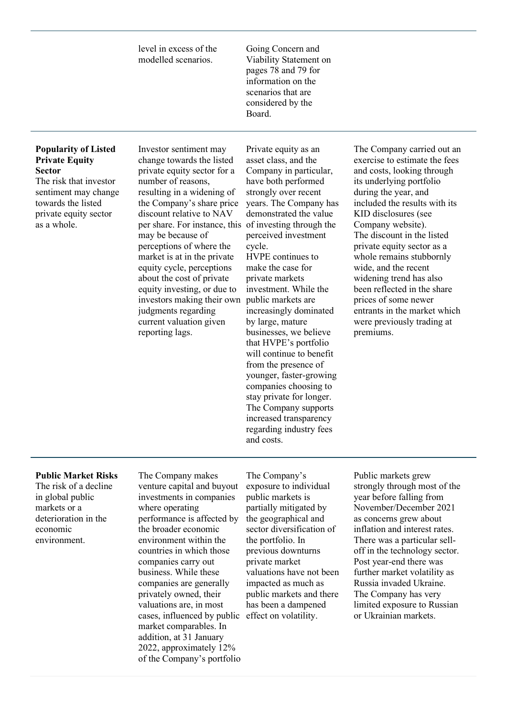level in excess of the modelled scenarios.

Going Concern and Viability Statement on pages 78 and 79 for information on the scenarios that are considered by the Board.

#### **Popularity of Listed Private Equity Sector**

The risk that investor sentiment may change towards the listed private equity sector as a whole.

Investor sentiment may change towards the listed private equity sector for a number of reasons, resulting in a widening of the Company's share price discount relative to NAV per share. For instance, this of investing through the may be because of perceptions of where the market is at in the private equity cycle, perceptions about the cost of private equity investing, or due to investors making their own public markets are judgments regarding current valuation given reporting lags.

Private equity as an asset class, and the Company in particular, have both performed strongly over recent years. The Company has demonstrated the value perceived investment cycle. HVPE continues to make the case for private markets investment. While the increasingly dominated by large, mature businesses, we believe that HVPE's portfolio will continue to benefit from the presence of younger, faster-growing companies choosing to stay private for longer. The Company supports increased transparency regarding industry fees and costs.

The Company carried out an exercise to estimate the fees and costs, looking through its underlying portfolio during the year, and included the results with its KID disclosures (see Company website). The discount in the listed private equity sector as a whole remains stubbornly wide, and the recent widening trend has also been reflected in the share prices of some newer entrants in the market which were previously trading at premiums.

#### **Public Market Risks**

The risk of a decline in global public markets or a deterioration in the economic environment.

The Company makes venture capital and buyout investments in companies where operating performance is affected by the broader economic environment within the countries in which those companies carry out business. While these companies are generally privately owned, their valuations are, in most cases, influenced by public effect on volatility. market comparables. In addition, at 31 January 2022, approximately 12% of the Company's portfolio

The Company's exposure to individual public markets is partially mitigated by the geographical and sector diversification of the portfolio. In previous downturns private market valuations have not been impacted as much as public markets and there has been a dampened

Public markets grew strongly through most of the year before falling from November/December 2021 as concerns grew about inflation and interest rates. There was a particular selloff in the technology sector. Post year-end there was further market volatility as Russia invaded Ukraine. The Company has very limited exposure to Russian or Ukrainian markets.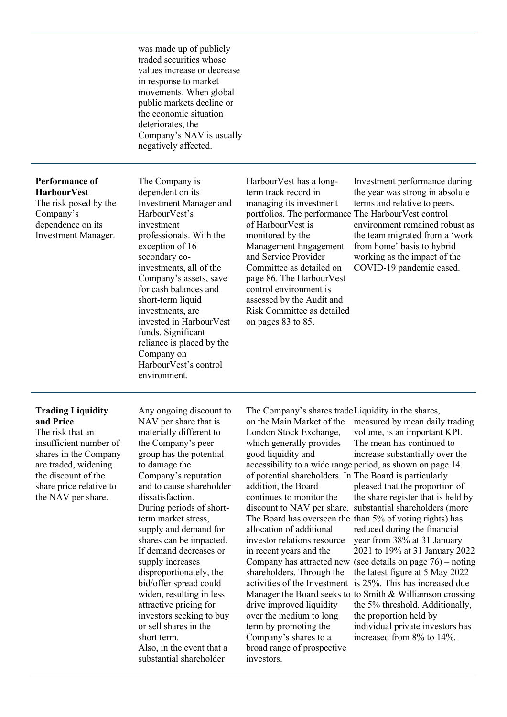was made up of publicly traded securities whose values increase or decrease in response to market movements. When global public markets decline or the economic situation deteriorates, the Company's NAV is usually negatively affected.

# **Performance of**

**HarbourVest** The risk posed by the Company's dependence on its Investment Manager.

The Company is dependent on its Investment Manager and HarbourVest's investment professionals. With the exception of 16 secondary coinvestments, all of the Company's assets, save for cash balances and short-term liquid investments, are invested in HarbourVest funds. Significant reliance is placed by the Company on HarbourVest's control environment.

HarbourVest has a longterm track record in managing its investment portfolios. The performance The HarbourVest control of HarbourVest is monitored by the Management Engagement and Service Provider Committee as detailed on page 86. The HarbourVest control environment is assessed by the Audit and Risk Committee as detailed on pages 83 to 85.

Investment performance during the year was strong in absolute terms and relative to peers. environment remained robust as the team migrated from a 'work from home' basis to hybrid working as the impact of the COVID-19 pandemic eased.

## **Trading Liquidity and Price**

The risk that an insufficient number of shares in the Company are traded, widening the discount of the share price relative to the NAV per share.

Any ongoing discount to NAV per share that is materially different to the Company's peer group has the potential to damage the Company's reputation and to cause shareholder dissatisfaction. During periods of shortterm market stress, supply and demand for shares can be impacted. If demand decreases or supply increases disproportionately, the bid/offer spread could widen, resulting in less attractive pricing for investors seeking to buy or sell shares in the short term. Also, in the event that a substantial shareholder

on the Main Market of the London Stock Exchange, which generally provides good liquidity and of potential shareholders. In The Board is particularly addition, the Board continues to monitor the allocation of additional investor relations resource in recent years and the shareholders. Through the drive improved liquidity over the medium to long term by promoting the Company's shares to a broad range of prospective investors.

The Company's shares trade Liquidity in the shares, accessibility to a wide range period, as shown on page 14. discount to NAV per share. substantial shareholders (more The Board has overseen the than 5% of voting rights) has Company has attracted new (see details on page 76) – noting activities of the Investment is 25%. This has increased due Manager the Board seeks to to Smith & Williamson crossing measured by mean daily trading volume, is an important KPI. The mean has continued to increase substantially over the pleased that the proportion of the share register that is held by reduced during the financial year from 38% at 31 January 2021 to 19% at 31 January 2022 the latest figure at 5 May 2022 the 5% threshold. Additionally, the proportion held by individual private investors has increased from 8% to 14%.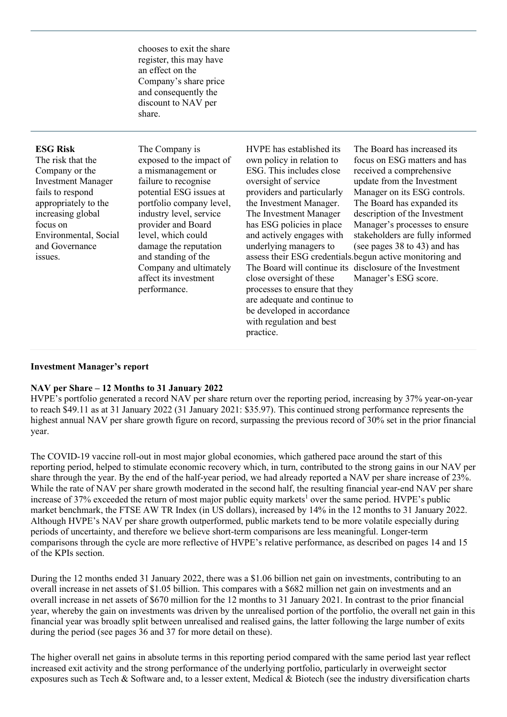chooses to exit the share register, this may have an effect on the Company's share price and consequently the discount to NAV per share.

#### **ESG Risk**

The risk that the Company or the Investment Manager fails to respond appropriately to the increasing global focus on Environmental, Social and Governance issues.

The Company is exposed to the impact of a mismanagement or failure to recognise potential ESG issues at portfolio company level, industry level, service provider and Board level, which could damage the reputation and standing of the Company and ultimately affect its investment performance.

HVPE has established its own policy in relation to ESG. This includes close oversight of service providers and particularly the Investment Manager. The Investment Manager has ESG policies in place and actively engages with underlying managers to close oversight of these processes to ensure that they are adequate and continue to be developed in accordance with regulation and best practice.

assess their ESG credentials. begun active monitoring and The Board will continue its disclosure of the Investment The Board has increased its focus on ESG matters and has received a comprehensive update from the Investment Manager on its ESG controls. The Board has expanded its description of the Investment Manager's processes to ensure stakeholders are fully informed (see pages 38 to 43) and has Manager's ESG score.

#### **Investment Manager's report**

#### **NAV per Share – 12 Months to 31 January 2022**

HVPE's portfolio generated a record NAV per share return over the reporting period, increasing by 37% year-on-year to reach \$49.11 as at 31 January 2022 (31 January 2021: \$35.97). This continued strong performance represents the highest annual NAV per share growth figure on record, surpassing the previous record of 30% set in the prior financial year.

The COVID-19 vaccine roll-out in most major global economies, which gathered pace around the start of this reporting period, helped to stimulate economic recovery which, in turn, contributed to the strong gains in our NAV per share through the year. By the end of the half-year period, we had already reported a NAV per share increase of 23%. While the rate of NAV per share growth moderated in the second half, the resulting financial year-end NAV per share increase of 37% exceeded the return of most major public equity markets<sup>1</sup> over the same period. HVPE's public market benchmark, the FTSE AW TR Index (in US dollars), increased by 14% in the 12 months to 31 January 2022. Although HVPE's NAV per share growth outperformed, public markets tend to be more volatile especially during periods of uncertainty, and therefore we believe short-term comparisons are less meaningful. Longer-term comparisons through the cycle are more reflective of HVPE's relative performance, as described on pages 14 and 15 of the KPIs section.

During the 12 months ended 31 January 2022, there was a \$1.06 billion net gain on investments, contributing to an overall increase in net assets of \$1.05 billion. This compares with a \$682 million net gain on investments and an overall increase in net assets of \$670 million for the 12 months to 31 January 2021. In contrast to the prior financial year, whereby the gain on investments was driven by the unrealised portion of the portfolio, the overall net gain in this financial year was broadly split between unrealised and realised gains, the latter following the large number of exits during the period (see pages 36 and 37 for more detail on these).

The higher overall net gains in absolute terms in this reporting period compared with the same period last year reflect increased exit activity and the strong performance of the underlying portfolio, particularly in overweight sector exposures such as Tech & Software and, to a lesser extent, Medical & Biotech (see the industry diversification charts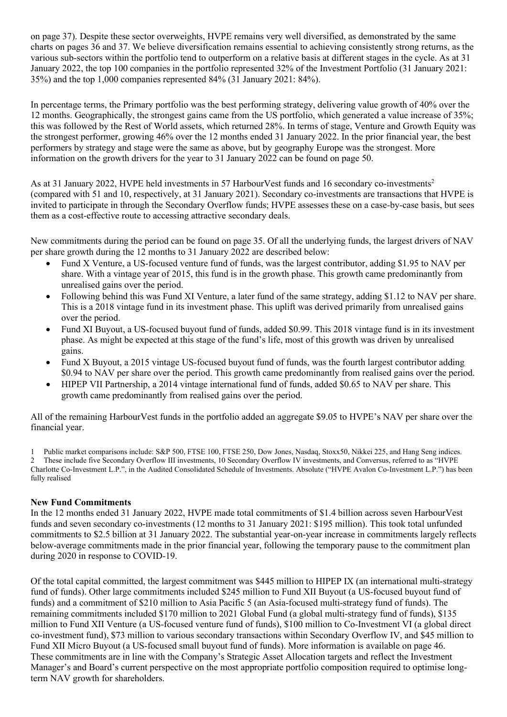on page 37). Despite these sector overweights, HVPE remains very well diversified, as demonstrated by the same charts on pages 36 and 37. We believe diversification remains essential to achieving consistently strong returns, as the various sub-sectors within the portfolio tend to outperform on a relative basis at different stages in the cycle. As at 31 January 2022, the top 100 companies in the portfolio represented 32% of the Investment Portfolio (31 January 2021: 35%) and the top 1,000 companies represented 84% (31 January 2021: 84%).

In percentage terms, the Primary portfolio was the best performing strategy, delivering value growth of 40% over the 12 months. Geographically, the strongest gains came from the US portfolio, which generated a value increase of 35%; this was followed by the Rest of World assets, which returned 28%. In terms of stage, Venture and Growth Equity was the strongest performer, growing 46% over the 12 months ended 31 January 2022. In the prior financial year, the best performers by strategy and stage were the same as above, but by geography Europe was the strongest. More information on the growth drivers for the year to 31 January 2022 can be found on page 50.

As at 31 January 2022, HVPE held investments in 57 HarbourVest funds and 16 secondary co-investments<sup>2</sup> (compared with 51 and 10, respectively, at 31 January 2021). Secondary co-investments are transactions that HVPE is invited to participate in through the Secondary Overflow funds; HVPE assesses these on a case-by-case basis, but sees them as a cost-effective route to accessing attractive secondary deals.

New commitments during the period can be found on page 35. Of all the underlying funds, the largest drivers of NAV per share growth during the 12 months to 31 January 2022 are described below:

- Fund X Venture, a US-focused venture fund of funds, was the largest contributor, adding \$1.95 to NAV per share. With a vintage year of 2015, this fund is in the growth phase. This growth came predominantly from unrealised gains over the period.
- Following behind this was Fund XI Venture, a later fund of the same strategy, adding \$1.12 to NAV per share. This is a 2018 vintage fund in its investment phase. This uplift was derived primarily from unrealised gains over the period.
- Fund XI Buyout, a US-focused buyout fund of funds, added \$0.99. This 2018 vintage fund is in its investment phase. As might be expected at this stage of the fund's life, most of this growth was driven by unrealised gains.
- Fund X Buyout, a 2015 vintage US-focused buyout fund of funds, was the fourth largest contributor adding \$0.94 to NAV per share over the period. This growth came predominantly from realised gains over the period.
- HIPEP VII Partnership, a 2014 vintage international fund of funds, added \$0.65 to NAV per share. This growth came predominantly from realised gains over the period.

All of the remaining HarbourVest funds in the portfolio added an aggregate \$9.05 to HVPE's NAV per share over the financial year.

1 Public market comparisons include: S&P 500, FTSE 100, FTSE 250, Dow Jones, Nasdaq, Stoxx50, Nikkei 225, and Hang Seng indices.

2 These include five Secondary Overflow III investments, 10 Secondary Overflow IV investments, and Conversus, referred to as "HVPE Charlotte Co-Investment L.P.", in the Audited Consolidated Schedule of Investments. Absolute ("HVPE Avalon Co-Investment L.P.") has been fully realised

## **New Fund Commitments**

In the 12 months ended 31 January 2022, HVPE made total commitments of \$1.4 billion across seven HarbourVest funds and seven secondary co-investments (12 months to 31 January 2021: \$195 million). This took total unfunded commitments to \$2.5 billion at 31 January 2022. The substantial year-on-year increase in commitments largely reflects below-average commitments made in the prior financial year, following the temporary pause to the commitment plan during 2020 in response to COVID-19.

Of the total capital committed, the largest commitment was \$445 million to HIPEP IX (an international multi-strategy fund of funds). Other large commitments included \$245 million to Fund XII Buyout (a US-focused buyout fund of funds) and a commitment of \$210 million to Asia Pacific 5 (an Asia-focused multi-strategy fund of funds). The remaining commitments included \$170 million to 2021 Global Fund (a global multi-strategy fund of funds), \$135 million to Fund XII Venture (a US-focused venture fund of funds), \$100 million to Co-Investment VI (a global direct co-investment fund), \$73 million to various secondary transactions within Secondary Overflow IV, and \$45 million to Fund XII Micro Buyout (a US-focused small buyout fund of funds). More information is available on page 46. These commitments are in line with the Company's Strategic Asset Allocation targets and reflect the Investment Manager's and Board's current perspective on the most appropriate portfolio composition required to optimise longterm NAV growth for shareholders.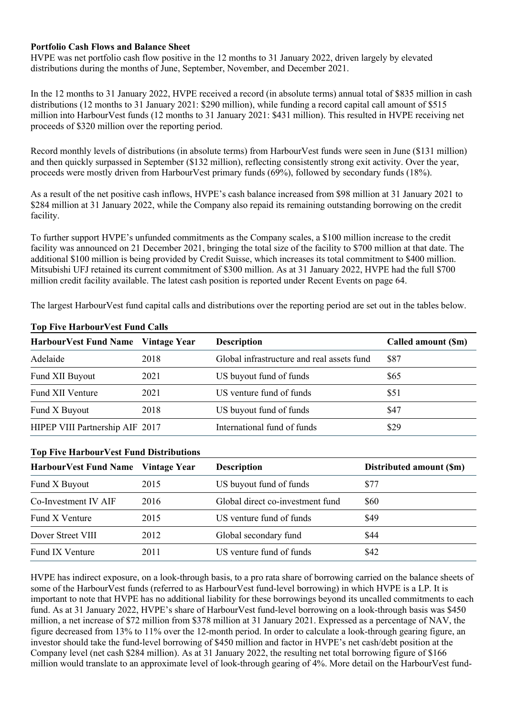## **Portfolio Cash Flows and Balance Sheet**

HVPE was net portfolio cash flow positive in the 12 months to 31 January 2022, driven largely by elevated distributions during the months of June, September, November, and December 2021.

In the 12 months to 31 January 2022, HVPE received a record (in absolute terms) annual total of \$835 million in cash distributions (12 months to 31 January 2021: \$290 million), while funding a record capital call amount of \$515 million into HarbourVest funds (12 months to 31 January 2021: \$431 million). This resulted in HVPE receiving net proceeds of \$320 million over the reporting period.

Record monthly levels of distributions (in absolute terms) from HarbourVest funds were seen in June (\$131 million) and then quickly surpassed in September (\$132 million), reflecting consistently strong exit activity. Over the year, proceeds were mostly driven from HarbourVest primary funds (69%), followed by secondary funds (18%).

As a result of the net positive cash inflows, HVPE's cash balance increased from \$98 million at 31 January 2021 to \$284 million at 31 January 2022, while the Company also repaid its remaining outstanding borrowing on the credit facility.

To further support HVPE's unfunded commitments as the Company scales, a \$100 million increase to the credit facility was announced on 21 December 2021, bringing the total size of the facility to \$700 million at that date. The additional \$100 million is being provided by Credit Suisse, which increases its total commitment to \$400 million. Mitsubishi UFJ retained its current commitment of \$300 million. As at 31 January 2022, HVPE had the full \$700 million credit facility available. The latest cash position is reported under Recent Events on page 64.

The largest HarbourVest fund capital calls and distributions over the reporting period are set out in the tables below.

| HarbourVest Fund Name Vintage Year |      | <b>Description</b>                         | Called amount (\$m) |
|------------------------------------|------|--------------------------------------------|---------------------|
| Adelaide                           | 2018 | Global infrastructure and real assets fund | \$87                |
| Fund XII Buyout                    | 2021 | US buyout fund of funds                    | \$65                |
| Fund XII Venture                   | 2021 | US venture fund of funds                   | \$51                |
| Fund X Buyout                      | 2018 | US buyout fund of funds                    | \$47                |
| HIPEP VIII Partnership AIF 2017    |      | International fund of funds                | \$29                |

## **Top Five HarbourVest Fund Calls**

## **Top Five HarbourVest Fund Distributions**

| <b>HarbourVest Fund Name</b> | Vintage Year | <b>Description</b>               | Distributed amount (\$m) |
|------------------------------|--------------|----------------------------------|--------------------------|
| Fund X Buyout                | 2015         | US buyout fund of funds          | \$77                     |
| Co-Investment IV AIF         | 2016         | Global direct co-investment fund | \$60                     |
| Fund X Venture               | 2015         | US venture fund of funds         | \$49                     |
| Dover Street VIII            | 2012         | Global secondary fund            | \$44                     |
| Fund IX Venture              | 2011         | US venture fund of funds         | \$42                     |

HVPE has indirect exposure, on a look-through basis, to a pro rata share of borrowing carried on the balance sheets of some of the HarbourVest funds (referred to as HarbourVest fund-level borrowing) in which HVPE is a LP. It is important to note that HVPE has no additional liability for these borrowings beyond its uncalled commitments to each fund. As at 31 January 2022, HVPE's share of HarbourVest fund-level borrowing on a look-through basis was \$450 million, a net increase of \$72 million from \$378 million at 31 January 2021. Expressed as a percentage of NAV, the figure decreased from 13% to 11% over the 12-month period. In order to calculate a look-through gearing figure, an investor should take the fund-level borrowing of \$450 million and factor in HVPE's net cash/debt position at the Company level (net cash \$284 million). As at 31 January 2022, the resulting net total borrowing figure of \$166 million would translate to an approximate level of look-through gearing of 4%. More detail on the HarbourVest fund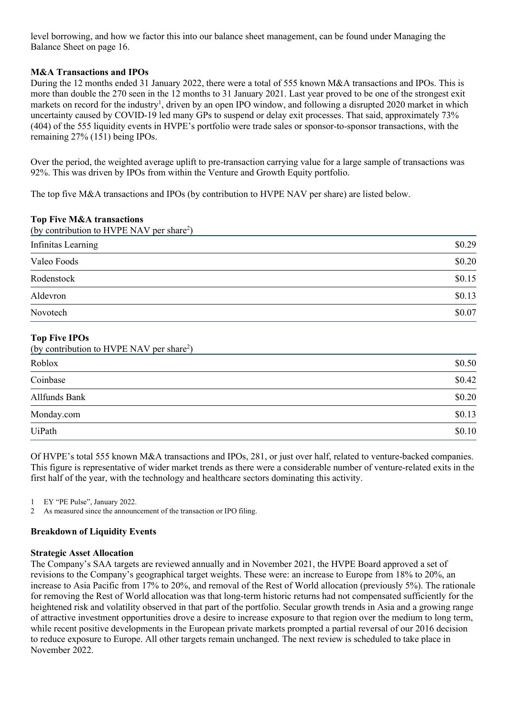level borrowing, and how we factor this into our balance sheet management, can be found under Managing the Balance Sheet on page 16.

## **M&A Transactions and IPOs**

During the 12 months ended 31 January 2022, there were a total of 555 known M&A transactions and IPOs. This is more than double the 270 seen in the 12 months to 31 January 2021. Last year proved to be one of the strongest exit markets on record for the industry<sup>1</sup>, driven by an open IPO window, and following a disrupted 2020 market in which uncertainty caused by COVID-19 led many GPs to suspend or delay exit processes. That said, approximately 73% (404) of the 555 liquidity events in HVPE's portfolio were trade sales or sponsor-to-sponsor transactions, with the remaining 27% (151) being IPOs.

Over the period, the weighted average uplift to pre-transaction carrying value for a large sample of transactions was 92%. This was driven by IPOs from within the Venture and Growth Equity portfolio.

The top five M&A transactions and IPOs (by contribution to HVPE NAV per share) are listed below.

#### **Top Five M&A transactions**

| (by contribution to HVPE NAV per share <sup>2</sup> ) |        |
|-------------------------------------------------------|--------|
| Infinitas Learning                                    | \$0.29 |
| Valeo Foods                                           | \$0.20 |
| Rodenstock                                            | \$0.15 |
| Aldevron                                              | \$0.13 |
| Novotech                                              | \$0.07 |

## **Top Five IPOs**

| (by contribution to HVPE NAV per share <sup>2</sup> ) |        |
|-------------------------------------------------------|--------|
| Roblox                                                | \$0.50 |
| Coinbase                                              | \$0.42 |
| Allfunds Bank                                         | \$0.20 |
| Monday.com                                            | \$0.13 |
| UiPath                                                | \$0.10 |

Of HVPE's total 555 known M&A transactions and IPOs, 281, or just over half, related to venture-backed companies. This figure is representative of wider market trends as there were a considerable number of venture-related exits in the first half of the year, with the technology and healthcare sectors dominating this activity.

1 EY "PE Pulse", January 2022.

As measured since the announcement of the transaction or IPO filing.

## **Breakdown of Liquidity Events**

#### **Strategic Asset Allocation**

The Company's SAA targets are reviewed annually and in November 2021, the HVPE Board approved a set of revisions to the Company's geographical target weights. These were: an increase to Europe from 18% to 20%, an increase to Asia Pacific from 17% to 20%, and removal of the Rest of World allocation (previously 5%). The rationale for removing the Rest of World allocation was that long-term historic returns had not compensated sufficiently for the heightened risk and volatility observed in that part of the portfolio. Secular growth trends in Asia and a growing range of attractive investment opportunities drove a desire to increase exposure to that region over the medium to long term, while recent positive developments in the European private markets prompted a partial reversal of our 2016 decision to reduce exposure to Europe. All other targets remain unchanged. The next review is scheduled to take place in November 2022.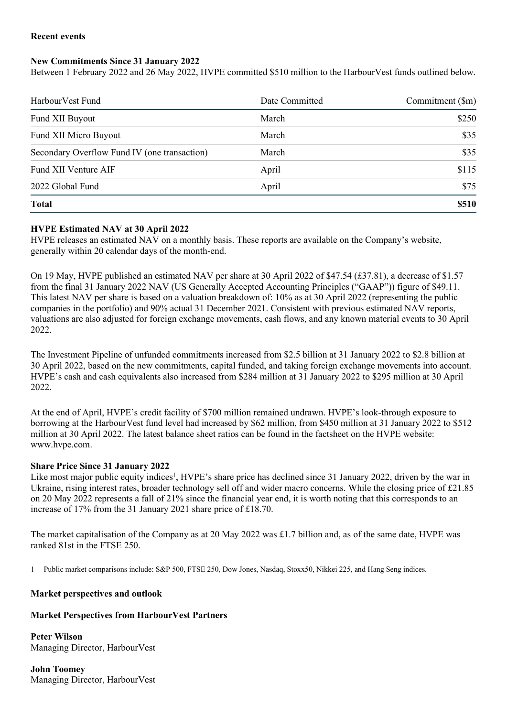#### **Recent events**

#### **New Commitments Since 31 January 2022**

Between 1 February 2022 and 26 May 2022, HVPE committed \$510 million to the HarbourVest funds outlined below.

| HarbourVest Fund                             | Date Committed | Commitment (\$m) |
|----------------------------------------------|----------------|------------------|
| Fund XII Buyout                              | March          | \$250            |
| Fund XII Micro Buyout                        | March          | \$35             |
| Secondary Overflow Fund IV (one transaction) | March          | \$35             |
| Fund XII Venture AIF                         | April          | \$115            |
| 2022 Global Fund                             | April          | \$75             |
| <b>Total</b>                                 |                | \$510            |

## **HVPE Estimated NAV at 30 April 2022**

HVPE releases an estimated NAV on a monthly basis. These reports are available on the Company's website, generally within 20 calendar days of the month-end.

On 19 May, HVPE published an estimated NAV per share at 30 April 2022 of \$47.54 (£37.81), a decrease of \$1.57 from the final 31 January 2022 NAV (US Generally Accepted Accounting Principles ("GAAP")) figure of \$49.11. This latest NAV per share is based on a valuation breakdown of: 10% as at 30 April 2022 (representing the public companies in the portfolio) and 90% actual 31 December 2021. Consistent with previous estimated NAV reports, valuations are also adjusted for foreign exchange movements, cash flows, and any known material events to 30 April 2022.

The Investment Pipeline of unfunded commitments increased from \$2.5 billion at 31 January 2022 to \$2.8 billion at 30 April 2022, based on the new commitments, capital funded, and taking foreign exchange movements into account. HVPE's cash and cash equivalents also increased from \$284 million at 31 January 2022 to \$295 million at 30 April 2022.

At the end of April, HVPE's credit facility of \$700 million remained undrawn. HVPE's look-through exposure to borrowing at the HarbourVest fund level had increased by \$62 million, from \$450 million at 31 January 2022 to \$512 million at 30 April 2022. The latest balance sheet ratios can be found in the factsheet on the HVPE website: www.hvpe.com.

#### **Share Price Since 31 January 2022**

Like most major public equity indices<sup>1</sup>, HVPE's share price has declined since 31 January 2022, driven by the war in Ukraine, rising interest rates, broader technology sell off and wider macro concerns. While the closing price of £21.85 on 20 May 2022 represents a fall of 21% since the financial year end, it is worth noting that this corresponds to an increase of 17% from the 31 January 2021 share price of £18.70.

The market capitalisation of the Company as at 20 May 2022 was £1.7 billion and, as of the same date, HVPE was ranked 81st in the FTSE 250.

1 Public market comparisons include: S&P 500, FTSE 250, Dow Jones, Nasdaq, Stoxx50, Nikkei 225, and Hang Seng indices.

#### **Market perspectives and outlook**

#### **Market Perspectives from HarbourVest Partners**

**Peter Wilson** Managing Director, HarbourVest

**John Toomey** Managing Director, HarbourVest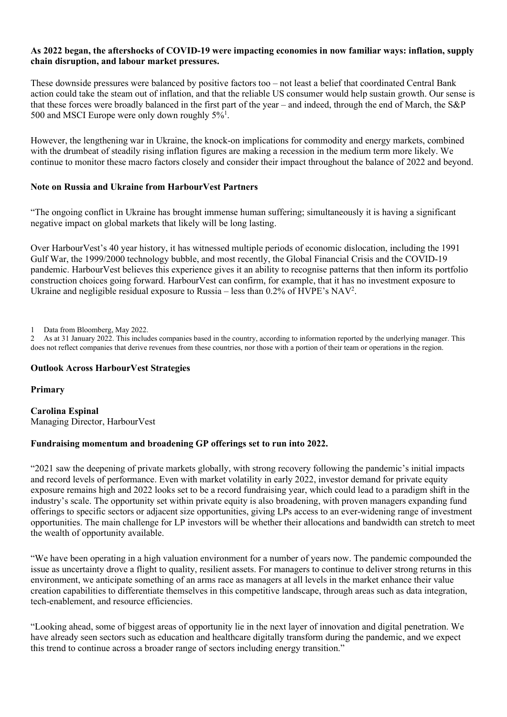#### **As 2022 began, the aftershocks of COVID-19 were impacting economies in now familiar ways: inflation, supply chain disruption, and labour market pressures.**

These downside pressures were balanced by positive factors too – not least a belief that coordinated Central Bank action could take the steam out of inflation, and that the reliable US consumer would help sustain growth. Our sense is that these forces were broadly balanced in the first part of the year – and indeed, through the end of March, the S&P 500 and MSCI Europe were only down roughly 5%<sup>1</sup>.

However, the lengthening war in Ukraine, the knock-on implications for commodity and energy markets, combined with the drumbeat of steadily rising inflation figures are making a recession in the medium term more likely. We continue to monitor these macro factors closely and consider their impact throughout the balance of 2022 and beyond.

## **Note on Russia and Ukraine from HarbourVest Partners**

"The ongoing conflict in Ukraine has brought immense human suffering; simultaneously it is having a significant negative impact on global markets that likely will be long lasting.

Over HarbourVest's 40 year history, it has witnessed multiple periods of economic dislocation, including the 1991 Gulf War, the 1999/2000 technology bubble, and most recently, the Global Financial Crisis and the COVID-19 pandemic. HarbourVest believes this experience gives it an ability to recognise patterns that then inform its portfolio construction choices going forward. HarbourVest can confirm, for example, that it has no investment exposure to Ukraine and negligible residual exposure to Russia – less than  $0.2\%$  of HVPE's NAV<sup>2</sup>.

1 Data from Bloomberg, May 2022.

2 As at 31 January 2022. This includes companies based in the country, according to information reported by the underlying manager. This does not reflect companies that derive revenues from these countries, nor those with a portion of their team or operations in the region.

#### **Outlook Across HarbourVest Strategies**

**Primary**

**Carolina Espinal** Managing Director, HarbourVest

#### **Fundraising momentum and broadening GP offerings set to run into 2022.**

"2021 saw the deepening of private markets globally, with strong recovery following the pandemic's initial impacts and record levels of performance. Even with market volatility in early 2022, investor demand for private equity exposure remains high and 2022 looks set to be a record fundraising year, which could lead to a paradigm shift in the industry's scale. The opportunity set within private equity is also broadening, with proven managers expanding fund offerings to specific sectors or adjacent size opportunities, giving LPs access to an ever-widening range of investment opportunities. The main challenge for LP investors will be whether their allocations and bandwidth can stretch to meet the wealth of opportunity available.

"We have been operating in a high valuation environment for a number of years now. The pandemic compounded the issue as uncertainty drove a flight to quality, resilient assets. For managers to continue to deliver strong returns in this environment, we anticipate something of an arms race as managers at all levels in the market enhance their value creation capabilities to differentiate themselves in this competitive landscape, through areas such as data integration, tech-enablement, and resource efficiencies.

"Looking ahead, some of biggest areas of opportunity lie in the next layer of innovation and digital penetration. We have already seen sectors such as education and healthcare digitally transform during the pandemic, and we expect this trend to continue across a broader range of sectors including energy transition."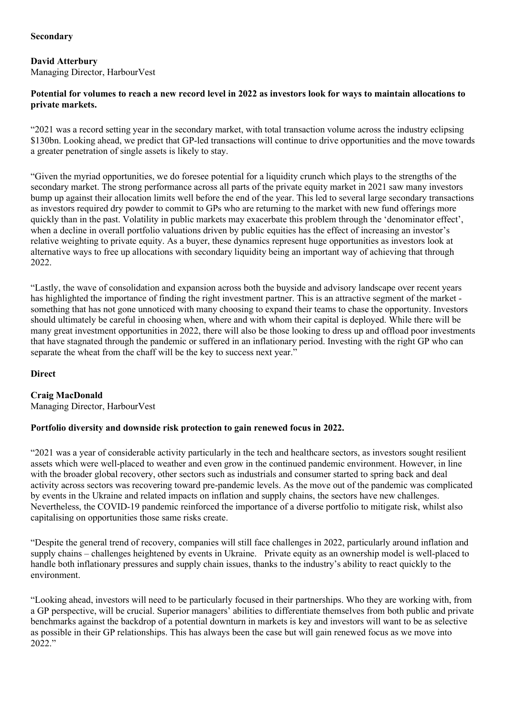#### **Secondary**

# **David Atterbury**

Managing Director, HarbourVest

## **Potential for volumes to reach a new record level in 2022 as investors look for ways to maintain allocations to private markets.**

"2021 was a record setting year in the secondary market, with total transaction volume across the industry eclipsing \$130bn. Looking ahead, we predict that GP-led transactions will continue to drive opportunities and the move towards a greater penetration of single assets is likely to stay.

"Given the myriad opportunities, we do foresee potential for a liquidity crunch which plays to the strengths of the secondary market. The strong performance across all parts of the private equity market in 2021 saw many investors bump up against their allocation limits well before the end of the year. This led to several large secondary transactions as investors required dry powder to commit to GPs who are returning to the market with new fund offerings more quickly than in the past. Volatility in public markets may exacerbate this problem through the 'denominator effect', when a decline in overall portfolio valuations driven by public equities has the effect of increasing an investor's relative weighting to private equity. As a buyer, these dynamics represent huge opportunities as investors look at alternative ways to free up allocations with secondary liquidity being an important way of achieving that through 2022.

"Lastly, the wave of consolidation and expansion across both the buyside and advisory landscape over recent years has highlighted the importance of finding the right investment partner. This is an attractive segment of the market something that has not gone unnoticed with many choosing to expand their teams to chase the opportunity. Investors should ultimately be careful in choosing when, where and with whom their capital is deployed. While there will be many great investment opportunities in 2022, there will also be those looking to dress up and offload poor investments that have stagnated through the pandemic or suffered in an inflationary period. Investing with the right GP who can separate the wheat from the chaff will be the key to success next year."

#### **Direct**

## **Craig MacDonald**

Managing Director, HarbourVest

## **Portfolio diversity and downside risk protection to gain renewed focus in 2022.**

"2021 was a year of considerable activity particularly in the tech and healthcare sectors, as investors sought resilient assets which were well-placed to weather and even grow in the continued pandemic environment. However, in line with the broader global recovery, other sectors such as industrials and consumer started to spring back and deal activity across sectors was recovering toward pre-pandemic levels. As the move out of the pandemic was complicated by events in the Ukraine and related impacts on inflation and supply chains, the sectors have new challenges. Nevertheless, the COVID-19 pandemic reinforced the importance of a diverse portfolio to mitigate risk, whilst also capitalising on opportunities those same risks create.

"Despite the general trend of recovery, companies will still face challenges in 2022, particularly around inflation and supply chains – challenges heightened by events in Ukraine. Private equity as an ownership model is well-placed to handle both inflationary pressures and supply chain issues, thanks to the industry's ability to react quickly to the environment.

"Looking ahead, investors will need to be particularly focused in their partnerships. Who they are working with, from a GP perspective, will be crucial. Superior managers' abilities to differentiate themselves from both public and private benchmarks against the backdrop of a potential downturn in markets is key and investors will want to be as selective as possible in their GP relationships. This has always been the case but will gain renewed focus as we move into  $2022$ ."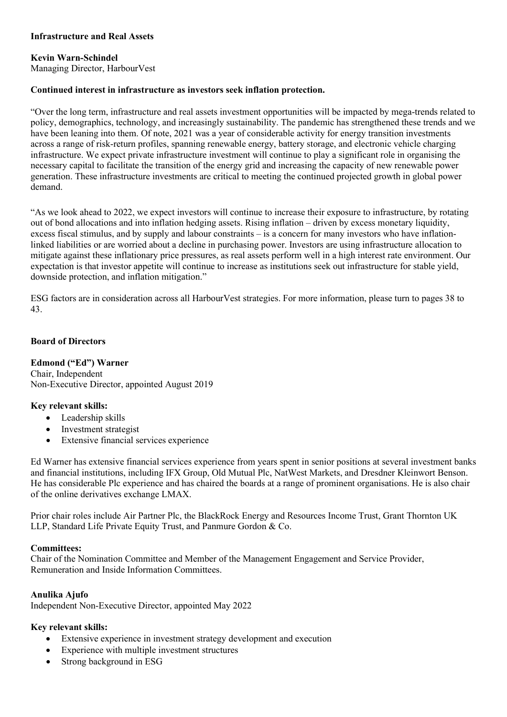## **Infrastructure and Real Assets**

#### **Kevin Warn-Schindel**

Managing Director, HarbourVest

#### **Continued interest in infrastructure as investors seek inflation protection.**

"Over the long term, infrastructure and real assets investment opportunities will be impacted by mega-trends related to policy, demographics, technology, and increasingly sustainability. The pandemic has strengthened these trends and we have been leaning into them. Of note, 2021 was a year of considerable activity for energy transition investments across a range of risk-return profiles, spanning renewable energy, battery storage, and electronic vehicle charging infrastructure. We expect private infrastructure investment will continue to play a significant role in organising the necessary capital to facilitate the transition of the energy grid and increasing the capacity of new renewable power generation. These infrastructure investments are critical to meeting the continued projected growth in global power demand.

"As we look ahead to 2022, we expect investors will continue to increase their exposure to infrastructure, by rotating out of bond allocations and into inflation hedging assets. Rising inflation – driven by excess monetary liquidity, excess fiscal stimulus, and by supply and labour constraints – is a concern for many investors who have inflationlinked liabilities or are worried about a decline in purchasing power. Investors are using infrastructure allocation to mitigate against these inflationary price pressures, as real assets perform well in a high interest rate environment. Our expectation is that investor appetite will continue to increase as institutions seek out infrastructure for stable yield, downside protection, and inflation mitigation."

ESG factors are in consideration across all HarbourVest strategies. For more information, please turn to pages 38 to 43.

## **Board of Directors**

## **Edmond ("Ed") Warner**

Chair, Independent Non-Executive Director, appointed August 2019

## **Key relevant skills:**

- Leadership skills
- Investment strategist
- Extensive financial services experience

Ed Warner has extensive financial services experience from years spent in senior positions at several investment banks and financial institutions, including IFX Group, Old Mutual Plc, NatWest Markets, and Dresdner Kleinwort Benson. He has considerable Plc experience and has chaired the boards at a range of prominent organisations. He is also chair of the online derivatives exchange LMAX.

Prior chair roles include Air Partner Plc, the BlackRock Energy and Resources Income Trust, Grant Thornton UK LLP, Standard Life Private Equity Trust, and Panmure Gordon & Co.

#### **Committees:**

Chair of the Nomination Committee and Member of the Management Engagement and Service Provider, Remuneration and Inside Information Committees.

#### **Anulika Ajufo**

Independent Non-Executive Director, appointed May 2022

## **Key relevant skills:**

- Extensive experience in investment strategy development and execution
- Experience with multiple investment structures
- Strong background in ESG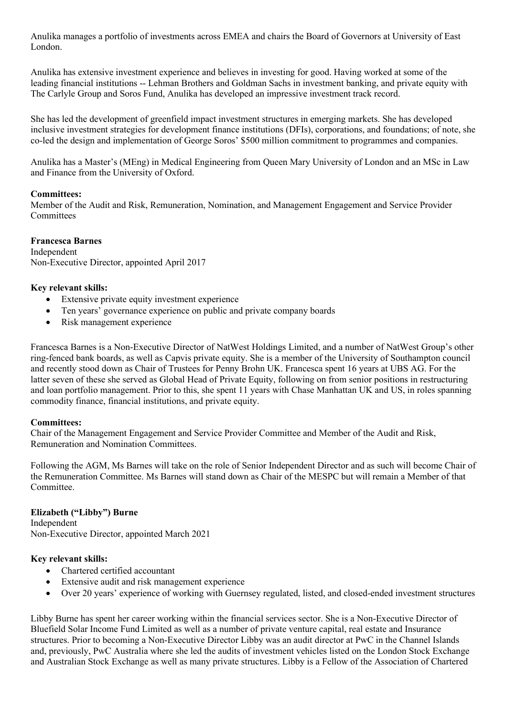Anulika manages a portfolio of investments across EMEA and chairs the Board of Governors at University of East London.

Anulika has extensive investment experience and believes in investing for good. Having worked at some of the leading financial institutions -- Lehman Brothers and Goldman Sachs in investment banking, and private equity with The Carlyle Group and Soros Fund, Anulika has developed an impressive investment track record.

She has led the development of greenfield impact investment structures in emerging markets. She has developed inclusive investment strategies for development finance institutions (DFIs), corporations, and foundations; of note, she co-led the design and implementation of George Soros' \$500 million commitment to programmes and companies.

Anulika has a Master's (MEng) in Medical Engineering from Queen Mary University of London and an MSc in Law and Finance from the University of Oxford.

## **Committees:**

Member of the Audit and Risk, Remuneration, Nomination, and Management Engagement and Service Provider Committees

## **Francesca Barnes**

Independent Non-Executive Director, appointed April 2017

## **Key relevant skills:**

- Extensive private equity investment experience
- Ten years' governance experience on public and private company boards
- Risk management experience

Francesca Barnes is a Non-Executive Director of NatWest Holdings Limited, and a number of NatWest Group's other ring-fenced bank boards, as well as Capvis private equity. She is a member of the University of Southampton council and recently stood down as Chair of Trustees for Penny Brohn UK. Francesca spent 16 years at UBS AG. For the latter seven of these she served as Global Head of Private Equity, following on from senior positions in restructuring and loan portfolio management. Prior to this, she spent 11 years with Chase Manhattan UK and US, in roles spanning commodity finance, financial institutions, and private equity.

#### **Committees:**

Chair of the Management Engagement and Service Provider Committee and Member of the Audit and Risk, Remuneration and Nomination Committees.

Following the AGM, Ms Barnes will take on the role of Senior Independent Director and as such will become Chair of the Remuneration Committee. Ms Barnes will stand down as Chair of the MESPC but will remain a Member of that Committee.

## **Elizabeth ("Libby") Burne**

Independent Non-Executive Director, appointed March 2021

#### **Key relevant skills:**

- Chartered certified accountant
- Extensive audit and risk management experience
- Over 20 years' experience of working with Guernsey regulated, listed, and closed-ended investment structures

Libby Burne has spent her career working within the financial services sector. She is a Non-Executive Director of Bluefield Solar Income Fund Limited as well as a number of private venture capital, real estate and Insurance structures. Prior to becoming a Non-Executive Director Libby was an audit director at PwC in the Channel Islands and, previously, PwC Australia where she led the audits of investment vehicles listed on the London Stock Exchange and Australian Stock Exchange as well as many private structures. Libby is a Fellow of the Association of Chartered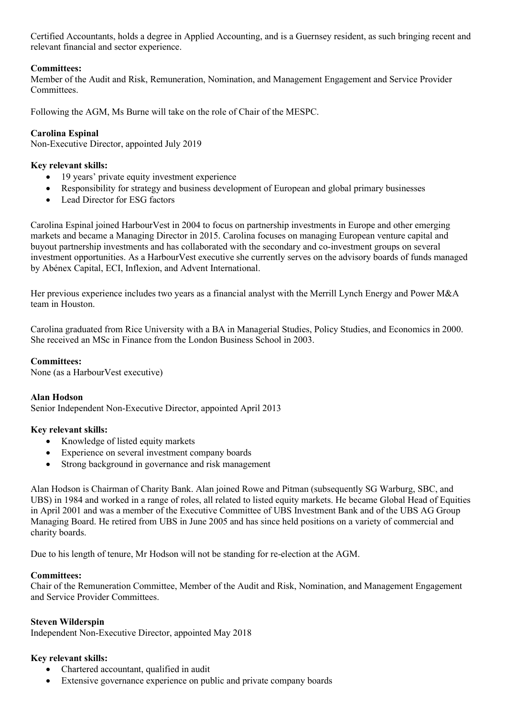Certified Accountants, holds a degree in Applied Accounting, and is a Guernsey resident, as such bringing recent and relevant financial and sector experience.

## **Committees:**

Member of the Audit and Risk, Remuneration, Nomination, and Management Engagement and Service Provider Committees.

Following the AGM, Ms Burne will take on the role of Chair of the MESPC.

## **Carolina Espinal**

Non-Executive Director, appointed July 2019

## **Key relevant skills:**

- 19 years' private equity investment experience
- Responsibility for strategy and business development of European and global primary businesses
- Lead Director for ESG factors

Carolina Espinal joined HarbourVest in 2004 to focus on partnership investments in Europe and other emerging markets and became a Managing Director in 2015. Carolina focuses on managing European venture capital and buyout partnership investments and has collaborated with the secondary and co-investment groups on several investment opportunities. As a HarbourVest executive she currently serves on the advisory boards of funds managed by Abénex Capital, ECI, Inflexion, and Advent International.

Her previous experience includes two years as a financial analyst with the Merrill Lynch Energy and Power M&A team in Houston.

Carolina graduated from Rice University with a BA in Managerial Studies, Policy Studies, and Economics in 2000. She received an MSc in Finance from the London Business School in 2003.

## **Committees:**

None (as a HarbourVest executive)

## **Alan Hodson**

Senior Independent Non-Executive Director, appointed April 2013

## **Key relevant skills:**

- Knowledge of listed equity markets
- Experience on several investment company boards
- Strong background in governance and risk management

Alan Hodson is Chairman of Charity Bank. Alan joined Rowe and Pitman (subsequently SG Warburg, SBC, and UBS) in 1984 and worked in a range of roles, all related to listed equity markets. He became Global Head of Equities in April 2001 and was a member of the Executive Committee of UBS Investment Bank and of the UBS AG Group Managing Board. He retired from UBS in June 2005 and has since held positions on a variety of commercial and charity boards.

Due to his length of tenure, Mr Hodson will not be standing for re-election at the AGM.

## **Committees:**

Chair of the Remuneration Committee, Member of the Audit and Risk, Nomination, and Management Engagement and Service Provider Committees.

## **Steven Wilderspin**

Independent Non-Executive Director, appointed May 2018

## **Key relevant skills:**

- Chartered accountant, qualified in audit
- Extensive governance experience on public and private company boards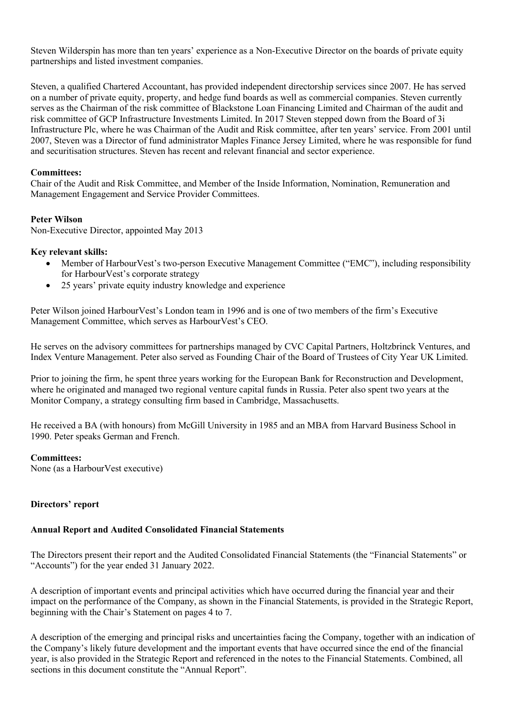Steven Wilderspin has more than ten years' experience as a Non-Executive Director on the boards of private equity partnerships and listed investment companies.

Steven, a qualified Chartered Accountant, has provided independent directorship services since 2007. He has served on a number of private equity, property, and hedge fund boards as well as commercial companies. Steven currently serves as the Chairman of the risk committee of Blackstone Loan Financing Limited and Chairman of the audit and risk committee of GCP Infrastructure Investments Limited. In 2017 Steven stepped down from the Board of 3i Infrastructure Plc, where he was Chairman of the Audit and Risk committee, after ten years' service. From 2001 until 2007, Steven was a Director of fund administrator Maples Finance Jersey Limited, where he was responsible for fund and securitisation structures. Steven has recent and relevant financial and sector experience.

## **Committees:**

Chair of the Audit and Risk Committee, and Member of the Inside Information, Nomination, Remuneration and Management Engagement and Service Provider Committees.

## **Peter Wilson**

Non-Executive Director, appointed May 2013

## **Key relevant skills:**

- Member of HarbourVest's two-person Executive Management Committee ("EMC"), including responsibility for HarbourVest's corporate strategy
- 25 years' private equity industry knowledge and experience

Peter Wilson joined HarbourVest's London team in 1996 and is one of two members of the firm's Executive Management Committee, which serves as HarbourVest's CEO.

He serves on the advisory committees for partnerships managed by CVC Capital Partners, Holtzbrinck Ventures, and Index Venture Management. Peter also served as Founding Chair of the Board of Trustees of City Year UK Limited.

Prior to joining the firm, he spent three years working for the European Bank for Reconstruction and Development, where he originated and managed two regional venture capital funds in Russia. Peter also spent two years at the Monitor Company, a strategy consulting firm based in Cambridge, Massachusetts.

He received a BA (with honours) from McGill University in 1985 and an MBA from Harvard Business School in 1990. Peter speaks German and French.

#### **Committees:**

None (as a HarbourVest executive)

## **Directors' report**

#### **Annual Report and Audited Consolidated Financial Statements**

The Directors present their report and the Audited Consolidated Financial Statements (the "Financial Statements" or "Accounts") for the year ended 31 January 2022.

A description of important events and principal activities which have occurred during the financial year and their impact on the performance of the Company, as shown in the Financial Statements, is provided in the Strategic Report, beginning with the Chair's Statement on pages 4 to 7.

A description of the emerging and principal risks and uncertainties facing the Company, together with an indication of the Company's likely future development and the important events that have occurred since the end of the financial year, is also provided in the Strategic Report and referenced in the notes to the Financial Statements. Combined, all sections in this document constitute the "Annual Report".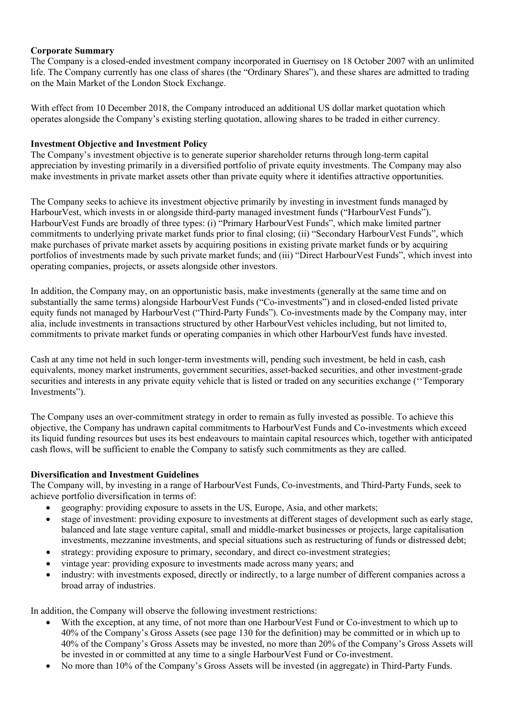## **Corporate Summary**

The Company is a closed-ended investment company incorporated in Guernsey on 18 October 2007 with an unlimited life. The Company currently has one class of shares (the "Ordinary Shares"), and these shares are admitted to trading on the Main Market of the London Stock Exchange.

With effect from 10 December 2018, the Company introduced an additional US dollar market quotation which operates alongside the Company's existing sterling quotation, allowing shares to be traded in either currency.

## **Investment Objective and Investment Policy**

The Company's investment objective is to generate superior shareholder returns through long-term capital appreciation by investing primarily in a diversified portfolio of private equity investments. The Company may also make investments in private market assets other than private equity where it identifies attractive opportunities.

The Company seeks to achieve its investment objective primarily by investing in investment funds managed by HarbourVest, which invests in or alongside third-party managed investment funds ("HarbourVest Funds"). HarbourVest Funds are broadly of three types: (i) "Primary HarbourVest Funds", which make limited partner commitments to underlying private market funds prior to final closing; (ii) "Secondary HarbourVest Funds", which make purchases of private market assets by acquiring positions in existing private market funds or by acquiring portfolios of investments made by such private market funds; and (iii) "Direct HarbourVest Funds", which invest into operating companies, projects, or assets alongside other investors.

In addition, the Company may, on an opportunistic basis, make investments (generally at the same time and on substantially the same terms) alongside HarbourVest Funds ("Co-investments") and in closed-ended listed private equity funds not managed by HarbourVest ("Third-Party Funds"). Co-investments made by the Company may, inter alia, include investments in transactions structured by other HarbourVest vehicles including, but not limited to, commitments to private market funds or operating companies in which other HarbourVest funds have invested.

Cash at any time not held in such longer-term investments will, pending such investment, be held in cash, cash equivalents, money market instruments, government securities, asset-backed securities, and other investment-grade securities and interests in any private equity vehicle that is listed or traded on any securities exchange ("Temporary Investments").

The Company uses an over-commitment strategy in order to remain as fully invested as possible. To achieve this objective, the Company has undrawn capital commitments to HarbourVest Funds and Co-investments which exceed its liquid funding resources but uses its best endeavours to maintain capital resources which, together with anticipated cash flows, will be sufficient to enable the Company to satisfy such commitments as they are called.

## **Diversification and Investment Guidelines**

The Company will, by investing in a range of HarbourVest Funds, Co-investments, and Third-Party Funds, seek to achieve portfolio diversification in terms of:

- geography: providing exposure to assets in the US, Europe, Asia, and other markets;
- stage of investment: providing exposure to investments at different stages of development such as early stage, balanced and late stage venture capital, small and middle-market businesses or projects, large capitalisation investments, mezzanine investments, and special situations such as restructuring of funds or distressed debt;
- strategy: providing exposure to primary, secondary, and direct co-investment strategies;
- vintage year: providing exposure to investments made across many years; and
- industry: with investments exposed, directly or indirectly, to a large number of different companies across a broad array of industries.

In addition, the Company will observe the following investment restrictions:

- With the exception, at any time, of not more than one HarbourVest Fund or Co-investment to which up to 40% of the Company's Gross Assets (see page 130 for the definition) may be committed or in which up to 40% of the Company's Gross Assets may be invested, no more than 20% of the Company's Gross Assets will be invested in or committed at any time to a single HarbourVest Fund or Co-investment.
- No more than 10% of the Company's Gross Assets will be invested (in aggregate) in Third-Party Funds.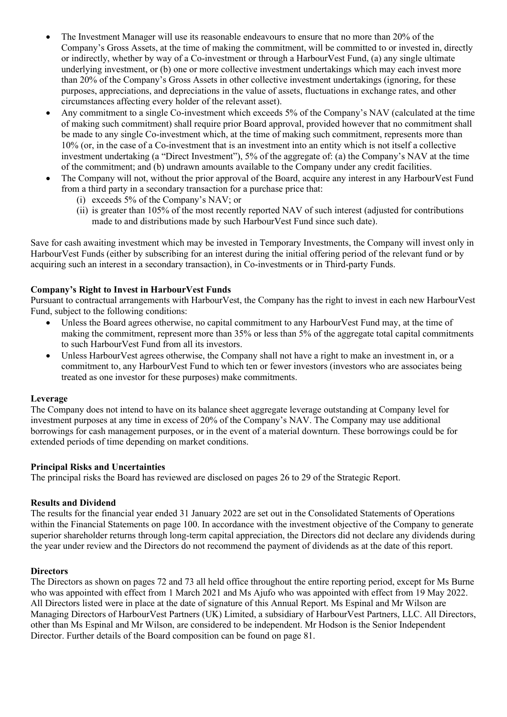- The Investment Manager will use its reasonable endeavours to ensure that no more than 20% of the Company's Gross Assets, at the time of making the commitment, will be committed to or invested in, directly or indirectly, whether by way of a Co-investment or through a HarbourVest Fund, (a) any single ultimate underlying investment, or (b) one or more collective investment undertakings which may each invest more than 20% of the Company's Gross Assets in other collective investment undertakings (ignoring, for these purposes, appreciations, and depreciations in the value of assets, fluctuations in exchange rates, and other circumstances affecting every holder of the relevant asset).
- Any commitment to a single Co-investment which exceeds 5% of the Company's NAV (calculated at the time of making such commitment) shall require prior Board approval, provided however that no commitment shall be made to any single Co-investment which, at the time of making such commitment, represents more than 10% (or, in the case of a Co-investment that is an investment into an entity which is not itself a collective investment undertaking (a "Direct Investment"), 5% of the aggregate of: (a) the Company's NAV at the time of the commitment; and (b) undrawn amounts available to the Company under any credit facilities.
- The Company will not, without the prior approval of the Board, acquire any interest in any HarbourVest Fund from a third party in a secondary transaction for a purchase price that:
	- (i) exceeds 5% of the Company's NAV; or
	- (ii) is greater than 105% of the most recently reported NAV of such interest (adjusted for contributions made to and distributions made by such HarbourVest Fund since such date).

Save for cash awaiting investment which may be invested in Temporary Investments, the Company will invest only in HarbourVest Funds (either by subscribing for an interest during the initial offering period of the relevant fund or by acquiring such an interest in a secondary transaction), in Co-investments or in Third-party Funds.

## **Company's Right to Invest in HarbourVest Funds**

Pursuant to contractual arrangements with HarbourVest, the Company has the right to invest in each new HarbourVest Fund, subject to the following conditions:

- Unless the Board agrees otherwise, no capital commitment to any HarbourVest Fund may, at the time of making the commitment, represent more than 35% or less than 5% of the aggregate total capital commitments to such HarbourVest Fund from all its investors.
- Unless HarbourVest agrees otherwise, the Company shall not have a right to make an investment in, or a commitment to, any HarbourVest Fund to which ten or fewer investors (investors who are associates being treated as one investor for these purposes) make commitments.

## **Leverage**

The Company does not intend to have on its balance sheet aggregate leverage outstanding at Company level for investment purposes at any time in excess of 20% of the Company's NAV. The Company may use additional borrowings for cash management purposes, or in the event of a material downturn. These borrowings could be for extended periods of time depending on market conditions.

## **Principal Risks and Uncertainties**

The principal risks the Board has reviewed are disclosed on pages 26 to 29 of the Strategic Report.

## **Results and Dividend**

The results for the financial year ended 31 January 2022 are set out in the Consolidated Statements of Operations within the Financial Statements on page 100. In accordance with the investment objective of the Company to generate superior shareholder returns through long-term capital appreciation, the Directors did not declare any dividends during the year under review and the Directors do not recommend the payment of dividends as at the date of this report.

## **Directors**

The Directors as shown on pages 72 and 73 all held office throughout the entire reporting period, except for Ms Burne who was appointed with effect from 1 March 2021 and Ms Ajufo who was appointed with effect from 19 May 2022. All Directors listed were in place at the date of signature of this Annual Report. Ms Espinal and Mr Wilson are Managing Directors of HarbourVest Partners (UK) Limited, a subsidiary of HarbourVest Partners, LLC. All Directors, other than Ms Espinal and Mr Wilson, are considered to be independent. Mr Hodson is the Senior Independent Director. Further details of the Board composition can be found on page 81.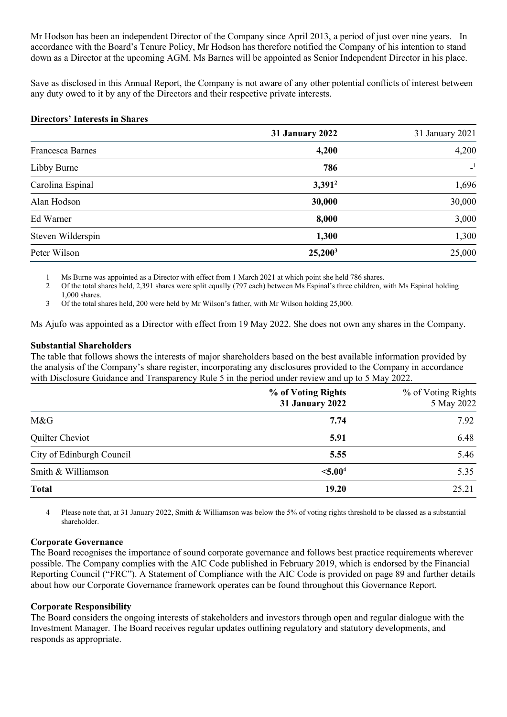Mr Hodson has been an independent Director of the Company since April 2013, a period of just over nine years. In accordance with the Board's Tenure Policy, Mr Hodson has therefore notified the Company of his intention to stand down as a Director at the upcoming AGM. Ms Barnes will be appointed as Senior Independent Director in his place.

Save as disclosed in this Annual Report, the Company is not aware of any other potential conflicts of interest between any duty owed to it by any of the Directors and their respective private interests.

#### **Directors' Interests in Shares**

|                         | <b>31 January 2022</b> | 31 January 2021 |
|-------------------------|------------------------|-----------------|
| <b>Francesca Barnes</b> | 4,200                  | 4,200           |
| Libby Burne             | 786                    | $\mathbf{I}$    |
| Carolina Espinal        | $3,391^2$              | 1,696           |
| Alan Hodson             | 30,000                 | 30,000          |
| Ed Warner               | 8,000                  | 3,000           |
| Steven Wilderspin       | 1,300                  | 1,300           |
| Peter Wilson            | $25,200^3$             | 25,000          |

1 Ms Burne was appointed as a Director with effect from 1 March 2021 at which point she held 786 shares.

2 Of the total shares held, 2,391 shares were split equally (797 each) between Ms Espinal's three children, with Ms Espinal holding 1,000 shares.

3 Of the total shares held, 200 were held by Mr Wilson's father, with Mr Wilson holding 25,000.

Ms Ajufo was appointed as a Director with effect from 19 May 2022. She does not own any shares in the Company.

#### **Substantial Shareholders**

The table that follows shows the interests of major shareholders based on the best available information provided by the analysis of the Company's share register, incorporating any disclosures provided to the Company in accordance with Disclosure Guidance and Transparency Rule 5 in the period under review and up to 5 May 2022.

|                           | % of Voting Rights<br><b>31 January 2022</b> | % of Voting Rights<br>5 May 2022 |
|---------------------------|----------------------------------------------|----------------------------------|
| M&G                       | 7.74                                         | 7.92                             |
| Quilter Cheviot           | 5.91                                         | 6.48                             |
| City of Edinburgh Council | 5.55                                         | 5.46                             |
| Smith & Williamson        | < 5.00 <sup>4</sup>                          | 5.35                             |
| <b>Total</b>              | 19.20                                        | 25.21                            |

4 Please note that, at 31 January 2022, Smith & Williamson was below the 5% of voting rights threshold to be classed as a substantial shareholder.

#### **Corporate Governance**

The Board recognises the importance of sound corporate governance and follows best practice requirements wherever possible. The Company complies with the AIC Code published in February 2019, which is endorsed by the Financial Reporting Council ("FRC"). A Statement of Compliance with the AIC Code is provided on page 89 and further details about how our Corporate Governance framework operates can be found throughout this Governance Report.

#### **Corporate Responsibility**

The Board considers the ongoing interests of stakeholders and investors through open and regular dialogue with the Investment Manager. The Board receives regular updates outlining regulatory and statutory developments, and responds as appropriate.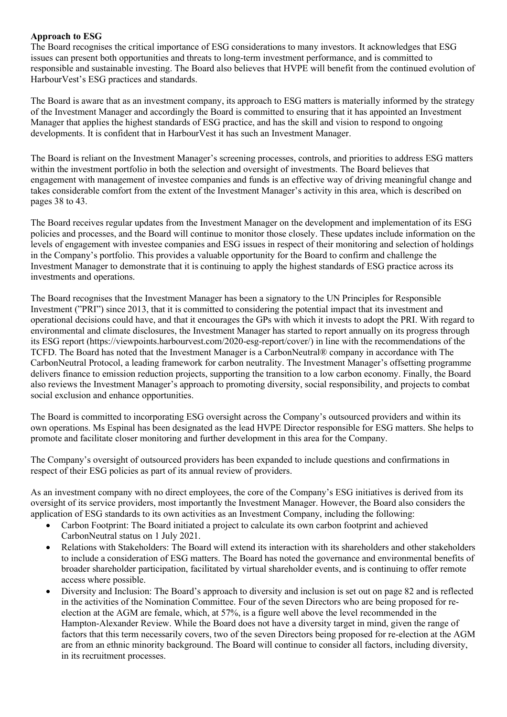## **Approach to ESG**

The Board recognises the critical importance of ESG considerations to many investors. It acknowledges that ESG issues can present both opportunities and threats to long-term investment performance, and is committed to responsible and sustainable investing. The Board also believes that HVPE will benefit from the continued evolution of HarbourVest's ESG practices and standards.

The Board is aware that as an investment company, its approach to ESG matters is materially informed by the strategy of the Investment Manager and accordingly the Board is committed to ensuring that it has appointed an Investment Manager that applies the highest standards of ESG practice, and has the skill and vision to respond to ongoing developments. It is confident that in HarbourVest it has such an Investment Manager.

The Board is reliant on the Investment Manager's screening processes, controls, and priorities to address ESG matters within the investment portfolio in both the selection and oversight of investments. The Board believes that engagement with management of investee companies and funds is an effective way of driving meaningful change and takes considerable comfort from the extent of the Investment Manager's activity in this area, which is described on pages 38 to 43.

The Board receives regular updates from the Investment Manager on the development and implementation of its ESG policies and processes, and the Board will continue to monitor those closely. These updates include information on the levels of engagement with investee companies and ESG issues in respect of their monitoring and selection of holdings in the Company's portfolio. This provides a valuable opportunity for the Board to confirm and challenge the Investment Manager to demonstrate that it is continuing to apply the highest standards of ESG practice across its investments and operations.

The Board recognises that the Investment Manager has been a signatory to the UN Principles for Responsible Investment ("PRI") since 2013, that it is committed to considering the potential impact that its investment and operational decisions could have, and that it encourages the GPs with which it invests to adopt the PRI. With regard to environmental and climate disclosures, the Investment Manager has started to report annually on its progress through its ESG report (https://viewpoints.harbourvest.com/2020-esg-report/cover/) in line with the recommendations of the TCFD. The Board has noted that the Investment Manager is a CarbonNeutral® company in accordance with The CarbonNeutral Protocol, a leading framework for carbon neutrality. The Investment Manager's offsetting programme delivers finance to emission reduction projects, supporting the transition to a low carbon economy. Finally, the Board also reviews the Investment Manager's approach to promoting diversity, social responsibility, and projects to combat social exclusion and enhance opportunities.

The Board is committed to incorporating ESG oversight across the Company's outsourced providers and within its own operations. Ms Espinal has been designated as the lead HVPE Director responsible for ESG matters. She helps to promote and facilitate closer monitoring and further development in this area for the Company.

The Company's oversight of outsourced providers has been expanded to include questions and confirmations in respect of their ESG policies as part of its annual review of providers.

As an investment company with no direct employees, the core of the Company's ESG initiatives is derived from its oversight of its service providers, most importantly the Investment Manager. However, the Board also considers the application of ESG standards to its own activities as an Investment Company, including the following:

- Carbon Footprint: The Board initiated a project to calculate its own carbon footprint and achieved CarbonNeutral status on 1 July 2021.
- Relations with Stakeholders: The Board will extend its interaction with its shareholders and other stakeholders to include a consideration of ESG matters. The Board has noted the governance and environmental benefits of broader shareholder participation, facilitated by virtual shareholder events, and is continuing to offer remote access where possible.
- Diversity and Inclusion: The Board's approach to diversity and inclusion is set out on page 82 and is reflected in the activities of the Nomination Committee. Four of the seven Directors who are being proposed for reelection at the AGM are female, which, at 57%, is a figure well above the level recommended in the Hampton-Alexander Review. While the Board does not have a diversity target in mind, given the range of factors that this term necessarily covers, two of the seven Directors being proposed for re-election at the AGM are from an ethnic minority background. The Board will continue to consider all factors, including diversity, in its recruitment processes.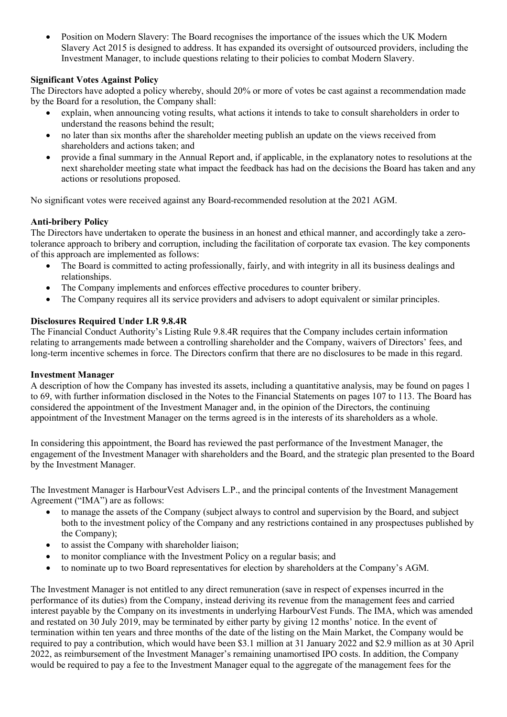• Position on Modern Slavery: The Board recognises the importance of the issues which the UK Modern Slavery Act 2015 is designed to address. It has expanded its oversight of outsourced providers, including the Investment Manager, to include questions relating to their policies to combat Modern Slavery.

## **Significant Votes Against Policy**

The Directors have adopted a policy whereby, should 20% or more of votes be cast against a recommendation made by the Board for a resolution, the Company shall:

- explain, when announcing voting results, what actions it intends to take to consult shareholders in order to understand the reasons behind the result;
- no later than six months after the shareholder meeting publish an update on the views received from shareholders and actions taken; and
- provide a final summary in the Annual Report and, if applicable, in the explanatory notes to resolutions at the next shareholder meeting state what impact the feedback has had on the decisions the Board has taken and any actions or resolutions proposed.

No significant votes were received against any Board-recommended resolution at the 2021 AGM.

## **Anti-bribery Policy**

The Directors have undertaken to operate the business in an honest and ethical manner, and accordingly take a zerotolerance approach to bribery and corruption, including the facilitation of corporate tax evasion. The key components of this approach are implemented as follows:

- The Board is committed to acting professionally, fairly, and with integrity in all its business dealings and relationships.
- The Company implements and enforces effective procedures to counter bribery.
- The Company requires all its service providers and advisers to adopt equivalent or similar principles.

## **Disclosures Required Under LR 9.8.4R**

The Financial Conduct Authority's Listing Rule 9.8.4R requires that the Company includes certain information relating to arrangements made between a controlling shareholder and the Company, waivers of Directors' fees, and long-term incentive schemes in force. The Directors confirm that there are no disclosures to be made in this regard.

#### **Investment Manager**

A description of how the Company has invested its assets, including a quantitative analysis, may be found on pages 1 to 69, with further information disclosed in the Notes to the Financial Statements on pages 107 to 113. The Board has considered the appointment of the Investment Manager and, in the opinion of the Directors, the continuing appointment of the Investment Manager on the terms agreed is in the interests of its shareholders as a whole.

In considering this appointment, the Board has reviewed the past performance of the Investment Manager, the engagement of the Investment Manager with shareholders and the Board, and the strategic plan presented to the Board by the Investment Manager.

The Investment Manager is HarbourVest Advisers L.P., and the principal contents of the Investment Management Agreement ("IMA") are as follows:

- to manage the assets of the Company (subject always to control and supervision by the Board, and subject both to the investment policy of the Company and any restrictions contained in any prospectuses published by the Company);
- to assist the Company with shareholder liaison;
- to monitor compliance with the Investment Policy on a regular basis; and
- to nominate up to two Board representatives for election by shareholders at the Company's AGM.

The Investment Manager is not entitled to any direct remuneration (save in respect of expenses incurred in the performance of its duties) from the Company, instead deriving its revenue from the management fees and carried interest payable by the Company on its investments in underlying HarbourVest Funds. The IMA, which was amended and restated on 30 July 2019, may be terminated by either party by giving 12 months' notice. In the event of termination within ten years and three months of the date of the listing on the Main Market, the Company would be required to pay a contribution, which would have been \$3.1 million at 31 January 2022 and \$2.9 million as at 30 April 2022, as reimbursement of the Investment Manager's remaining unamortised IPO costs. In addition, the Company would be required to pay a fee to the Investment Manager equal to the aggregate of the management fees for the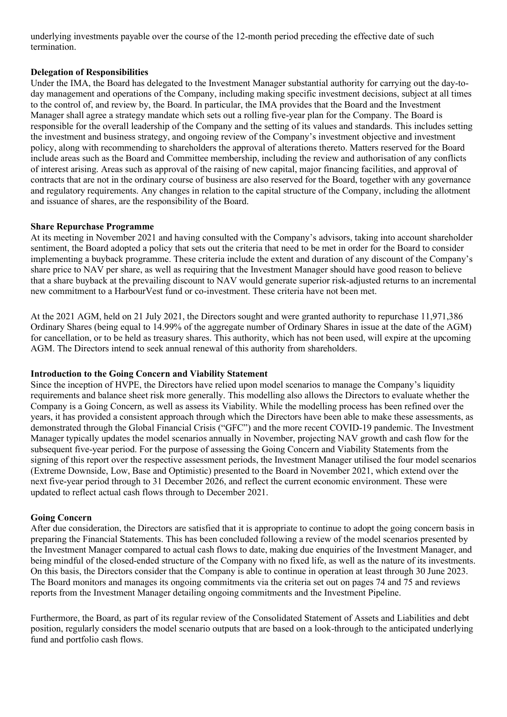underlying investments payable over the course of the 12-month period preceding the effective date of such termination.

#### **Delegation of Responsibilities**

Under the IMA, the Board has delegated to the Investment Manager substantial authority for carrying out the day-today management and operations of the Company, including making specific investment decisions, subject at all times to the control of, and review by, the Board. In particular, the IMA provides that the Board and the Investment Manager shall agree a strategy mandate which sets out a rolling five-year plan for the Company. The Board is responsible for the overall leadership of the Company and the setting of its values and standards. This includes setting the investment and business strategy, and ongoing review of the Company's investment objective and investment policy, along with recommending to shareholders the approval of alterations thereto. Matters reserved for the Board include areas such as the Board and Committee membership, including the review and authorisation of any conflicts of interest arising. Areas such as approval of the raising of new capital, major financing facilities, and approval of contracts that are not in the ordinary course of business are also reserved for the Board, together with any governance and regulatory requirements. Any changes in relation to the capital structure of the Company, including the allotment and issuance of shares, are the responsibility of the Board.

#### **Share Repurchase Programme**

At its meeting in November 2021 and having consulted with the Company's advisors, taking into account shareholder sentiment, the Board adopted a policy that sets out the criteria that need to be met in order for the Board to consider implementing a buyback programme. These criteria include the extent and duration of any discount of the Company's share price to NAV per share, as well as requiring that the Investment Manager should have good reason to believe that a share buyback at the prevailing discount to NAV would generate superior risk-adjusted returns to an incremental new commitment to a HarbourVest fund or co-investment. These criteria have not been met.

At the 2021 AGM, held on 21 July 2021, the Directors sought and were granted authority to repurchase 11,971,386 Ordinary Shares (being equal to 14.99% of the aggregate number of Ordinary Shares in issue at the date of the AGM) for cancellation, or to be held as treasury shares. This authority, which has not been used, will expire at the upcoming AGM. The Directors intend to seek annual renewal of this authority from shareholders.

#### **Introduction to the Going Concern and Viability Statement**

Since the inception of HVPE, the Directors have relied upon model scenarios to manage the Company's liquidity requirements and balance sheet risk more generally. This modelling also allows the Directors to evaluate whether the Company is a Going Concern, as well as assess its Viability. While the modelling process has been refined over the years, it has provided a consistent approach through which the Directors have been able to make these assessments, as demonstrated through the Global Financial Crisis ("GFC") and the more recent COVID-19 pandemic. The Investment Manager typically updates the model scenarios annually in November, projecting NAV growth and cash flow for the subsequent five-year period. For the purpose of assessing the Going Concern and Viability Statements from the signing of this report over the respective assessment periods, the Investment Manager utilised the four model scenarios (Extreme Downside, Low, Base and Optimistic) presented to the Board in November 2021, which extend over the next five-year period through to 31 December 2026, and reflect the current economic environment. These were updated to reflect actual cash flows through to December 2021.

#### **Going Concern**

After due consideration, the Directors are satisfied that it is appropriate to continue to adopt the going concern basis in preparing the Financial Statements. This has been concluded following a review of the model scenarios presented by the Investment Manager compared to actual cash flows to date, making due enquiries of the Investment Manager, and being mindful of the closed-ended structure of the Company with no fixed life, as well as the nature of its investments. On this basis, the Directors consider that the Company is able to continue in operation at least through 30 June 2023. The Board monitors and manages its ongoing commitments via the criteria set out on pages 74 and 75 and reviews reports from the Investment Manager detailing ongoing commitments and the Investment Pipeline.

Furthermore, the Board, as part of its regular review of the Consolidated Statement of Assets and Liabilities and debt position, regularly considers the model scenario outputs that are based on a look-through to the anticipated underlying fund and portfolio cash flows.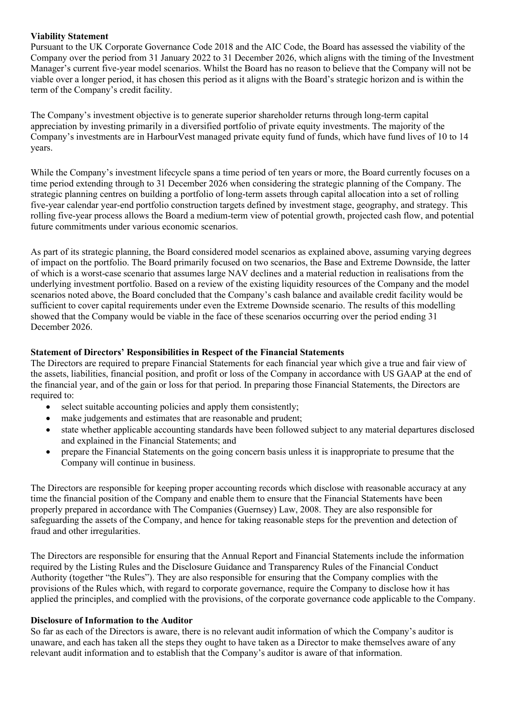## **Viability Statement**

Pursuant to the UK Corporate Governance Code 2018 and the AIC Code, the Board has assessed the viability of the Company over the period from 31 January 2022 to 31 December 2026, which aligns with the timing of the Investment Manager's current five-year model scenarios. Whilst the Board has no reason to believe that the Company will not be viable over a longer period, it has chosen this period as it aligns with the Board's strategic horizon and is within the term of the Company's credit facility.

The Company's investment objective is to generate superior shareholder returns through long-term capital appreciation by investing primarily in a diversified portfolio of private equity investments. The majority of the Company's investments are in HarbourVest managed private equity fund of funds, which have fund lives of 10 to 14 years.

While the Company's investment lifecycle spans a time period of ten years or more, the Board currently focuses on a time period extending through to 31 December 2026 when considering the strategic planning of the Company. The strategic planning centres on building a portfolio of long-term assets through capital allocation into a set of rolling five-year calendar year-end portfolio construction targets defined by investment stage, geography, and strategy. This rolling five-year process allows the Board a medium-term view of potential growth, projected cash flow, and potential future commitments under various economic scenarios.

As part of its strategic planning, the Board considered model scenarios as explained above, assuming varying degrees of impact on the portfolio. The Board primarily focused on two scenarios, the Base and Extreme Downside, the latter of which is a worst-case scenario that assumes large NAV declines and a material reduction in realisations from the underlying investment portfolio. Based on a review of the existing liquidity resources of the Company and the model scenarios noted above, the Board concluded that the Company's cash balance and available credit facility would be sufficient to cover capital requirements under even the Extreme Downside scenario. The results of this modelling showed that the Company would be viable in the face of these scenarios occurring over the period ending 31 December 2026.

## **Statement of Directors' Responsibilities in Respect of the Financial Statements**

The Directors are required to prepare Financial Statements for each financial year which give a true and fair view of the assets, liabilities, financial position, and profit or loss of the Company in accordance with US GAAP at the end of the financial year, and of the gain or loss for that period. In preparing those Financial Statements, the Directors are required to:

- select suitable accounting policies and apply them consistently;
- make judgements and estimates that are reasonable and prudent;
- state whether applicable accounting standards have been followed subject to any material departures disclosed and explained in the Financial Statements; and
- prepare the Financial Statements on the going concern basis unless it is inappropriate to presume that the Company will continue in business.

The Directors are responsible for keeping proper accounting records which disclose with reasonable accuracy at any time the financial position of the Company and enable them to ensure that the Financial Statements have been properly prepared in accordance with The Companies (Guernsey) Law, 2008. They are also responsible for safeguarding the assets of the Company, and hence for taking reasonable steps for the prevention and detection of fraud and other irregularities.

The Directors are responsible for ensuring that the Annual Report and Financial Statements include the information required by the Listing Rules and the Disclosure Guidance and Transparency Rules of the Financial Conduct Authority (together "the Rules"). They are also responsible for ensuring that the Company complies with the provisions of the Rules which, with regard to corporate governance, require the Company to disclose how it has applied the principles, and complied with the provisions, of the corporate governance code applicable to the Company.

## **Disclosure of Information to the Auditor**

So far as each of the Directors is aware, there is no relevant audit information of which the Company's auditor is unaware, and each has taken all the steps they ought to have taken as a Director to make themselves aware of any relevant audit information and to establish that the Company's auditor is aware of that information.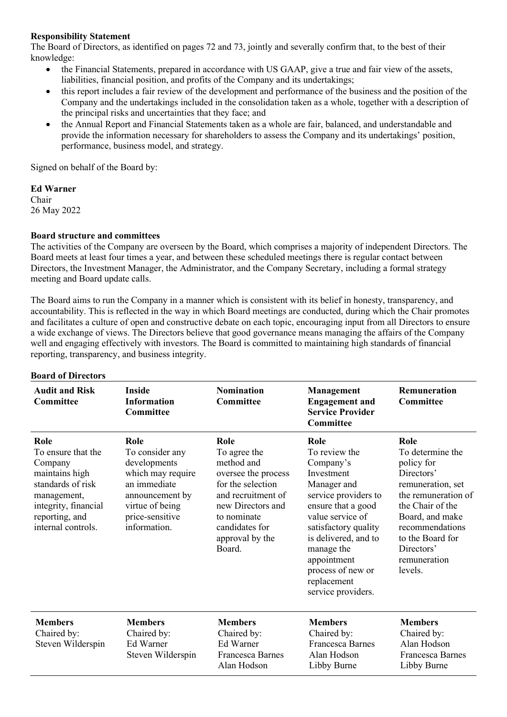## **Responsibility Statement**

The Board of Directors, as identified on pages 72 and 73, jointly and severally confirm that, to the best of their knowledge:

- the Financial Statements, prepared in accordance with US GAAP, give a true and fair view of the assets, liabilities, financial position, and profits of the Company and its undertakings;
- this report includes a fair review of the development and performance of the business and the position of the Company and the undertakings included in the consolidation taken as a whole, together with a description of the principal risks and uncertainties that they face; and
- the Annual Report and Financial Statements taken as a whole are fair, balanced, and understandable and provide the information necessary for shareholders to assess the Company and its undertakings' position, performance, business model, and strategy.

Signed on behalf of the Board by:

## **Ed Warner**

Chair 26 May 2022

## **Board structure and committees**

The activities of the Company are overseen by the Board, which comprises a majority of independent Directors. The Board meets at least four times a year, and between these scheduled meetings there is regular contact between Directors, the Investment Manager, the Administrator, and the Company Secretary, including a formal strategy meeting and Board update calls.

The Board aims to run the Company in a manner which is consistent with its belief in honesty, transparency, and accountability. This is reflected in the way in which Board meetings are conducted, during which the Chair promotes and facilitates a culture of open and constructive debate on each topic, encouraging input from all Directors to ensure a wide exchange of views. The Directors believe that good governance means managing the affairs of the Company well and engaging effectively with investors. The Board is committed to maintaining high standards of financial reporting, transparency, and business integrity.

#### **Audit and Risk Committee Inside Information Committee Nomination Committee Management Engagement and Service Provider Committee Remuneration Committee Role** To ensure that the Company maintains high standards of risk management, integrity, financial reporting, and internal controls. **Role** To consider any developments which may require an immediate announcement by virtue of being price-sensitive information. **Role** To agree the method and oversee the process for the selection and recruitment of new Directors and to nominate candidates for approval by the Board. **Role** To review the Company's Investment Manager and service providers to ensure that a good value service of satisfactory quality is delivered, and to manage the appointment process of new or replacement service providers. **Role** To determine the policy for Directors' remuneration, set the remuneration of the Chair of the Board, and make recommendations to the Board for Directors' remuneration levels. **Members** Chaired by: Steven Wilderspin **Members** Chaired by: Ed Warner Steven Wilderspin **Members**  Chaired by: Ed Warner Francesca Barnes Alan Hodson **Members** Chaired by: Francesca Barnes Alan Hodson Libby Burne **Members** Chaired by: Alan Hodson Francesca Barnes Libby Burne

## **Board of Directors**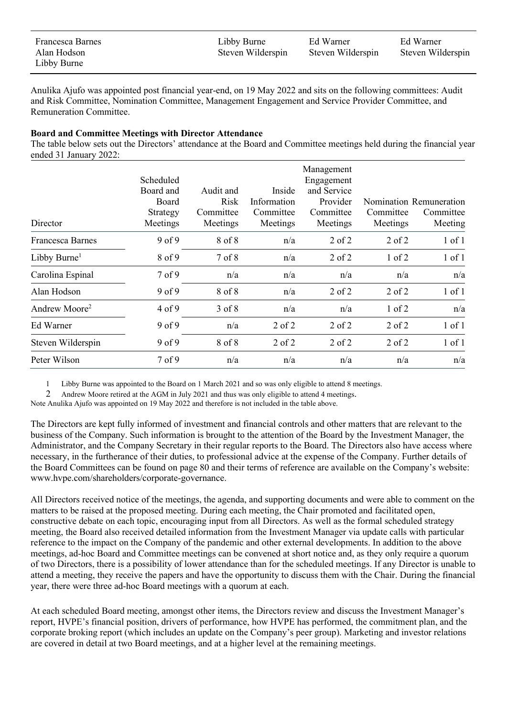| Francesca Barnes | Libby Burne       | Ed Warner         | Ed Warner         |
|------------------|-------------------|-------------------|-------------------|
| Alan Hodson      | Steven Wilderspin | Steven Wilderspin | Steven Wilderspin |
| Libby Burne      |                   |                   |                   |

Anulika Ajufo was appointed post financial year-end, on 19 May 2022 and sits on the following committees: Audit and Risk Committee, Nomination Committee, Management Engagement and Service Provider Committee, and Remuneration Committee.

#### **Board and Committee Meetings with Director Attendance**

The table below sets out the Directors' attendance at the Board and Committee meetings held during the financial year ended 31 January 2022:

|                           |                   |            |             | Management  |            |                         |
|---------------------------|-------------------|------------|-------------|-------------|------------|-------------------------|
|                           | Scheduled         |            |             | Engagement  |            |                         |
|                           | Board and         | Audit and  | Inside      | and Service |            |                         |
|                           | Board             | Risk       | Information | Provider    |            | Nomination Remuneration |
|                           | Strategy          | Committee  | Committee   | Committee   | Committee  | Committee               |
| Director                  | Meetings          | Meetings   | Meetings    | Meetings    | Meetings   | Meeting                 |
| <b>Francesca Barnes</b>   | $9$ of $9$        | 8 of 8     | n/a         | $2$ of $2$  | $2$ of $2$ | $1$ of $1$              |
| Libby Burne <sup>1</sup>  | 8 of 9            | 7 of 8     | n/a         | $2$ of $2$  | $1$ of $2$ | $1$ of $1$              |
| Carolina Espinal          | 7 <sub>of</sub> 9 | n/a        | n/a         | n/a         | n/a        | n/a                     |
| Alan Hodson               | $9$ of $9$        | 8 of 8     | n/a         | $2$ of $2$  | $2$ of $2$ | $1$ of $1$              |
| Andrew Moore <sup>2</sup> | 4 of 9            | $3$ of $8$ | n/a         | n/a         | $1$ of $2$ | n/a                     |
| Ed Warner                 | $9$ of $9$        | n/a        | $2$ of $2$  | $2$ of $2$  | $2$ of $2$ | $1$ of $1$              |
| Steven Wilderspin         | $9$ of $9$        | 8 of 8     | $2$ of $2$  | $2$ of $2$  | $2$ of $2$ | $1$ of $1$              |
| Peter Wilson              | 7 <sub>of</sub> 9 | n/a        | n/a         | n/a         | n/a        | n/a                     |

1 Libby Burne was appointed to the Board on 1 March 2021 and so was only eligible to attend 8 meetings.

<sup>2</sup> Andrew Moore retired at the AGM in July 2021 and thus was only eligible to attend 4 meetings. Note Anulika Ajufo was appointed on 19 May 2022 and therefore is not included in the table above.

The Directors are kept fully informed of investment and financial controls and other matters that are relevant to the business of the Company. Such information is brought to the attention of the Board by the Investment Manager, the Administrator, and the Company Secretary in their regular reports to the Board. The Directors also have access where necessary, in the furtherance of their duties, to professional advice at the expense of the Company. Further details of the Board Committees can be found on page 80 and their terms of reference are available on the Company's website: www.hvpe.com/shareholders/corporate-governance.

All Directors received notice of the meetings, the agenda, and supporting documents and were able to comment on the matters to be raised at the proposed meeting. During each meeting, the Chair promoted and facilitated open, constructive debate on each topic, encouraging input from all Directors. As well as the formal scheduled strategy meeting, the Board also received detailed information from the Investment Manager via update calls with particular reference to the impact on the Company of the pandemic and other external developments. In addition to the above meetings, ad-hoc Board and Committee meetings can be convened at short notice and, as they only require a quorum of two Directors, there is a possibility of lower attendance than for the scheduled meetings. If any Director is unable to attend a meeting, they receive the papers and have the opportunity to discuss them with the Chair. During the financial year, there were three ad-hoc Board meetings with a quorum at each.

At each scheduled Board meeting, amongst other items, the Directors review and discuss the Investment Manager's report, HVPE's financial position, drivers of performance, how HVPE has performed, the commitment plan, and the corporate broking report (which includes an update on the Company's peer group). Marketing and investor relations are covered in detail at two Board meetings, and at a higher level at the remaining meetings.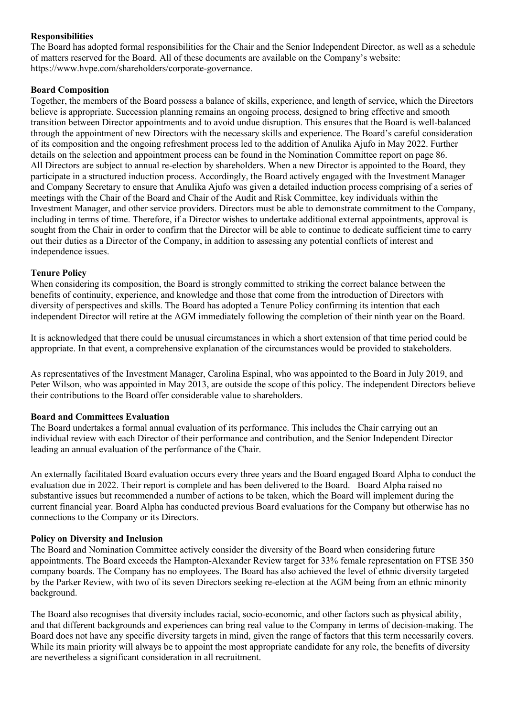## **Responsibilities**

The Board has adopted formal responsibilities for the Chair and the Senior Independent Director, as well as a schedule of matters reserved for the Board. All of these documents are available on the Company's website: https://www.hvpe.com/shareholders/corporate-governance.

## **Board Composition**

Together, the members of the Board possess a balance of skills, experience, and length of service, which the Directors believe is appropriate. Succession planning remains an ongoing process, designed to bring effective and smooth transition between Director appointments and to avoid undue disruption. This ensures that the Board is well-balanced through the appointment of new Directors with the necessary skills and experience. The Board's careful consideration of its composition and the ongoing refreshment process led to the addition of Anulika Ajufo in May 2022. Further details on the selection and appointment process can be found in the Nomination Committee report on page 86. All Directors are subject to annual re-election by shareholders. When a new Director is appointed to the Board, they participate in a structured induction process. Accordingly, the Board actively engaged with the Investment Manager and Company Secretary to ensure that Anulika Ajufo was given a detailed induction process comprising of a series of meetings with the Chair of the Board and Chair of the Audit and Risk Committee, key individuals within the Investment Manager, and other service providers. Directors must be able to demonstrate commitment to the Company, including in terms of time. Therefore, if a Director wishes to undertake additional external appointments, approval is sought from the Chair in order to confirm that the Director will be able to continue to dedicate sufficient time to carry out their duties as a Director of the Company, in addition to assessing any potential conflicts of interest and independence issues.

## **Tenure Policy**

When considering its composition, the Board is strongly committed to striking the correct balance between the benefits of continuity, experience, and knowledge and those that come from the introduction of Directors with diversity of perspectives and skills. The Board has adopted a Tenure Policy confirming its intention that each independent Director will retire at the AGM immediately following the completion of their ninth year on the Board.

It is acknowledged that there could be unusual circumstances in which a short extension of that time period could be appropriate. In that event, a comprehensive explanation of the circumstances would be provided to stakeholders.

As representatives of the Investment Manager, Carolina Espinal, who was appointed to the Board in July 2019, and Peter Wilson, who was appointed in May 2013, are outside the scope of this policy. The independent Directors believe their contributions to the Board offer considerable value to shareholders.

## **Board and Committees Evaluation**

The Board undertakes a formal annual evaluation of its performance. This includes the Chair carrying out an individual review with each Director of their performance and contribution, and the Senior Independent Director leading an annual evaluation of the performance of the Chair.

An externally facilitated Board evaluation occurs every three years and the Board engaged Board Alpha to conduct the evaluation due in 2022. Their report is complete and has been delivered to the Board. Board Alpha raised no substantive issues but recommended a number of actions to be taken, which the Board will implement during the current financial year. Board Alpha has conducted previous Board evaluations for the Company but otherwise has no connections to the Company or its Directors.

#### **Policy on Diversity and Inclusion**

The Board and Nomination Committee actively consider the diversity of the Board when considering future appointments. The Board exceeds the Hampton-Alexander Review target for 33% female representation on FTSE 350 company boards. The Company has no employees. The Board has also achieved the level of ethnic diversity targeted by the Parker Review, with two of its seven Directors seeking re-election at the AGM being from an ethnic minority background.

The Board also recognises that diversity includes racial, socio-economic, and other factors such as physical ability, and that different backgrounds and experiences can bring real value to the Company in terms of decision-making. The Board does not have any specific diversity targets in mind, given the range of factors that this term necessarily covers. While its main priority will always be to appoint the most appropriate candidate for any role, the benefits of diversity are nevertheless a significant consideration in all recruitment.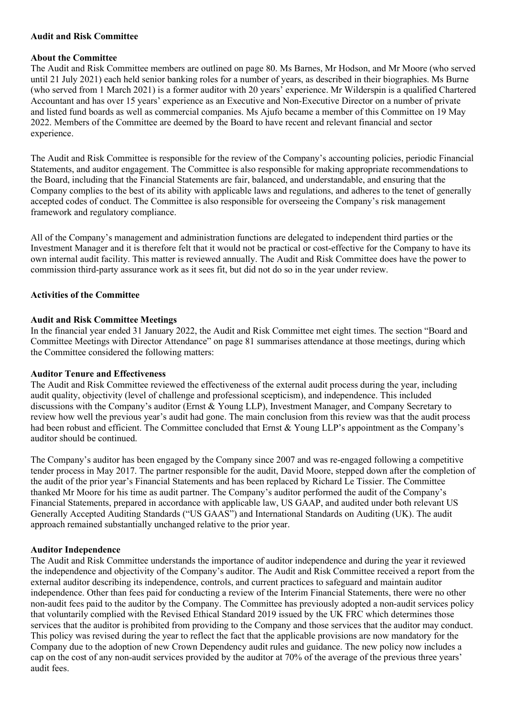## **Audit and Risk Committee**

#### **About the Committee**

The Audit and Risk Committee members are outlined on page 80. Ms Barnes, Mr Hodson, and Mr Moore (who served until 21 July 2021) each held senior banking roles for a number of years, as described in their biographies. Ms Burne (who served from 1 March 2021) is a former auditor with 20 years' experience. Mr Wilderspin is a qualified Chartered Accountant and has over 15 years' experience as an Executive and Non-Executive Director on a number of private and listed fund boards as well as commercial companies. Ms Ajufo became a member of this Committee on 19 May 2022. Members of the Committee are deemed by the Board to have recent and relevant financial and sector experience.

The Audit and Risk Committee is responsible for the review of the Company's accounting policies, periodic Financial Statements, and auditor engagement. The Committee is also responsible for making appropriate recommendations to the Board, including that the Financial Statements are fair, balanced, and understandable, and ensuring that the Company complies to the best of its ability with applicable laws and regulations, and adheres to the tenet of generally accepted codes of conduct. The Committee is also responsible for overseeing the Company's risk management framework and regulatory compliance.

All of the Company's management and administration functions are delegated to independent third parties or the Investment Manager and it is therefore felt that it would not be practical or cost-effective for the Company to have its own internal audit facility. This matter is reviewed annually. The Audit and Risk Committee does have the power to commission third-party assurance work as it sees fit, but did not do so in the year under review.

## **Activities of the Committee**

## **Audit and Risk Committee Meetings**

In the financial year ended 31 January 2022, the Audit and Risk Committee met eight times. The section "Board and Committee Meetings with Director Attendance" on page 81 summarises attendance at those meetings, during which the Committee considered the following matters:

#### **Auditor Tenure and Effectiveness**

The Audit and Risk Committee reviewed the effectiveness of the external audit process during the year, including audit quality, objectivity (level of challenge and professional scepticism), and independence. This included discussions with the Company's auditor (Ernst & Young LLP), Investment Manager, and Company Secretary to review how well the previous year's audit had gone. The main conclusion from this review was that the audit process had been robust and efficient. The Committee concluded that Ernst & Young LLP's appointment as the Company's auditor should be continued.

The Company's auditor has been engaged by the Company since 2007 and was re-engaged following a competitive tender process in May 2017. The partner responsible for the audit, David Moore, stepped down after the completion of the audit of the prior year's Financial Statements and has been replaced by Richard Le Tissier. The Committee thanked Mr Moore for his time as audit partner. The Company's auditor performed the audit of the Company's Financial Statements, prepared in accordance with applicable law, US GAAP, and audited under both relevant US Generally Accepted Auditing Standards ("US GAAS") and International Standards on Auditing (UK). The audit approach remained substantially unchanged relative to the prior year.

#### **Auditor Independence**

The Audit and Risk Committee understands the importance of auditor independence and during the year it reviewed the independence and objectivity of the Company's auditor. The Audit and Risk Committee received a report from the external auditor describing its independence, controls, and current practices to safeguard and maintain auditor independence. Other than fees paid for conducting a review of the Interim Financial Statements, there were no other non-audit fees paid to the auditor by the Company. The Committee has previously adopted a non-audit services policy that voluntarily complied with the Revised Ethical Standard 2019 issued by the UK FRC which determines those services that the auditor is prohibited from providing to the Company and those services that the auditor may conduct. This policy was revised during the year to reflect the fact that the applicable provisions are now mandatory for the Company due to the adoption of new Crown Dependency audit rules and guidance. The new policy now includes a cap on the cost of any non-audit services provided by the auditor at 70% of the average of the previous three years' audit fees.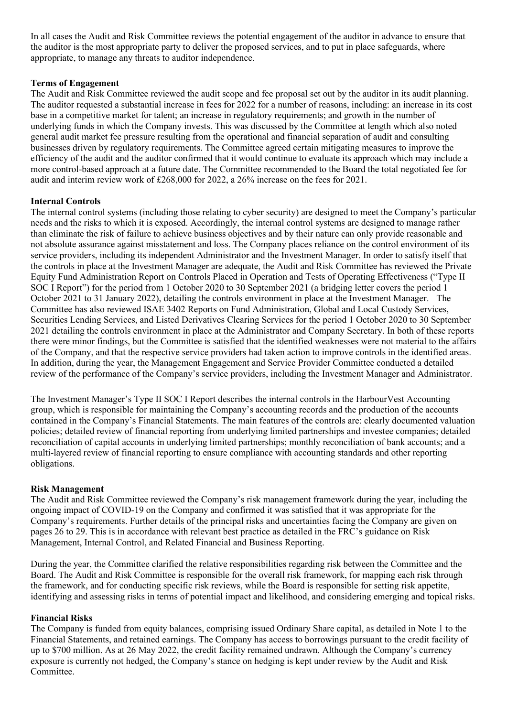In all cases the Audit and Risk Committee reviews the potential engagement of the auditor in advance to ensure that the auditor is the most appropriate party to deliver the proposed services, and to put in place safeguards, where appropriate, to manage any threats to auditor independence.

## **Terms of Engagement**

The Audit and Risk Committee reviewed the audit scope and fee proposal set out by the auditor in its audit planning. The auditor requested a substantial increase in fees for 2022 for a number of reasons, including: an increase in its cost base in a competitive market for talent; an increase in regulatory requirements; and growth in the number of underlying funds in which the Company invests. This was discussed by the Committee at length which also noted general audit market fee pressure resulting from the operational and financial separation of audit and consulting businesses driven by regulatory requirements. The Committee agreed certain mitigating measures to improve the efficiency of the audit and the auditor confirmed that it would continue to evaluate its approach which may include a more control-based approach at a future date. The Committee recommended to the Board the total negotiated fee for audit and interim review work of £268,000 for 2022, a 26% increase on the fees for 2021.

## **Internal Controls**

The internal control systems (including those relating to cyber security) are designed to meet the Company's particular needs and the risks to which it is exposed. Accordingly, the internal control systems are designed to manage rather than eliminate the risk of failure to achieve business objectives and by their nature can only provide reasonable and not absolute assurance against misstatement and loss. The Company places reliance on the control environment of its service providers, including its independent Administrator and the Investment Manager. In order to satisfy itself that the controls in place at the Investment Manager are adequate, the Audit and Risk Committee has reviewed the Private Equity Fund Administration Report on Controls Placed in Operation and Tests of Operating Effectiveness ("Type II SOC I Report") for the period from 1 October 2020 to 30 September 2021 (a bridging letter covers the period 1 October 2021 to 31 January 2022), detailing the controls environment in place at the Investment Manager. The Committee has also reviewed ISAE 3402 Reports on Fund Administration, Global and Local Custody Services, Securities Lending Services, and Listed Derivatives Clearing Services for the period 1 October 2020 to 30 September 2021 detailing the controls environment in place at the Administrator and Company Secretary. In both of these reports there were minor findings, but the Committee is satisfied that the identified weaknesses were not material to the affairs of the Company, and that the respective service providers had taken action to improve controls in the identified areas. In addition, during the year, the Management Engagement and Service Provider Committee conducted a detailed review of the performance of the Company's service providers, including the Investment Manager and Administrator.

The Investment Manager's Type II SOC I Report describes the internal controls in the HarbourVest Accounting group, which is responsible for maintaining the Company's accounting records and the production of the accounts contained in the Company's Financial Statements. The main features of the controls are: clearly documented valuation policies; detailed review of financial reporting from underlying limited partnerships and investee companies; detailed reconciliation of capital accounts in underlying limited partnerships; monthly reconciliation of bank accounts; and a multi-layered review of financial reporting to ensure compliance with accounting standards and other reporting obligations.

#### **Risk Management**

The Audit and Risk Committee reviewed the Company's risk management framework during the year, including the ongoing impact of COVID-19 on the Company and confirmed it was satisfied that it was appropriate for the Company's requirements. Further details of the principal risks and uncertainties facing the Company are given on pages 26 to 29. This is in accordance with relevant best practice as detailed in the FRC's guidance on Risk Management, Internal Control, and Related Financial and Business Reporting.

During the year, the Committee clarified the relative responsibilities regarding risk between the Committee and the Board. The Audit and Risk Committee is responsible for the overall risk framework, for mapping each risk through the framework, and for conducting specific risk reviews, while the Board is responsible for setting risk appetite, identifying and assessing risks in terms of potential impact and likelihood, and considering emerging and topical risks.

#### **Financial Risks**

The Company is funded from equity balances, comprising issued Ordinary Share capital, as detailed in Note 1 to the Financial Statements, and retained earnings. The Company has access to borrowings pursuant to the credit facility of up to \$700 million. As at 26 May 2022, the credit facility remained undrawn. Although the Company's currency exposure is currently not hedged, the Company's stance on hedging is kept under review by the Audit and Risk Committee.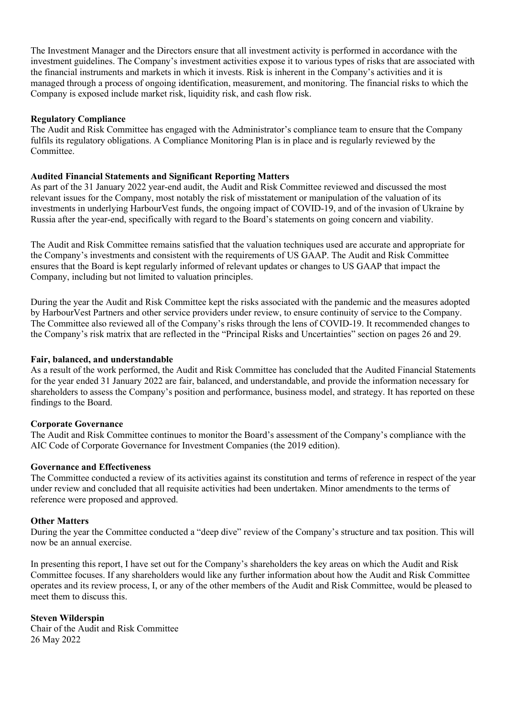The Investment Manager and the Directors ensure that all investment activity is performed in accordance with the investment guidelines. The Company's investment activities expose it to various types of risks that are associated with the financial instruments and markets in which it invests. Risk is inherent in the Company's activities and it is managed through a process of ongoing identification, measurement, and monitoring. The financial risks to which the Company is exposed include market risk, liquidity risk, and cash flow risk.

#### **Regulatory Compliance**

The Audit and Risk Committee has engaged with the Administrator's compliance team to ensure that the Company fulfils its regulatory obligations. A Compliance Monitoring Plan is in place and is regularly reviewed by the Committee.

#### **Audited Financial Statements and Significant Reporting Matters**

As part of the 31 January 2022 year-end audit, the Audit and Risk Committee reviewed and discussed the most relevant issues for the Company, most notably the risk of misstatement or manipulation of the valuation of its investments in underlying HarbourVest funds, the ongoing impact of COVID-19, and of the invasion of Ukraine by Russia after the year-end, specifically with regard to the Board's statements on going concern and viability.

The Audit and Risk Committee remains satisfied that the valuation techniques used are accurate and appropriate for the Company's investments and consistent with the requirements of US GAAP. The Audit and Risk Committee ensures that the Board is kept regularly informed of relevant updates or changes to US GAAP that impact the Company, including but not limited to valuation principles.

During the year the Audit and Risk Committee kept the risks associated with the pandemic and the measures adopted by HarbourVest Partners and other service providers under review, to ensure continuity of service to the Company. The Committee also reviewed all of the Company's risks through the lens of COVID-19. It recommended changes to the Company's risk matrix that are reflected in the "Principal Risks and Uncertainties" section on pages 26 and 29.

#### **Fair, balanced, and understandable**

As a result of the work performed, the Audit and Risk Committee has concluded that the Audited Financial Statements for the year ended 31 January 2022 are fair, balanced, and understandable, and provide the information necessary for shareholders to assess the Company's position and performance, business model, and strategy. It has reported on these findings to the Board.

#### **Corporate Governance**

The Audit and Risk Committee continues to monitor the Board's assessment of the Company's compliance with the AIC Code of Corporate Governance for Investment Companies (the 2019 edition).

#### **Governance and Effectiveness**

The Committee conducted a review of its activities against its constitution and terms of reference in respect of the year under review and concluded that all requisite activities had been undertaken. Minor amendments to the terms of reference were proposed and approved.

#### **Other Matters**

During the year the Committee conducted a "deep dive" review of the Company's structure and tax position. This will now be an annual exercise.

In presenting this report, I have set out for the Company's shareholders the key areas on which the Audit and Risk Committee focuses. If any shareholders would like any further information about how the Audit and Risk Committee operates and its review process, I, or any of the other members of the Audit and Risk Committee, would be pleased to meet them to discuss this.

#### **Steven Wilderspin**

Chair of the Audit and Risk Committee 26 May 2022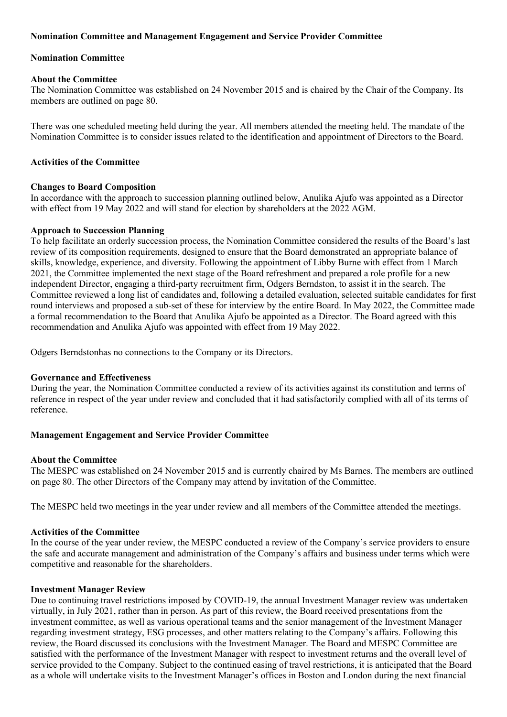## **Nomination Committee and Management Engagement and Service Provider Committee**

#### **Nomination Committee**

#### **About the Committee**

The Nomination Committee was established on 24 November 2015 and is chaired by the Chair of the Company. Its members are outlined on page 80.

There was one scheduled meeting held during the year. All members attended the meeting held. The mandate of the Nomination Committee is to consider issues related to the identification and appointment of Directors to the Board.

#### **Activities of the Committee**

#### **Changes to Board Composition**

In accordance with the approach to succession planning outlined below, Anulika Ajufo was appointed as a Director with effect from 19 May 2022 and will stand for election by shareholders at the 2022 AGM.

## **Approach to Succession Planning**

To help facilitate an orderly succession process, the Nomination Committee considered the results of the Board's last review of its composition requirements, designed to ensure that the Board demonstrated an appropriate balance of skills, knowledge, experience, and diversity. Following the appointment of Libby Burne with effect from 1 March 2021, the Committee implemented the next stage of the Board refreshment and prepared a role profile for a new independent Director, engaging a third-party recruitment firm, Odgers Berndston, to assist it in the search. The Committee reviewed a long list of candidates and, following a detailed evaluation, selected suitable candidates for first round interviews and proposed a sub-set of these for interview by the entire Board. In May 2022, the Committee made a formal recommendation to the Board that Anulika Ajufo be appointed as a Director. The Board agreed with this recommendation and Anulika Ajufo was appointed with effect from 19 May 2022.

Odgers Berndstonhas no connections to the Company or its Directors.

#### **Governance and Effectiveness**

During the year, the Nomination Committee conducted a review of its activities against its constitution and terms of reference in respect of the year under review and concluded that it had satisfactorily complied with all of its terms of reference.

## **Management Engagement and Service Provider Committee**

#### **About the Committee**

The MESPC was established on 24 November 2015 and is currently chaired by Ms Barnes. The members are outlined on page 80. The other Directors of the Company may attend by invitation of the Committee.

The MESPC held two meetings in the year under review and all members of the Committee attended the meetings.

#### **Activities of the Committee**

In the course of the year under review, the MESPC conducted a review of the Company's service providers to ensure the safe and accurate management and administration of the Company's affairs and business under terms which were competitive and reasonable for the shareholders.

#### **Investment Manager Review**

Due to continuing travel restrictions imposed by COVID-19, the annual Investment Manager review was undertaken virtually, in July 2021, rather than in person. As part of this review, the Board received presentations from the investment committee, as well as various operational teams and the senior management of the Investment Manager regarding investment strategy, ESG processes, and other matters relating to the Company's affairs. Following this review, the Board discussed its conclusions with the Investment Manager. The Board and MESPC Committee are satisfied with the performance of the Investment Manager with respect to investment returns and the overall level of service provided to the Company. Subject to the continued easing of travel restrictions, it is anticipated that the Board as a whole will undertake visits to the Investment Manager's offices in Boston and London during the next financial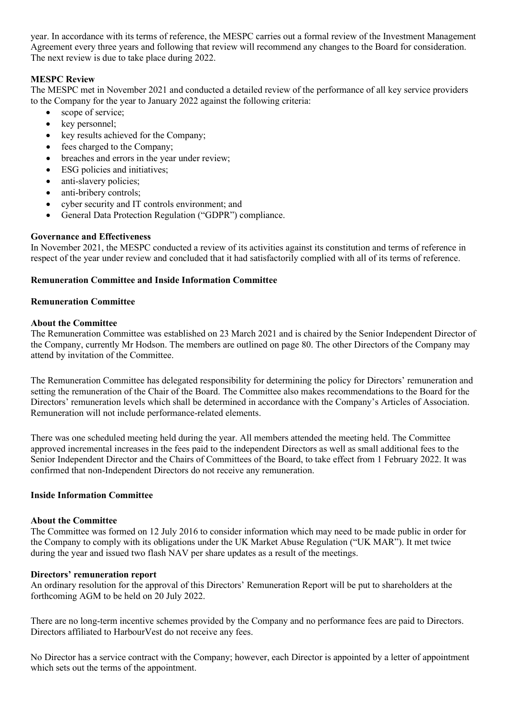year. In accordance with its terms of reference, the MESPC carries out a formal review of the Investment Management Agreement every three years and following that review will recommend any changes to the Board for consideration. The next review is due to take place during 2022.

## **MESPC Review**

The MESPC met in November 2021 and conducted a detailed review of the performance of all key service providers to the Company for the year to January 2022 against the following criteria:

- scope of service;
- key personnel;
- key results achieved for the Company;
- fees charged to the Company;
- breaches and errors in the year under review;
- ESG policies and initiatives:
- anti-slavery policies;
- anti-bribery controls:
- cyber security and IT controls environment; and
- General Data Protection Regulation ("GDPR") compliance.

## **Governance and Effectiveness**

In November 2021, the MESPC conducted a review of its activities against its constitution and terms of reference in respect of the year under review and concluded that it had satisfactorily complied with all of its terms of reference.

## **Remuneration Committee and Inside Information Committee**

## **Remuneration Committee**

## **About the Committee**

The Remuneration Committee was established on 23 March 2021 and is chaired by the Senior Independent Director of the Company, currently Mr Hodson. The members are outlined on page 80. The other Directors of the Company may attend by invitation of the Committee.

The Remuneration Committee has delegated responsibility for determining the policy for Directors' remuneration and setting the remuneration of the Chair of the Board. The Committee also makes recommendations to the Board for the Directors' remuneration levels which shall be determined in accordance with the Company's Articles of Association. Remuneration will not include performance-related elements.

There was one scheduled meeting held during the year. All members attended the meeting held. The Committee approved incremental increases in the fees paid to the independent Directors as well as small additional fees to the Senior Independent Director and the Chairs of Committees of the Board, to take effect from 1 February 2022. It was confirmed that non-Independent Directors do not receive any remuneration.

## **Inside Information Committee**

## **About the Committee**

The Committee was formed on 12 July 2016 to consider information which may need to be made public in order for the Company to comply with its obligations under the UK Market Abuse Regulation ("UK MAR"). It met twice during the year and issued two flash NAV per share updates as a result of the meetings.

## **Directors' remuneration report**

An ordinary resolution for the approval of this Directors' Remuneration Report will be put to shareholders at the forthcoming AGM to be held on 20 July 2022.

There are no long-term incentive schemes provided by the Company and no performance fees are paid to Directors. Directors affiliated to HarbourVest do not receive any fees.

No Director has a service contract with the Company; however, each Director is appointed by a letter of appointment which sets out the terms of the appointment.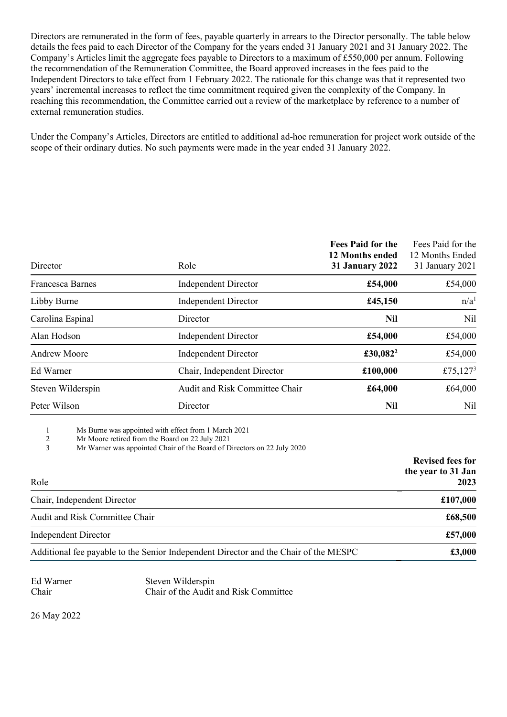Directors are remunerated in the form of fees, payable quarterly in arrears to the Director personally. The table below details the fees paid to each Director of the Company for the years ended 31 January 2021 and 31 January 2022. The Company's Articles limit the aggregate fees payable to Directors to a maximum of £550,000 per annum. Following the recommendation of the Remuneration Committee, the Board approved increases in the fees paid to the Independent Directors to take effect from 1 February 2022. The rationale for this change was that it represented two years' incremental increases to reflect the time commitment required given the complexity of the Company. In reaching this recommendation, the Committee carried out a review of the marketplace by reference to a number of external remuneration studies.

Under the Company's Articles, Directors are entitled to additional ad-hoc remuneration for project work outside of the scope of their ordinary duties. No such payments were made in the year ended 31 January 2022.

| Director            | Role                           | <b>Fees Paid for the</b><br><b>12 Months ended</b><br><b>31 January 2022</b> | Fees Paid for the<br>12 Months Ended<br>31 January 2021 |
|---------------------|--------------------------------|------------------------------------------------------------------------------|---------------------------------------------------------|
| Francesca Barnes    | <b>Independent Director</b>    | £54,000                                                                      | £54,000                                                 |
| Libby Burne         | <b>Independent Director</b>    | £45,150                                                                      | n/a <sup>1</sup>                                        |
| Carolina Espinal    | Director                       | Nil                                                                          | N <sub>il</sub>                                         |
| Alan Hodson         | <b>Independent Director</b>    | £54,000                                                                      | £54,000                                                 |
| <b>Andrew Moore</b> | <b>Independent Director</b>    | £30,082 <sup>2</sup>                                                         | £54,000                                                 |
| Ed Warner           | Chair, Independent Director    | £100,000                                                                     | £75,127 <sup>3</sup>                                    |
| Steven Wilderspin   | Audit and Risk Committee Chair | £64,000                                                                      | £64,000                                                 |
| Peter Wilson        | Director                       | <b>Nil</b>                                                                   | N <sub>il</sub>                                         |

1 Ms Burne was appointed with effect from 1 March 2021

2 Mr Moore retired from the Board on 22 July 2021<br>3 Mr Warner was appointed Chair of the Board of D

3 Mr Warner was appointed Chair of the Board of Directors on 22 July 2020

| Role                                                                                 | <b>Revised fees for</b><br>the year to 31 Jan<br>2023 |
|--------------------------------------------------------------------------------------|-------------------------------------------------------|
| Chair, Independent Director                                                          | £107,000                                              |
| Audit and Risk Committee Chair                                                       | £68,500                                               |
| <b>Independent Director</b>                                                          | £57,000                                               |
| Additional fee payable to the Senior Independent Director and the Chair of the MESPC | £3,000                                                |

Ed Warner Chair

Steven Wilderspin Chair of the Audit and Risk Committee

26 May 2022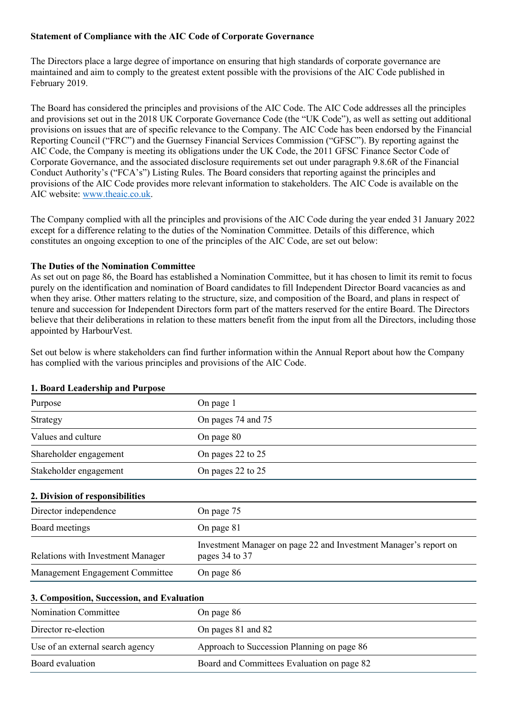## **Statement of Compliance with the AIC Code of Corporate Governance**

The Directors place a large degree of importance on ensuring that high standards of corporate governance are maintained and aim to comply to the greatest extent possible with the provisions of the AIC Code published in February 2019.

The Board has considered the principles and provisions of the AIC Code. The AIC Code addresses all the principles and provisions set out in the 2018 UK Corporate Governance Code (the "UK Code"), as well as setting out additional provisions on issues that are of specific relevance to the Company. The AIC Code has been endorsed by the Financial Reporting Council ("FRC") and the Guernsey Financial Services Commission ("GFSC"). By reporting against the AIC Code, the Company is meeting its obligations under the UK Code, the 2011 GFSC Finance Sector Code of Corporate Governance, and the associated disclosure requirements set out under paragraph 9.8.6R of the Financial Conduct Authority's ("FCA's") Listing Rules. The Board considers that reporting against the principles and provisions of the AIC Code provides more relevant information to stakeholders. The AIC Code is available on the AIC website: [www.theaic.co.uk.](http://www.theaic.co.uk/)

The Company complied with all the principles and provisions of the AIC Code during the year ended 31 January 2022 except for a difference relating to the duties of the Nomination Committee. Details of this difference, which constitutes an ongoing exception to one of the principles of the AIC Code, are set out below:

## **The Duties of the Nomination Committee**

As set out on page 86, the Board has established a Nomination Committee, but it has chosen to limit its remit to focus purely on the identification and nomination of Board candidates to fill Independent Director Board vacancies as and when they arise. Other matters relating to the structure, size, and composition of the Board, and plans in respect of tenure and succession for Independent Directors form part of the matters reserved for the entire Board. The Directors believe that their deliberations in relation to these matters benefit from the input from all the Directors, including those appointed by HarbourVest.

Set out below is where stakeholders can find further information within the Annual Report about how the Company has complied with the various principles and provisions of the AIC Code.

| Purpose                                    | On page 1                                                                          |
|--------------------------------------------|------------------------------------------------------------------------------------|
| Strategy                                   | On pages 74 and 75                                                                 |
| Values and culture                         | On page 80                                                                         |
| Shareholder engagement                     | On pages 22 to 25                                                                  |
| Stakeholder engagement                     | On pages 22 to 25                                                                  |
| 2. Division of responsibilities            |                                                                                    |
| Director independence                      | On page 75                                                                         |
| Board meetings                             | On page 81                                                                         |
| Relations with Investment Manager          | Investment Manager on page 22 and Investment Manager's report on<br>pages 34 to 37 |
| Management Engagement Committee            | On page 86                                                                         |
| 3. Composition, Succession, and Evaluation |                                                                                    |
| Nomination Committee                       | On page 86                                                                         |
| Director re-election                       | On pages 81 and 82                                                                 |
| Use of an external search agency           | Approach to Succession Planning on page 86                                         |
| Board evaluation                           | Board and Committees Evaluation on page 82                                         |

## **1. Board Leadership and Purpose**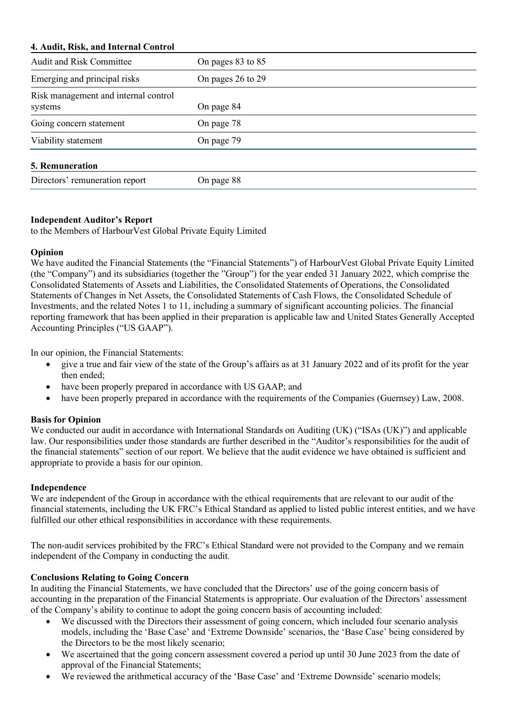|  |  |  |  |  | 4. Audit, Risk, and Internal Control |  |
|--|--|--|--|--|--------------------------------------|--|
|--|--|--|--|--|--------------------------------------|--|

| <b>Audit and Risk Committee</b>                 | On pages 83 to 85 |
|-------------------------------------------------|-------------------|
| Emerging and principal risks                    | On pages 26 to 29 |
| Risk management and internal control<br>systems | On page 84        |
| Going concern statement                         | On page 78        |
| Viability statement                             | On page 79        |
| 5. Remuneration                                 |                   |
| Directors' remuneration report                  | On page 88        |

## **Independent Auditor's Report**

to the Members of HarbourVest Global Private Equity Limited

## **Opinion**

We have audited the Financial Statements (the "Financial Statements") of HarbourVest Global Private Equity Limited (the "Company") and its subsidiaries (together the "Group") for the year ended 31 January 2022, which comprise the Consolidated Statements of Assets and Liabilities, the Consolidated Statements of Operations, the Consolidated Statements of Changes in Net Assets, the Consolidated Statements of Cash Flows, the Consolidated Schedule of Investments, and the related Notes 1 to 11, including a summary of significant accounting policies. The financial reporting framework that has been applied in their preparation is applicable law and United States Generally Accepted Accounting Principles ("US GAAP").

In our opinion, the Financial Statements:

- give a true and fair view of the state of the Group's affairs as at 31 January 2022 and of its profit for the year then ended;
- have been properly prepared in accordance with US GAAP; and
- have been properly prepared in accordance with the requirements of the Companies (Guernsey) Law, 2008.

## **Basis for Opinion**

We conducted our audit in accordance with International Standards on Auditing (UK) ("ISAs (UK)") and applicable law. Our responsibilities under those standards are further described in the "Auditor's responsibilities for the audit of the financial statements" section of our report. We believe that the audit evidence we have obtained is sufficient and appropriate to provide a basis for our opinion.

#### **Independence**

We are independent of the Group in accordance with the ethical requirements that are relevant to our audit of the financial statements, including the UK FRC's Ethical Standard as applied to listed public interest entities, and we have fulfilled our other ethical responsibilities in accordance with these requirements.

The non-audit services prohibited by the FRC's Ethical Standard were not provided to the Company and we remain independent of the Company in conducting the audit.

#### **Conclusions Relating to Going Concern**

In auditing the Financial Statements, we have concluded that the Directors' use of the going concern basis of accounting in the preparation of the Financial Statements is appropriate. Our evaluation of the Directors' assessment of the Company's ability to continue to adopt the going concern basis of accounting included:

- We discussed with the Directors their assessment of going concern, which included four scenario analysis models, including the 'Base Case' and 'Extreme Downside' scenarios, the 'Base Case' being considered by the Directors to be the most likely scenario;
- We ascertained that the going concern assessment covered a period up until 30 June 2023 from the date of approval of the Financial Statements;
- We reviewed the arithmetical accuracy of the 'Base Case' and 'Extreme Downside' scenario models;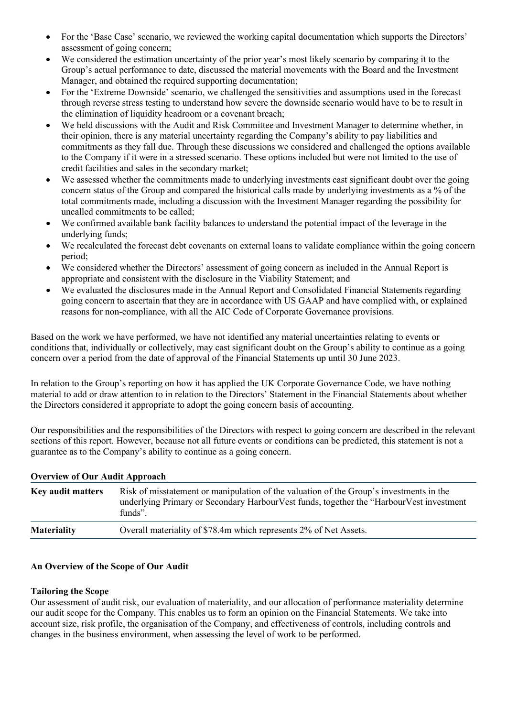- For the 'Base Case' scenario, we reviewed the working capital documentation which supports the Directors' assessment of going concern;
- We considered the estimation uncertainty of the prior year's most likely scenario by comparing it to the Group's actual performance to date, discussed the material movements with the Board and the Investment Manager, and obtained the required supporting documentation;
- For the 'Extreme Downside' scenario, we challenged the sensitivities and assumptions used in the forecast through reverse stress testing to understand how severe the downside scenario would have to be to result in the elimination of liquidity headroom or a covenant breach;
- We held discussions with the Audit and Risk Committee and Investment Manager to determine whether, in their opinion, there is any material uncertainty regarding the Company's ability to pay liabilities and commitments as they fall due. Through these discussions we considered and challenged the options available to the Company if it were in a stressed scenario. These options included but were not limited to the use of credit facilities and sales in the secondary market;
- We assessed whether the commitments made to underlying investments cast significant doubt over the going concern status of the Group and compared the historical calls made by underlying investments as a % of the total commitments made, including a discussion with the Investment Manager regarding the possibility for uncalled commitments to be called;
- We confirmed available bank facility balances to understand the potential impact of the leverage in the underlying funds;
- We recalculated the forecast debt covenants on external loans to validate compliance within the going concern period;
- We considered whether the Directors' assessment of going concern as included in the Annual Report is appropriate and consistent with the disclosure in the Viability Statement; and
- We evaluated the disclosures made in the Annual Report and Consolidated Financial Statements regarding going concern to ascertain that they are in accordance with US GAAP and have complied with, or explained reasons for non-compliance, with all the AIC Code of Corporate Governance provisions.

Based on the work we have performed, we have not identified any material uncertainties relating to events or conditions that, individually or collectively, may cast significant doubt on the Group's ability to continue as a going concern over a period from the date of approval of the Financial Statements up until 30 June 2023.

In relation to the Group's reporting on how it has applied the UK Corporate Governance Code, we have nothing material to add or draw attention to in relation to the Directors' Statement in the Financial Statements about whether the Directors considered it appropriate to adopt the going concern basis of accounting.

Our responsibilities and the responsibilities of the Directors with respect to going concern are described in the relevant sections of this report. However, because not all future events or conditions can be predicted, this statement is not a guarantee as to the Company's ability to continue as a going concern.

| $\sigma$ , or $\sigma$ are $\sigma$ and $\sigma$ and $\sigma$ in $\sigma$ |                                                                                                                                                                                                  |
|---------------------------------------------------------------------------|--------------------------------------------------------------------------------------------------------------------------------------------------------------------------------------------------|
| <b>Key audit matters</b>                                                  | Risk of misstatement or manipulation of the valuation of the Group's investments in the<br>underlying Primary or Secondary Harbour Vest funds, together the "Harbour Vest investment"<br>funds". |
| <b>Materiality</b>                                                        | Overall materiality of \$78.4m which represents 2% of Net Assets.                                                                                                                                |

## **Overview of Our Audit Approach**

## **An Overview of the Scope of Our Audit**

#### **Tailoring the Scope**

Our assessment of audit risk, our evaluation of materiality, and our allocation of performance materiality determine our audit scope for the Company. This enables us to form an opinion on the Financial Statements. We take into account size, risk profile, the organisation of the Company, and effectiveness of controls, including controls and changes in the business environment, when assessing the level of work to be performed.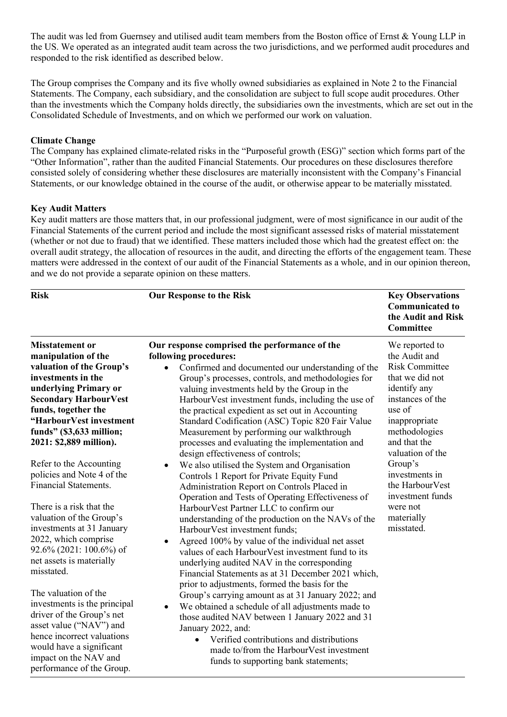The audit was led from Guernsey and utilised audit team members from the Boston office of Ernst & Young LLP in the US. We operated as an integrated audit team across the two jurisdictions, and we performed audit procedures and responded to the risk identified as described below.

The Group comprises the Company and its five wholly owned subsidiaries as explained in Note 2 to the Financial Statements. The Company, each subsidiary, and the consolidation are subject to full scope audit procedures. Other than the investments which the Company holds directly, the subsidiaries own the investments, which are set out in the Consolidated Schedule of Investments, and on which we performed our work on valuation.

## **Climate Change**

The Company has explained climate-related risks in the "Purposeful growth (ESG)" section which forms part of the "Other Information", rather than the audited Financial Statements. Our procedures on these disclosures therefore consisted solely of considering whether these disclosures are materially inconsistent with the Company's Financial Statements, or our knowledge obtained in the course of the audit, or otherwise appear to be materially misstated.

#### **Key Audit Matters**

Key audit matters are those matters that, in our professional judgment, were of most significance in our audit of the Financial Statements of the current period and include the most significant assessed risks of material misstatement (whether or not due to fraud) that we identified. These matters included those which had the greatest effect on: the overall audit strategy, the allocation of resources in the audit, and directing the efforts of the engagement team. These matters were addressed in the context of our audit of the Financial Statements as a whole, and in our opinion thereon, and we do not provide a separate opinion on these matters.

| <b>Risk</b>                                                                                                                                                                                                                                                       | <b>Our Response to the Risk</b>                                                                                                                                                                                                                                                                                                                                                                                                                                                                                                                                                                                           | <b>Key Observations</b><br><b>Communicated to</b><br>the Audit and Risk<br>Committee                                                                                                            |
|-------------------------------------------------------------------------------------------------------------------------------------------------------------------------------------------------------------------------------------------------------------------|---------------------------------------------------------------------------------------------------------------------------------------------------------------------------------------------------------------------------------------------------------------------------------------------------------------------------------------------------------------------------------------------------------------------------------------------------------------------------------------------------------------------------------------------------------------------------------------------------------------------------|-------------------------------------------------------------------------------------------------------------------------------------------------------------------------------------------------|
| <b>Misstatement or</b><br>manipulation of the<br>valuation of the Group's<br>investments in the<br>underlying Primary or<br><b>Secondary HarbourVest</b><br>funds, together the<br>"HarbourVest investment<br>funds" (\$3,633 million;<br>2021: \$2,889 million). | Our response comprised the performance of the<br>following procedures:<br>Confirmed and documented our understanding of the<br>Group's processes, controls, and methodologies for<br>valuing investments held by the Group in the<br>Harbour Vest investment funds, including the use of<br>the practical expedient as set out in Accounting<br>Standard Codification (ASC) Topic 820 Fair Value<br>Measurement by performing our walkthrough<br>processes and evaluating the implementation and<br>design effectiveness of controls;                                                                                     | We reported to<br>the Audit and<br><b>Risk Committee</b><br>that we did not<br>identify any<br>instances of the<br>use of<br>inappropriate<br>methodologies<br>and that the<br>valuation of the |
| Refer to the Accounting<br>policies and Note 4 of the<br>Financial Statements.<br>There is a risk that the<br>valuation of the Group's<br>investments at 31 January<br>2022, which comprise<br>92.6% (2021: 100.6%) of<br>net assets is materially<br>misstated.  | We also utilised the System and Organisation<br>$\bullet$<br>Controls 1 Report for Private Equity Fund<br>Administration Report on Controls Placed in<br>Operation and Tests of Operating Effectiveness of<br>Harbour Vest Partner LLC to confirm our<br>understanding of the production on the NAVs of the<br>HarbourVest investment funds;<br>Agreed 100% by value of the individual net asset<br>$\bullet$<br>values of each HarbourVest investment fund to its<br>underlying audited NAV in the corresponding<br>Financial Statements as at 31 December 2021 which,<br>prior to adjustments, formed the basis for the | Group's<br>investments in<br>the HarbourVest<br>investment funds<br>were not<br>materially<br>misstated.                                                                                        |
| The valuation of the<br>investments is the principal<br>driver of the Group's net<br>asset value ("NAV") and<br>hence incorrect valuations<br>would have a significant<br>impact on the NAV and<br>performance of the Group.                                      | Group's carrying amount as at 31 January 2022; and<br>We obtained a schedule of all adjustments made to<br>$\bullet$<br>those audited NAV between 1 January 2022 and 31<br>January 2022, and:<br>Verified contributions and distributions<br>made to/from the HarbourVest investment<br>funds to supporting bank statements;                                                                                                                                                                                                                                                                                              |                                                                                                                                                                                                 |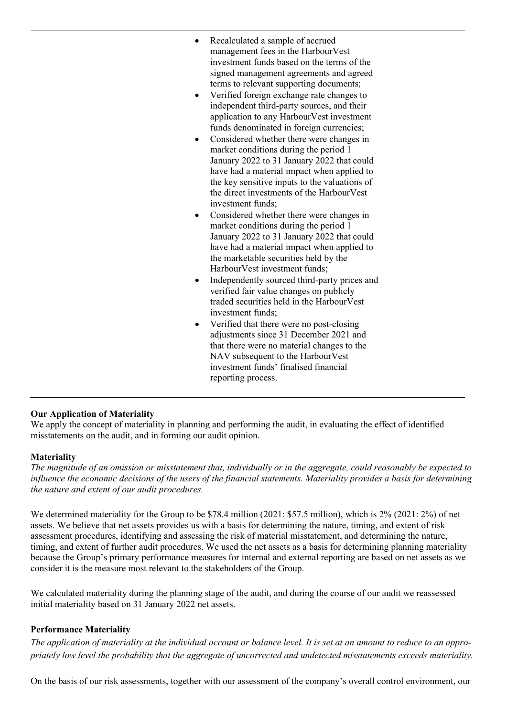- Recalculated a sample of accrued management fees in the HarbourVest investment funds based on the terms of the signed management agreements and agreed terms to relevant supporting documents;
- Verified foreign exchange rate changes to independent third-party sources, and their application to any HarbourVest investment funds denominated in foreign currencies;
- Considered whether there were changes in market conditions during the period 1 January 2022 to 31 January 2022 that could have had a material impact when applied to the key sensitive inputs to the valuations of the direct investments of the HarbourVest investment funds;
- Considered whether there were changes in market conditions during the period 1 January 2022 to 31 January 2022 that could have had a material impact when applied to the marketable securities held by the HarbourVest investment funds;
- Independently sourced third-party prices and verified fair value changes on publicly traded securities held in the HarbourVest investment funds;
- Verified that there were no post-closing adjustments since 31 December 2021 and that there were no material changes to the NAV subsequent to the HarbourVest investment funds' finalised financial reporting process.

## **Our Application of Materiality**

We apply the concept of materiality in planning and performing the audit, in evaluating the effect of identified misstatements on the audit, and in forming our audit opinion.

## **Materiality**

*The magnitude of an omission or misstatement that, individually or in the aggregate, could reasonably be expected to influence the economic decisions of the users of the financial statements. Materiality provides a basis for determining the nature and extent of our audit procedures.*

We determined materiality for the Group to be \$78.4 million (2021: \$57.5 million), which is 2% (2021: 2%) of net assets. We believe that net assets provides us with a basis for determining the nature, timing, and extent of risk assessment procedures, identifying and assessing the risk of material misstatement, and determining the nature, timing, and extent of further audit procedures. We used the net assets as a basis for determining planning materiality because the Group's primary performance measures for internal and external reporting are based on net assets as we consider it is the measure most relevant to the stakeholders of the Group.

We calculated materiality during the planning stage of the audit, and during the course of our audit we reassessed initial materiality based on 31 January 2022 net assets.

## **Performance Materiality**

*The application of materiality at the individual account or balance level. It is set at an amount to reduce to an appropriately low level the probability that the aggregate of uncorrected and undetected misstatements exceeds materiality.*

On the basis of our risk assessments, together with our assessment of the company's overall control environment, our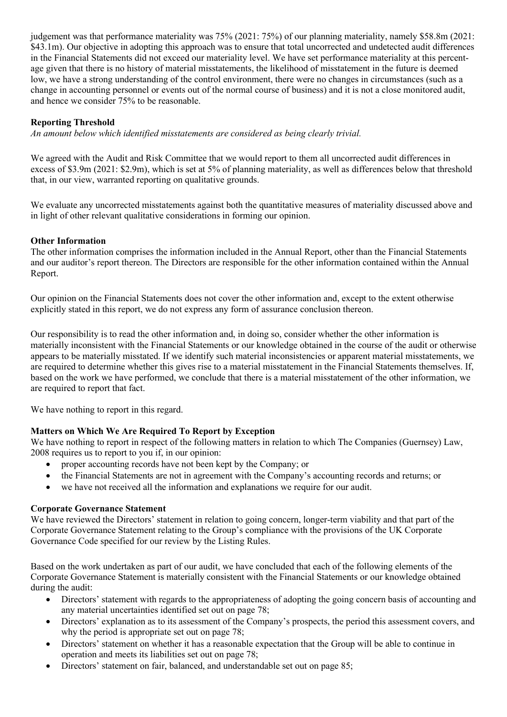judgement was that performance materiality was 75% (2021: 75%) of our planning materiality, namely \$58.8m (2021: \$43.1m). Our objective in adopting this approach was to ensure that total uncorrected and undetected audit differences in the Financial Statements did not exceed our materiality level. We have set performance materiality at this percentage given that there is no history of material misstatements, the likelihood of misstatement in the future is deemed low, we have a strong understanding of the control environment, there were no changes in circumstances (such as a change in accounting personnel or events out of the normal course of business) and it is not a close monitored audit, and hence we consider 75% to be reasonable.

## **Reporting Threshold**

*An amount below which identified misstatements are considered as being clearly trivial.*

We agreed with the Audit and Risk Committee that we would report to them all uncorrected audit differences in excess of \$3.9m (2021: \$2.9m), which is set at 5% of planning materiality, as well as differences below that threshold that, in our view, warranted reporting on qualitative grounds.

We evaluate any uncorrected misstatements against both the quantitative measures of materiality discussed above and in light of other relevant qualitative considerations in forming our opinion.

## **Other Information**

The other information comprises the information included in the Annual Report, other than the Financial Statements and our auditor's report thereon. The Directors are responsible for the other information contained within the Annual Report.

Our opinion on the Financial Statements does not cover the other information and, except to the extent otherwise explicitly stated in this report, we do not express any form of assurance conclusion thereon.

Our responsibility is to read the other information and, in doing so, consider whether the other information is materially inconsistent with the Financial Statements or our knowledge obtained in the course of the audit or otherwise appears to be materially misstated. If we identify such material inconsistencies or apparent material misstatements, we are required to determine whether this gives rise to a material misstatement in the Financial Statements themselves. If, based on the work we have performed, we conclude that there is a material misstatement of the other information, we are required to report that fact.

We have nothing to report in this regard.

## **Matters on Which We Are Required To Report by Exception**

We have nothing to report in respect of the following matters in relation to which The Companies (Guernsey) Law, 2008 requires us to report to you if, in our opinion:

- proper accounting records have not been kept by the Company; or
- the Financial Statements are not in agreement with the Company's accounting records and returns; or
- we have not received all the information and explanations we require for our audit.

#### **Corporate Governance Statement**

We have reviewed the Directors' statement in relation to going concern, longer-term viability and that part of the Corporate Governance Statement relating to the Group's compliance with the provisions of the UK Corporate Governance Code specified for our review by the Listing Rules.

Based on the work undertaken as part of our audit, we have concluded that each of the following elements of the Corporate Governance Statement is materially consistent with the Financial Statements or our knowledge obtained during the audit:

- Directors' statement with regards to the appropriateness of adopting the going concern basis of accounting and any material uncertainties identified set out on page 78;
- Directors' explanation as to its assessment of the Company's prospects, the period this assessment covers, and why the period is appropriate set out on page 78;
- Directors' statement on whether it has a reasonable expectation that the Group will be able to continue in operation and meets its liabilities set out on page 78;
- Directors' statement on fair, balanced, and understandable set out on page 85;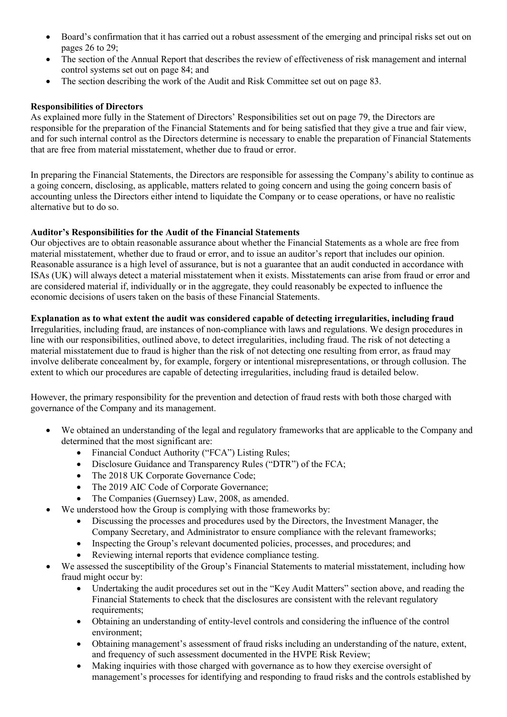- Board's confirmation that it has carried out a robust assessment of the emerging and principal risks set out on pages 26 to 29;
- The section of the Annual Report that describes the review of effectiveness of risk management and internal control systems set out on page 84; and
- The section describing the work of the Audit and Risk Committee set out on page 83.

## **Responsibilities of Directors**

As explained more fully in the Statement of Directors' Responsibilities set out on page 79, the Directors are responsible for the preparation of the Financial Statements and for being satisfied that they give a true and fair view, and for such internal control as the Directors determine is necessary to enable the preparation of Financial Statements that are free from material misstatement, whether due to fraud or error.

In preparing the Financial Statements, the Directors are responsible for assessing the Company's ability to continue as a going concern, disclosing, as applicable, matters related to going concern and using the going concern basis of accounting unless the Directors either intend to liquidate the Company or to cease operations, or have no realistic alternative but to do so.

## **Auditor's Responsibilities for the Audit of the Financial Statements**

Our objectives are to obtain reasonable assurance about whether the Financial Statements as a whole are free from material misstatement, whether due to fraud or error, and to issue an auditor's report that includes our opinion. Reasonable assurance is a high level of assurance, but is not a guarantee that an audit conducted in accordance with ISAs (UK) will always detect a material misstatement when it exists. Misstatements can arise from fraud or error and are considered material if, individually or in the aggregate, they could reasonably be expected to influence the economic decisions of users taken on the basis of these Financial Statements.

## **Explanation as to what extent the audit was considered capable of detecting irregularities, including fraud**

Irregularities, including fraud, are instances of non-compliance with laws and regulations. We design procedures in line with our responsibilities, outlined above, to detect irregularities, including fraud. The risk of not detecting a material misstatement due to fraud is higher than the risk of not detecting one resulting from error, as fraud may involve deliberate concealment by, for example, forgery or intentional misrepresentations, or through collusion. The extent to which our procedures are capable of detecting irregularities, including fraud is detailed below.

However, the primary responsibility for the prevention and detection of fraud rests with both those charged with governance of the Company and its management.

- We obtained an understanding of the legal and regulatory frameworks that are applicable to the Company and determined that the most significant are:
	- Financial Conduct Authority ("FCA") Listing Rules;
	- Disclosure Guidance and Transparency Rules ("DTR") of the FCA;
	- The 2018 UK Corporate Governance Code;
	- The 2019 AIC Code of Corporate Governance;
	- The Companies (Guernsey) Law, 2008, as amended.
- We understood how the Group is complying with those frameworks by:
	- Discussing the processes and procedures used by the Directors, the Investment Manager, the Company Secretary, and Administrator to ensure compliance with the relevant frameworks;
	- Inspecting the Group's relevant documented policies, processes, and procedures; and
	- Reviewing internal reports that evidence compliance testing.
- We assessed the susceptibility of the Group's Financial Statements to material misstatement, including how fraud might occur by:
	- Undertaking the audit procedures set out in the "Key Audit Matters" section above, and reading the Financial Statements to check that the disclosures are consistent with the relevant regulatory requirements;
	- Obtaining an understanding of entity-level controls and considering the influence of the control environment;
	- Obtaining management's assessment of fraud risks including an understanding of the nature, extent, and frequency of such assessment documented in the HVPE Risk Review;
	- Making inquiries with those charged with governance as to how they exercise oversight of management's processes for identifying and responding to fraud risks and the controls established by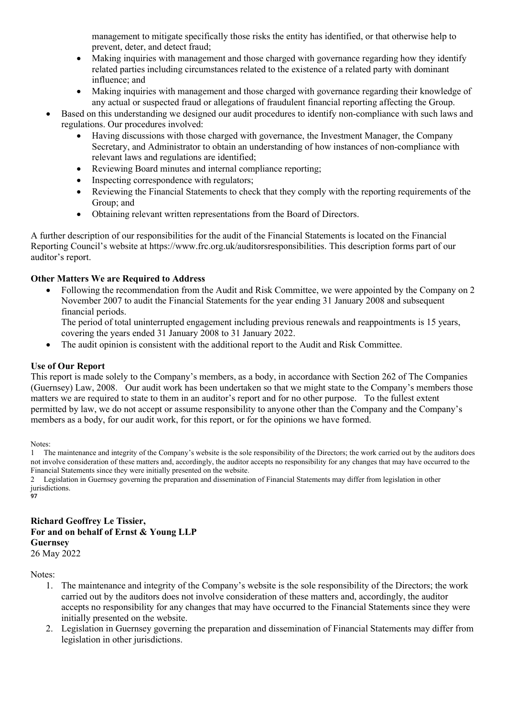management to mitigate specifically those risks the entity has identified, or that otherwise help to prevent, deter, and detect fraud;

- Making inquiries with management and those charged with governance regarding how they identify related parties including circumstances related to the existence of a related party with dominant influence; and
- Making inquiries with management and those charged with governance regarding their knowledge of any actual or suspected fraud or allegations of fraudulent financial reporting affecting the Group.
- Based on this understanding we designed our audit procedures to identify non-compliance with such laws and regulations. Our procedures involved:
	- Having discussions with those charged with governance, the Investment Manager, the Company Secretary, and Administrator to obtain an understanding of how instances of non-compliance with relevant laws and regulations are identified;
	- Reviewing Board minutes and internal compliance reporting;
	- Inspecting correspondence with regulators;
	- Reviewing the Financial Statements to check that they comply with the reporting requirements of the Group; and
	- Obtaining relevant written representations from the Board of Directors.

A further description of our responsibilities for the audit of the Financial Statements is located on the Financial Reporting Council's website at https://www.frc.org.uk/auditorsresponsibilities. This description forms part of our auditor's report.

## **Other Matters We are Required to Address**

• Following the recommendation from the Audit and Risk Committee, we were appointed by the Company on 2 November 2007 to audit the Financial Statements for the year ending 31 January 2008 and subsequent financial periods.

The period of total uninterrupted engagement including previous renewals and reappointments is 15 years, covering the years ended 31 January 2008 to 31 January 2022.

• The audit opinion is consistent with the additional report to the Audit and Risk Committee.

## **Use of Our Report**

This report is made solely to the Company's members, as a body, in accordance with Section 262 of The Companies (Guernsey) Law, 2008. Our audit work has been undertaken so that we might state to the Company's members those matters we are required to state to them in an auditor's report and for no other purpose. To the fullest extent permitted by law, we do not accept or assume responsibility to anyone other than the Company and the Company's members as a body, for our audit work, for this report, or for the opinions we have formed.

Notes:

1 The maintenance and integrity of the Company's website is the sole responsibility of the Directors; the work carried out by the auditors does not involve consideration of these matters and, accordingly, the auditor accepts no responsibility for any changes that may have occurred to the Financial Statements since they were initially presented on the website.

2 Legislation in Guernsey governing the preparation and dissemination of Financial Statements may differ from legislation in other jurisdictions. **97**

# **Richard Geoffrey Le Tissier, For and on behalf of Ernst & Young LLP Guernsey**

26 May 2022

Notes:

- 1. The maintenance and integrity of the Company's website is the sole responsibility of the Directors; the work carried out by the auditors does not involve consideration of these matters and, accordingly, the auditor accepts no responsibility for any changes that may have occurred to the Financial Statements since they were initially presented on the website.
- 2. Legislation in Guernsey governing the preparation and dissemination of Financial Statements may differ from legislation in other jurisdictions.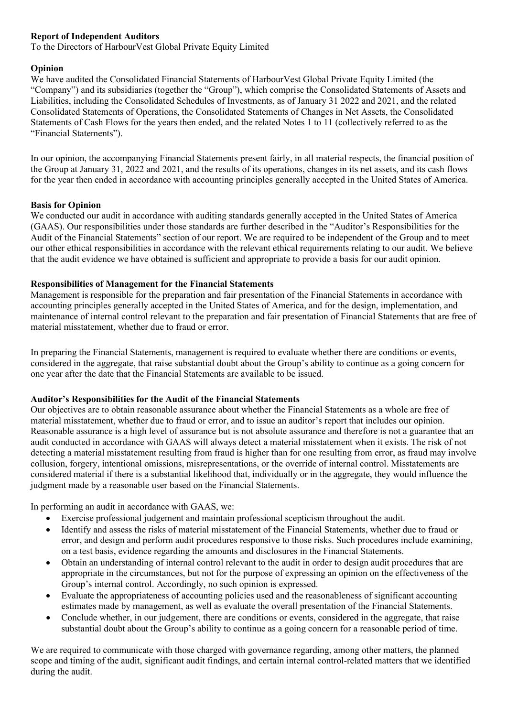## **Report of Independent Auditors**

To the Directors of HarbourVest Global Private Equity Limited

## **Opinion**

We have audited the Consolidated Financial Statements of HarbourVest Global Private Equity Limited (the "Company") and its subsidiaries (together the "Group"), which comprise the Consolidated Statements of Assets and Liabilities, including the Consolidated Schedules of Investments, as of January 31 2022 and 2021, and the related Consolidated Statements of Operations, the Consolidated Statements of Changes in Net Assets, the Consolidated Statements of Cash Flows for the years then ended, and the related Notes 1 to 11 (collectively referred to as the "Financial Statements").

In our opinion, the accompanying Financial Statements present fairly, in all material respects, the financial position of the Group at January 31, 2022 and 2021, and the results of its operations, changes in its net assets, and its cash flows for the year then ended in accordance with accounting principles generally accepted in the United States of America.

## **Basis for Opinion**

We conducted our audit in accordance with auditing standards generally accepted in the United States of America (GAAS). Our responsibilities under those standards are further described in the "Auditor's Responsibilities for the Audit of the Financial Statements" section of our report. We are required to be independent of the Group and to meet our other ethical responsibilities in accordance with the relevant ethical requirements relating to our audit. We believe that the audit evidence we have obtained is sufficient and appropriate to provide a basis for our audit opinion.

## **Responsibilities of Management for the Financial Statements**

Management is responsible for the preparation and fair presentation of the Financial Statements in accordance with accounting principles generally accepted in the United States of America, and for the design, implementation, and maintenance of internal control relevant to the preparation and fair presentation of Financial Statements that are free of material misstatement, whether due to fraud or error.

In preparing the Financial Statements, management is required to evaluate whether there are conditions or events, considered in the aggregate, that raise substantial doubt about the Group's ability to continue as a going concern for one year after the date that the Financial Statements are available to be issued.

## **Auditor's Responsibilities for the Audit of the Financial Statements**

Our objectives are to obtain reasonable assurance about whether the Financial Statements as a whole are free of material misstatement, whether due to fraud or error, and to issue an auditor's report that includes our opinion. Reasonable assurance is a high level of assurance but is not absolute assurance and therefore is not a guarantee that an audit conducted in accordance with GAAS will always detect a material misstatement when it exists. The risk of not detecting a material misstatement resulting from fraud is higher than for one resulting from error, as fraud may involve collusion, forgery, intentional omissions, misrepresentations, or the override of internal control. Misstatements are considered material if there is a substantial likelihood that, individually or in the aggregate, they would influence the judgment made by a reasonable user based on the Financial Statements.

In performing an audit in accordance with GAAS, we:

- Exercise professional judgement and maintain professional scepticism throughout the audit.
- Identify and assess the risks of material misstatement of the Financial Statements, whether due to fraud or error, and design and perform audit procedures responsive to those risks. Such procedures include examining, on a test basis, evidence regarding the amounts and disclosures in the Financial Statements.
- Obtain an understanding of internal control relevant to the audit in order to design audit procedures that are appropriate in the circumstances, but not for the purpose of expressing an opinion on the effectiveness of the Group's internal control. Accordingly, no such opinion is expressed.
- Evaluate the appropriateness of accounting policies used and the reasonableness of significant accounting estimates made by management, as well as evaluate the overall presentation of the Financial Statements.
- Conclude whether, in our judgement, there are conditions or events, considered in the aggregate, that raise substantial doubt about the Group's ability to continue as a going concern for a reasonable period of time.

We are required to communicate with those charged with governance regarding, among other matters, the planned scope and timing of the audit, significant audit findings, and certain internal control-related matters that we identified during the audit.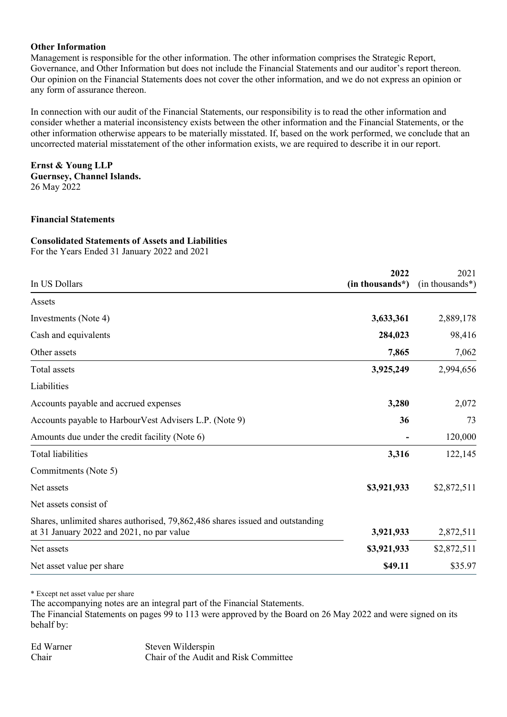## **Other Information**

Management is responsible for the other information. The other information comprises the Strategic Report, Governance, and Other Information but does not include the Financial Statements and our auditor's report thereon. Our opinion on the Financial Statements does not cover the other information, and we do not express an opinion or any form of assurance thereon.

In connection with our audit of the Financial Statements, our responsibility is to read the other information and consider whether a material inconsistency exists between the other information and the Financial Statements, or the other information otherwise appears to be materially misstated. If, based on the work performed, we conclude that an uncorrected material misstatement of the other information exists, we are required to describe it in our report.

## **Ernst & Young LLP Guernsey, Channel Islands.**  26 May 2022

## **Financial Statements**

## **Consolidated Statements of Assets and Liabilities**

For the Years Ended 31 January 2022 and 2021

|                                                                                                                            | 2022            | 2021              |
|----------------------------------------------------------------------------------------------------------------------------|-----------------|-------------------|
| In US Dollars                                                                                                              | (in thousands*) | $(in thousands*)$ |
| Assets                                                                                                                     |                 |                   |
| Investments (Note 4)                                                                                                       | 3,633,361       | 2,889,178         |
| Cash and equivalents                                                                                                       | 284,023         | 98,416            |
| Other assets                                                                                                               | 7,865           | 7,062             |
| Total assets                                                                                                               | 3,925,249       | 2,994,656         |
| Liabilities                                                                                                                |                 |                   |
| Accounts payable and accrued expenses                                                                                      | 3,280           | 2,072             |
| Accounts payable to HarbourVest Advisers L.P. (Note 9)                                                                     | 36              | 73                |
| Amounts due under the credit facility (Note 6)                                                                             |                 | 120,000           |
| <b>Total liabilities</b>                                                                                                   | 3,316           | 122,145           |
| Commitments (Note 5)                                                                                                       |                 |                   |
| Net assets                                                                                                                 | \$3,921,933     | \$2,872,511       |
| Net assets consist of                                                                                                      |                 |                   |
| Shares, unlimited shares authorised, 79,862,486 shares issued and outstanding<br>at 31 January 2022 and 2021, no par value | 3,921,933       | 2,872,511         |
| Net assets                                                                                                                 | \$3,921,933     | \$2,872,511       |
| Net asset value per share                                                                                                  | \$49.11         | \$35.97           |

\* Except net asset value per share

The accompanying notes are an integral part of the Financial Statements.

The Financial Statements on pages 99 to 113 were approved by the Board on 26 May 2022 and were signed on its behalf by:

Ed Warner Chair Steven Wilderspin Chair of the Audit and Risk Committee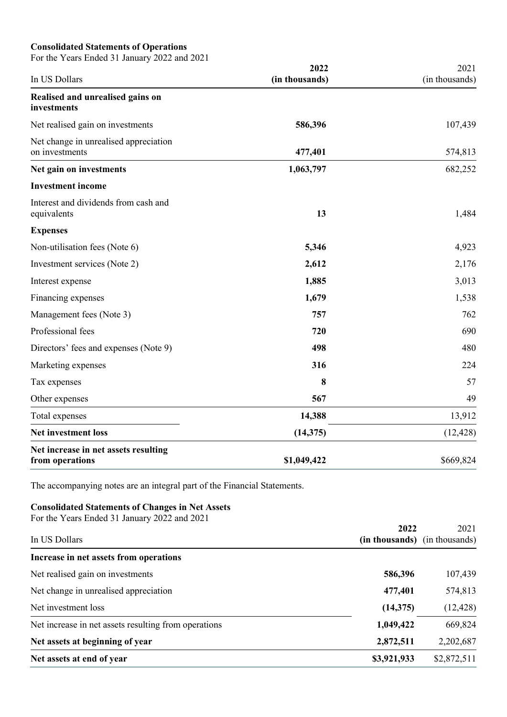## **Consolidated Statements of Operations**

For the Years Ended 31 January 2022 and 2021

|                                                         | 2022           | 2021           |
|---------------------------------------------------------|----------------|----------------|
| In US Dollars                                           | (in thousands) | (in thousands) |
| Realised and unrealised gains on<br>investments         |                |                |
| Net realised gain on investments                        | 586,396        | 107,439        |
| Net change in unrealised appreciation<br>on investments | 477,401        | 574,813        |
| Net gain on investments                                 | 1,063,797      | 682,252        |
| <b>Investment income</b>                                |                |                |
| Interest and dividends from cash and<br>equivalents     | 13             | 1,484          |
| <b>Expenses</b>                                         |                |                |
| Non-utilisation fees (Note 6)                           | 5,346          | 4,923          |
| Investment services (Note 2)                            | 2,612          | 2,176          |
| Interest expense                                        | 1,885          | 3,013          |
| Financing expenses                                      | 1,679          | 1,538          |
| Management fees (Note 3)                                | 757            | 762            |
| Professional fees                                       | 720            | 690            |
| Directors' fees and expenses (Note 9)                   | 498            | 480            |
| Marketing expenses                                      | 316            | 224            |
| Tax expenses                                            | 8              | 57             |
| Other expenses                                          | 567            | 49             |
| Total expenses                                          | 14,388         | 13,912         |
| <b>Net investment loss</b>                              | (14, 375)      | (12, 428)      |
| Net increase in net assets resulting<br>from operations | \$1,049,422    | \$669,824      |

The accompanying notes are an integral part of the Financial Statements.

#### **Consolidated Statements of Changes in Net Assets**

For the Years Ended 31 January 2022 and 2021

| In US Dollars                                        | 2022<br>(in thousands) (in thousands) | 2021        |
|------------------------------------------------------|---------------------------------------|-------------|
| Increase in net assets from operations               |                                       |             |
| Net realised gain on investments                     | 586,396                               | 107,439     |
| Net change in unrealised appreciation                | 477,401                               | 574,813     |
| Net investment loss                                  | (14, 375)                             | (12, 428)   |
| Net increase in net assets resulting from operations | 1,049,422                             | 669,824     |
| Net assets at beginning of year                      | 2,872,511                             | 2,202,687   |
| Net assets at end of year                            | \$3,921,933                           | \$2,872,511 |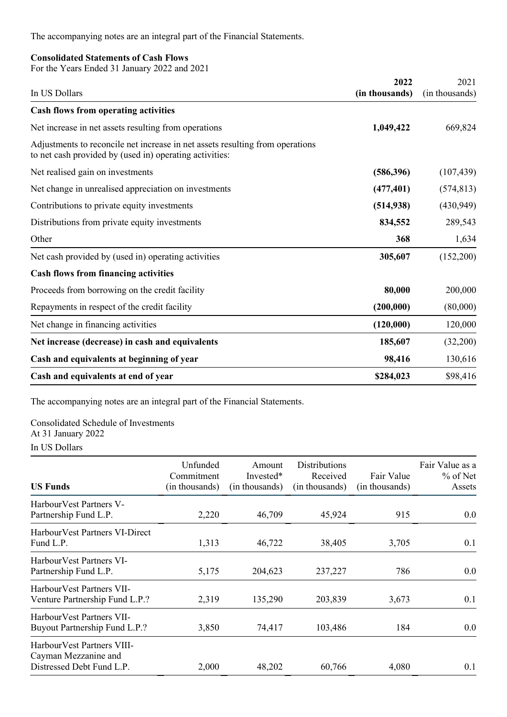The accompanying notes are an integral part of the Financial Statements.

#### **Consolidated Statements of Cash Flows**

For the Years Ended 31 January 2022 and 2021

|                                                                                                                                          | 2022           | 2021           |
|------------------------------------------------------------------------------------------------------------------------------------------|----------------|----------------|
| In US Dollars                                                                                                                            | (in thousands) | (in thousands) |
| <b>Cash flows from operating activities</b>                                                                                              |                |                |
| Net increase in net assets resulting from operations                                                                                     | 1,049,422      | 669,824        |
| Adjustments to reconcile net increase in net assets resulting from operations<br>to net cash provided by (used in) operating activities: |                |                |
| Net realised gain on investments                                                                                                         | (586, 396)     | (107, 439)     |
| Net change in unrealised appreciation on investments                                                                                     | (477, 401)     | (574, 813)     |
| Contributions to private equity investments                                                                                              | (514, 938)     | (430, 949)     |
| Distributions from private equity investments                                                                                            | 834,552        | 289,543        |
| Other                                                                                                                                    | 368            | 1,634          |
| Net cash provided by (used in) operating activities                                                                                      | 305,607        | (152,200)      |
| <b>Cash flows from financing activities</b>                                                                                              |                |                |
| Proceeds from borrowing on the credit facility                                                                                           | 80,000         | 200,000        |
| Repayments in respect of the credit facility                                                                                             | (200,000)      | (80,000)       |
| Net change in financing activities                                                                                                       | (120,000)      | 120,000        |
| Net increase (decrease) in cash and equivalents                                                                                          | 185,607        | (32,200)       |
| Cash and equivalents at beginning of year                                                                                                | 98,416         | 130,616        |
| Cash and equivalents at end of year                                                                                                      | \$284,023      | \$98,416       |

The accompanying notes are an integral part of the Financial Statements.

Consolidated Schedule of Investments At 31 January 2022 In US Dollars

**US Funds** Unfunded Commitment (in thousands) Amount Invested\* (in thousands) Distributions Received (in thousands) Fair Value (in thousands) Fair Value as a % of Net Assets HarbourVest Partners V-Partnership Fund L.P. 2,220 46,709 45,924 915 0.0 HarbourVest Partners VI-Direct Fund L.P. 6. 1,313 46,722 38,405 3,705 0.1 HarbourVest Partners VI-Partnership Fund L.P. 5,175 204,623 237,227 786 0.0 HarbourVest Partners VII-Venture Partnership Fund L.P.? 2,319 135,290 203,839 3,673 0.1 HarbourVest Partners VII-Buyout Partnership Fund L.P.? 3,850 74,417 103,486 184 0.0 HarbourVest Partners VIII-Cayman Mezzanine and Distressed Debt Fund L.P. 2,000 48,202 60,766 4,080 0.1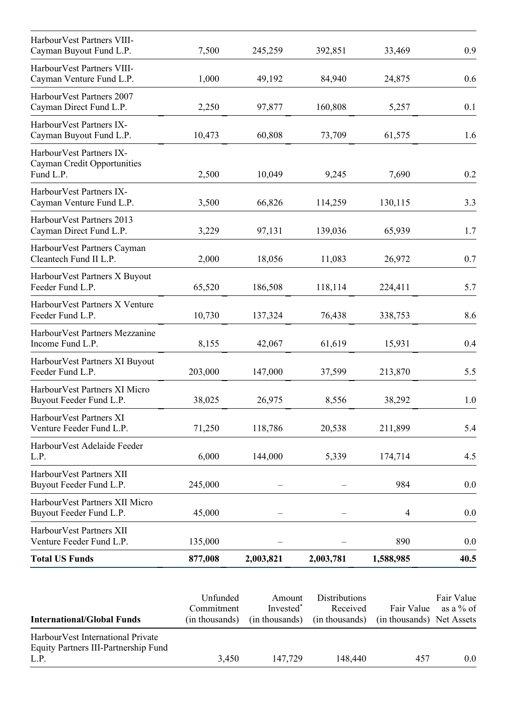|                                                                      | Unfunded | Amount<br>$4 - 1^*$ | Distributions |                | Fair Value |
|----------------------------------------------------------------------|----------|---------------------|---------------|----------------|------------|
| <b>Total US Funds</b>                                                | 877,008  | 2,003,821           | 2,003,781     | 1,588,985      | 40.5       |
| HarbourVest Partners XII<br>Venture Feeder Fund L.P.                 | 135,000  |                     |               | 890            | 0.0        |
| HarbourVest Partners XII Micro<br>Buyout Feeder Fund L.P.            | 45,000   |                     |               | $\overline{4}$ | 0.0        |
| HarbourVest Partners XII<br>Buyout Feeder Fund L.P.                  | 245,000  |                     |               | 984            | 0.0        |
| HarbourVest Adelaide Feeder<br>L.P.                                  | 6,000    | 144,000             | 5,339         | 174,714        | 4.5        |
| HarbourVest Partners XI<br>Venture Feeder Fund L.P.                  | 71,250   | 118,786             | 20,538        | 211,899        | 5.4        |
| HarbourVest Partners XI Micro<br>Buyout Feeder Fund L.P.             | 38,025   | 26,975              | 8,556         | 38,292         | 1.0        |
| HarbourVest Partners XI Buyout<br>Feeder Fund L.P.                   | 203,000  | 147,000             | 37,599        | 213,870        | 5.5        |
| HarbourVest Partners Mezzanine<br>Income Fund L.P.                   | 8,155    | 42,067              | 61,619        | 15,931         | 0.4        |
| HarbourVest Partners X Venture<br>Feeder Fund L.P.                   | 10,730   | 137,324             | 76,438        | 338,753        | 8.6        |
| HarbourVest Partners X Buyout<br>Feeder Fund L.P.                    | 65,520   | 186,508             | 118,114       | 224,411        | 5.7        |
| HarbourVest Partners Cayman<br>Cleantech Fund II L.P.                | 2,000    | 18,056              | 11,083        | 26,972         | 0.7        |
| HarbourVest Partners 2013<br>Cayman Direct Fund L.P.                 | 3,229    | 97,131              | 139,036       | 65,939         | 1.7        |
| HarbourVest Partners IX-<br>Cayman Venture Fund L.P.                 | 3,500    | 66,826              | 114,259       | 130,115        | 3.3        |
| HarbourVest Partners IX-<br>Cayman Credit Opportunities<br>Fund L.P. | 2,500    | 10,049              | 9,245         | 7,690          | 0.2        |
| HarbourVest Partners IX-<br>Cayman Buyout Fund L.P.                  | 10,473   | 60,808              | 73,709        | 61,575         | 1.6        |
| HarbourVest Partners 2007<br>Cayman Direct Fund L.P.                 | 2,250    | 97,877              | 160,808       | 5,257          | 0.1        |
| HarbourVest Partners VIII-<br>Cayman Venture Fund L.P.               | 1,000    | 49,192              | 84,940        | 24,875         | 0.6        |
| HarbourVest Partners VIII-<br>Cayman Buyout Fund L.P.                | 7,500    | 245,259             | 392,851       | 33,469         | 0.9        |

| <b>International/Global Funds</b>                                                  | Commitment<br>(in thousands) | Invested <sup>*</sup><br>(in thousands) | Received<br>(in thousands) | Fair Value<br>(in thousands) Net Assets | as a % of        |
|------------------------------------------------------------------------------------|------------------------------|-----------------------------------------|----------------------------|-----------------------------------------|------------------|
| Harbour Vest International Private<br>Equity Partners III-Partnership Fund<br>L.P. | 3.450                        | 147.729                                 | 148,440                    | 457                                     | 0.0 <sub>1</sub> |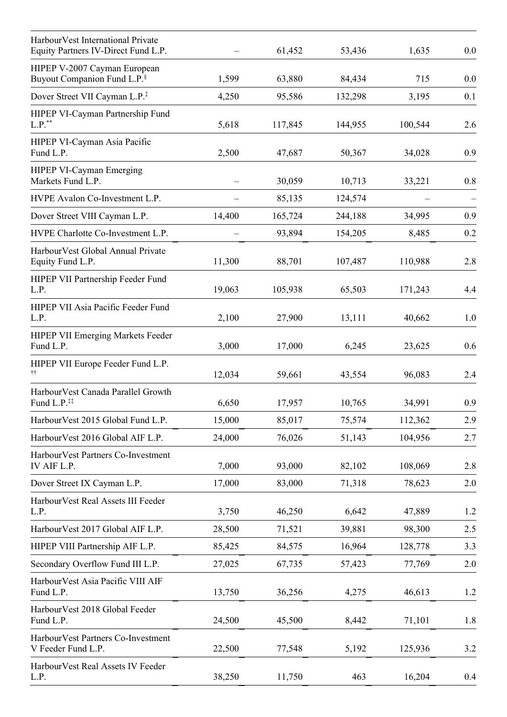| Harbour Vest International Private<br>Equity Partners IV-Direct Fund L.P. |        | 61,452  | 53,436  | 1,635   | 0.0 |
|---------------------------------------------------------------------------|--------|---------|---------|---------|-----|
| HIPEP V-2007 Cayman European<br>Buyout Companion Fund L.P. <sup>§</sup>   | 1,599  | 63,880  | 84,434  | 715     | 0.0 |
| Dover Street VII Cayman L.P. <sup>‡</sup>                                 | 4,250  | 95,586  | 132,298 | 3,195   | 0.1 |
| HIPEP VI-Cayman Partnership Fund<br>L.P.                                  | 5,618  | 117,845 | 144,955 | 100,544 | 2.6 |
| HIPEP VI-Cayman Asia Pacific<br>Fund L.P.                                 | 2,500  | 47,687  | 50,367  | 34,028  | 0.9 |
| <b>HIPEP VI-Cayman Emerging</b><br>Markets Fund L.P.                      |        | 30,059  | 10,713  | 33,221  | 0.8 |
| HVPE Avalon Co-Investment L.P.                                            |        | 85,135  | 124,574 |         |     |
| Dover Street VIII Cayman L.P.                                             | 14,400 | 165,724 | 244,188 | 34,995  | 0.9 |
| HVPE Charlotte Co-Investment L.P.                                         |        | 93,894  | 154,205 | 8,485   | 0.2 |
| HarbourVest Global Annual Private<br>Equity Fund L.P.                     | 11,300 | 88,701  | 107,487 | 110,988 | 2.8 |
| HIPEP VII Partnership Feeder Fund<br>L.P.                                 | 19,063 | 105,938 | 65,503  | 171,243 | 4.4 |
| HIPEP VII Asia Pacific Feeder Fund<br>L.P.                                | 2,100  | 27,900  | 13,111  | 40,662  | 1.0 |
| <b>HIPEP VII Emerging Markets Feeder</b><br>Fund L.P.                     | 3,000  | 17,000  | 6,245   | 23,625  | 0.6 |
| HIPEP VII Europe Feeder Fund L.P.<br>ŤŤ                                   | 12,034 | 59,661  | 43,554  | 96,083  | 2.4 |
| HarbourVest Canada Parallel Growth<br>Fund L.P. $**$                      | 6,650  | 17,957  | 10,765  | 34,991  | 0.9 |
| HarbourVest 2015 Global Fund L.P.                                         | 15,000 | 85,017  | 75,574  | 112,362 | 2.9 |
| HarbourVest 2016 Global AIF L.P.                                          | 24,000 | 76,026  | 51,143  | 104,956 | 2.7 |
| HarbourVest Partners Co-Investment<br>IV AIF L.P.                         | 7,000  | 93,000  | 82,102  | 108,069 | 2.8 |
| Dover Street IX Cayman L.P.                                               | 17,000 | 83,000  | 71,318  | 78,623  | 2.0 |
| HarbourVest Real Assets III Feeder<br>L.P.                                | 3,750  | 46,250  | 6,642   | 47,889  | 1.2 |
| HarbourVest 2017 Global AIF L.P.                                          | 28,500 | 71,521  | 39,881  | 98,300  | 2.5 |
| HIPEP VIII Partnership AIF L.P.                                           | 85,425 | 84,575  | 16,964  | 128,778 | 3.3 |
| Secondary Overflow Fund III L.P.                                          | 27,025 | 67,735  | 57,423  | 77,769  | 2.0 |
| HarbourVest Asia Pacific VIII AIF<br>Fund L.P.                            | 13,750 | 36,256  | 4,275   | 46,613  | 1.2 |
| HarbourVest 2018 Global Feeder<br>Fund L.P.                               | 24,500 | 45,500  | 8,442   | 71,101  | 1.8 |
| HarbourVest Partners Co-Investment<br>V Feeder Fund L.P.                  | 22,500 | 77,548  | 5,192   | 125,936 | 3.2 |
| HarbourVest Real Assets IV Feeder<br>L.P.                                 | 38,250 | 11,750  | 463     | 16,204  | 0.4 |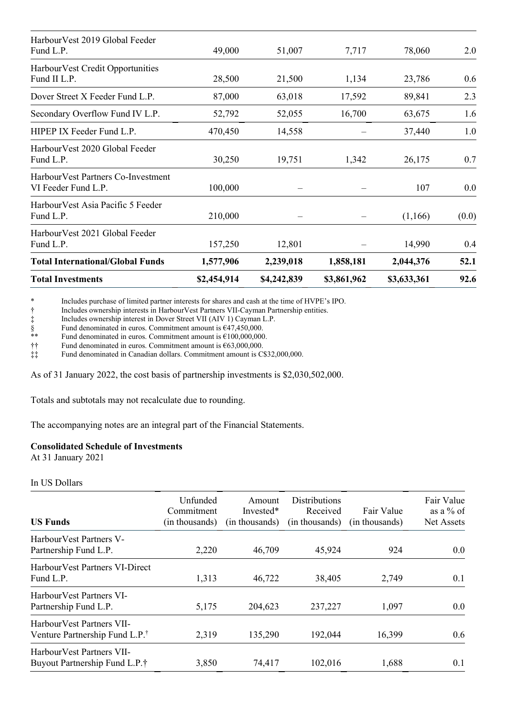| <b>Total Investments</b>                                   | \$2,454,914 | \$4,242,839 | \$3,861,962 | \$3,633,361 | 92.6    |
|------------------------------------------------------------|-------------|-------------|-------------|-------------|---------|
| <b>Total International/Global Funds</b>                    | 1,577,906   | 2,239,018   | 1,858,181   | 2,044,376   | 52.1    |
| HarbourVest 2021 Global Feeder<br>Fund L.P.                | 157,250     | 12,801      |             | 14,990      | 0.4     |
| HarbourVest Asia Pacific 5 Feeder<br>Fund L.P.             | 210,000     |             |             | (1,166)     | (0.0)   |
| Harbour Vest Partners Co-Investment<br>VI Feeder Fund L.P. | 100,000     |             |             | 107         | $0.0\,$ |
| HarbourVest 2020 Global Feeder<br>Fund L.P.                | 30,250      | 19,751      | 1,342       | 26,175      | 0.7     |
| HIPEP IX Feeder Fund L.P.                                  | 470,450     | 14,558      |             | 37,440      | 1.0     |
| Secondary Overflow Fund IV L.P.                            | 52,792      | 52,055      | 16,700      | 63,675      | 1.6     |
| Dover Street X Feeder Fund L.P.                            | 87,000      | 63,018      | 17,592      | 89,841      | 2.3     |
| HarbourVest Credit Opportunities<br>Fund II L.P.           | 28,500      | 21,500      | 1,134       | 23,786      | 0.6     |
| HarbourVest 2019 Global Feeder<br>Fund L.P.                | 49,000      | 51,007      | 7,717       | 78,060      | 2.0     |

\* Includes purchase of limited partner interests for shares and cash at the time of HVPE's IPO.<br>
† Includes ownership interests in HarbourVest Partners VII-Cayman Partnership entities.<br>
† Includes ownership interest in Dov

† Includes ownership interests in HarbourVest Partners VII-Cayman Partnership entities.

Includes ownership interest in Dover Street VII (AIV 1) Cayman L.P.

Fund denominated in euros. Commitment amount is  $647,450,000$ .

Fund denominated in euros. Commitment amount is  $€63,000,000$ .

\*\* Fund denominated in euros. Commitment amount is  $\epsilon$ 100,000,000.<br>  $\dagger \dagger$  Fund denominated in curos. Commitment amount is  $\epsilon$ 63,000,000.<br>  $\dagger \ddagger$  Fund denominated in Canadian dollars. Commitment amount is C\$. Fund denominated in Canadian dollars. Commitment amount is C\$32,000,000.

As of 31 January 2022, the cost basis of partnership investments is \$2,030,502,000.

Totals and subtotals may not recalculate due to rounding.

The accompanying notes are an integral part of the Financial Statements.

#### **Consolidated Schedule of Investments**

At 31 January 2021

#### In US Dollars

| <b>US Funds</b>                                                          | Unfunded<br>Commitment<br>(in thousands) | Amount<br>Invested*<br>(in thousands) | <b>Distributions</b><br>Received<br>(in thousands) | Fair Value<br>(in thousands) | Fair Value<br>as a $\%$ of<br>Net Assets |
|--------------------------------------------------------------------------|------------------------------------------|---------------------------------------|----------------------------------------------------|------------------------------|------------------------------------------|
| Harbour Vest Partners V-<br>Partnership Fund L.P.                        | 2,220                                    | 46,709                                | 45,924                                             | 924                          | 0.0                                      |
| Harbour Vest Partners VI-Direct<br>Fund L.P.                             | 1,313                                    | 46,722                                | 38,405                                             | 2,749                        | 0.1                                      |
| HarbourVest Partners VI-<br>Partnership Fund L.P.                        | 5,175                                    | 204,623                               | 237,227                                            | 1,097                        | 0.0                                      |
| Harbour Vest Partners VII-<br>Venture Partnership Fund L.P. <sup>†</sup> | 2,319                                    | 135,290                               | 192,044                                            | 16,399                       | 0.6                                      |
| Harbour Vest Partners VII-<br>Buyout Partnership Fund L.P.†              | 3,850                                    | 74,417                                | 102,016                                            | 1,688                        | 0.1                                      |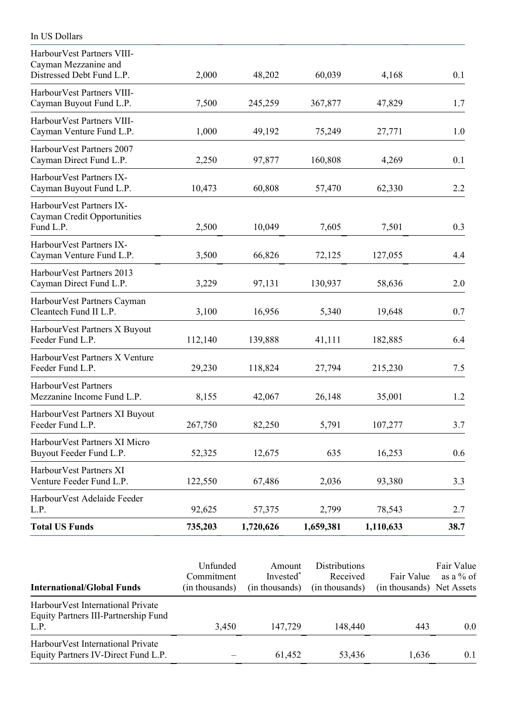| <b>Total US Funds</b>                                                           | 735,203 | 1,720,626 | 1,659,381 | 1,110,633 | 38.7 |
|---------------------------------------------------------------------------------|---------|-----------|-----------|-----------|------|
| HarbourVest Adelaide Feeder<br>L.P.                                             | 92,625  | 57,375    | 2,799     | 78,543    | 2.7  |
| HarbourVest Partners XI<br>Venture Feeder Fund L.P.                             | 122,550 | 67,486    | 2,036     | 93,380    | 3.3  |
| HarbourVest Partners XI Micro<br>Buyout Feeder Fund L.P.                        | 52,325  | 12,675    | 635       | 16,253    | 0.6  |
| HarbourVest Partners XI Buyout<br>Feeder Fund L.P.                              | 267,750 | 82,250    | 5,791     | 107,277   | 3.7  |
| Harbour Vest Partners<br>Mezzanine Income Fund L.P.                             | 8,155   | 42,067    | 26,148    | 35,001    | 1.2  |
| HarbourVest Partners X Venture<br>Feeder Fund L.P.                              | 29,230  | 118,824   | 27,794    | 215,230   | 7.5  |
| HarbourVest Partners X Buyout<br>Feeder Fund L.P.                               | 112,140 | 139,888   | 41,111    | 182,885   | 6.4  |
| HarbourVest Partners Cayman<br>Cleantech Fund II L.P.                           | 3,100   | 16,956    | 5,340     | 19,648    | 0.7  |
| Harbour Vest Partners 2013<br>Cayman Direct Fund L.P.                           | 3,229   | 97,131    | 130,937   | 58,636    | 2.0  |
| HarbourVest Partners IX-<br>Cayman Venture Fund L.P.                            | 3,500   | 66,826    | 72,125    | 127,055   | 4.4  |
| HarbourVest Partners IX-<br>Cayman Credit Opportunities<br>Fund L.P.            | 2,500   | 10,049    | 7,605     | 7,501     | 0.3  |
| HarbourVest Partners IX-<br>Cayman Buyout Fund L.P.                             | 10,473  | 60,808    | 57,470    | 62,330    | 2.2  |
| HarbourVest Partners 2007<br>Cayman Direct Fund L.P.                            | 2,250   | 97,877    | 160,808   | 4,269     | 0.1  |
| HarbourVest Partners VIII-<br>Cayman Venture Fund L.P.                          | 1,000   | 49,192    | 75,249    | 27,771    | 1.0  |
| HarbourVest Partners VIII-<br>Cayman Buyout Fund L.P.                           | 7,500   | 245,259   | 367,877   | 47,829    | 1.7  |
| HarbourVest Partners VIII-<br>Cayman Mezzanine and<br>Distressed Debt Fund L.P. | 2,000   | 48,202    | 60,039    | 4,168     | 0.1  |
| In US Dollars                                                                   |         |           |           |           |      |

| <b>International/Global Funds</b>                                                  | Unfunded<br>Commitment<br>(in thousands) | Amount<br>Invested <sup>*</sup><br>(in thousands) | <b>Distributions</b><br>Received<br>(in thousands) | Fair Value<br>(in thousands) Net Assets | Fair Value<br>as a % of |
|------------------------------------------------------------------------------------|------------------------------------------|---------------------------------------------------|----------------------------------------------------|-----------------------------------------|-------------------------|
| Harbour Vest International Private<br>Equity Partners III-Partnership Fund<br>L.P. | 3,450                                    | 147,729                                           | 148,440                                            | 443                                     | 0.0                     |
| Harbour Vest International Private<br>Equity Partners IV-Direct Fund L.P.          |                                          | 61,452                                            | 53,436                                             | 1,636                                   | 0.1                     |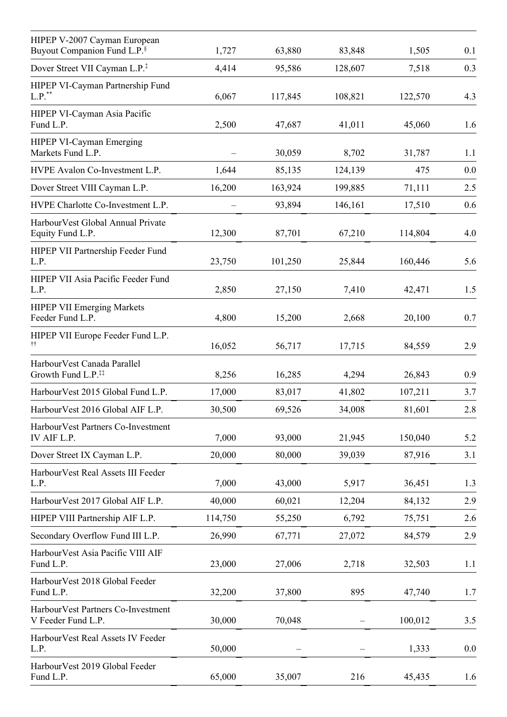| HIPEP V-2007 Cayman European<br>Buyout Companion Fund L.P. <sup>§</sup> | 1,727   | 63,880  | 83,848  | 1,505   | 0.1 |
|-------------------------------------------------------------------------|---------|---------|---------|---------|-----|
| Dover Street VII Cayman L.P. <sup>‡</sup>                               | 4,414   | 95,586  | 128,607 | 7,518   | 0.3 |
| HIPEP VI-Cayman Partnership Fund<br>$L.P.**$                            | 6,067   | 117,845 | 108,821 | 122,570 | 4.3 |
| HIPEP VI-Cayman Asia Pacific<br>Fund L.P.                               | 2,500   | 47,687  | 41,011  | 45,060  | 1.6 |
| <b>HIPEP VI-Cayman Emerging</b><br>Markets Fund L.P.                    |         | 30,059  | 8,702   | 31,787  | 1.1 |
| HVPE Avalon Co-Investment L.P.                                          | 1,644   | 85,135  | 124,139 | 475     | 0.0 |
| Dover Street VIII Cayman L.P.                                           | 16,200  | 163,924 | 199,885 | 71,111  | 2.5 |
| HVPE Charlotte Co-Investment L.P.                                       |         | 93,894  | 146,161 | 17,510  | 0.6 |
| HarbourVest Global Annual Private<br>Equity Fund L.P.                   | 12,300  | 87,701  | 67,210  | 114,804 | 4.0 |
| HIPEP VII Partnership Feeder Fund<br>L.P.                               | 23,750  | 101,250 | 25,844  | 160,446 | 5.6 |
| HIPEP VII Asia Pacific Feeder Fund<br>L.P.                              | 2,850   | 27,150  | 7,410   | 42,471  | 1.5 |
| <b>HIPEP VII Emerging Markets</b><br>Feeder Fund L.P.                   | 4,800   | 15,200  | 2,668   | 20,100  | 0.7 |
| HIPEP VII Europe Feeder Fund L.P.<br>††                                 | 16,052  | 56,717  | 17,715  | 84,559  | 2.9 |
| HarbourVest Canada Parallel<br>Growth Fund L.P. <sup>‡‡</sup>           | 8,256   | 16,285  | 4,294   | 26,843  | 0.9 |
| HarbourVest 2015 Global Fund L.P.                                       | 17,000  | 83,017  | 41,802  | 107,211 | 3.7 |
| HarbourVest 2016 Global AIF L.P.                                        | 30,500  | 69,526  | 34,008  | 81,601  | 2.8 |
| HarbourVest Partners Co-Investment<br>IV AIF L.P.                       | 7,000   | 93,000  | 21,945  | 150,040 | 5.2 |
| Dover Street IX Cayman L.P.                                             | 20,000  | 80,000  | 39,039  | 87,916  | 3.1 |
| HarbourVest Real Assets III Feeder<br>L.P.                              | 7,000   | 43,000  | 5,917   | 36,451  | 1.3 |
| HarbourVest 2017 Global AIF L.P.                                        | 40,000  | 60,021  | 12,204  | 84,132  | 2.9 |
| HIPEP VIII Partnership AIF L.P.                                         | 114,750 | 55,250  | 6,792   | 75,751  | 2.6 |
| Secondary Overflow Fund III L.P.                                        | 26,990  | 67,771  | 27,072  | 84,579  | 2.9 |
| HarbourVest Asia Pacific VIII AIF<br>Fund L.P.                          | 23,000  | 27,006  | 2,718   | 32,503  | 1.1 |
| HarbourVest 2018 Global Feeder<br>Fund L.P.                             | 32,200  | 37,800  | 895     | 47,740  | 1.7 |
| HarbourVest Partners Co-Investment<br>V Feeder Fund L.P.                | 30,000  | 70,048  |         | 100,012 | 3.5 |
| HarbourVest Real Assets IV Feeder<br>L.P.                               | 50,000  |         |         | 1,333   | 0.0 |
| HarbourVest 2019 Global Feeder<br>Fund L.P.                             | 65,000  | 35,007  | 216     | 45,435  | 1.6 |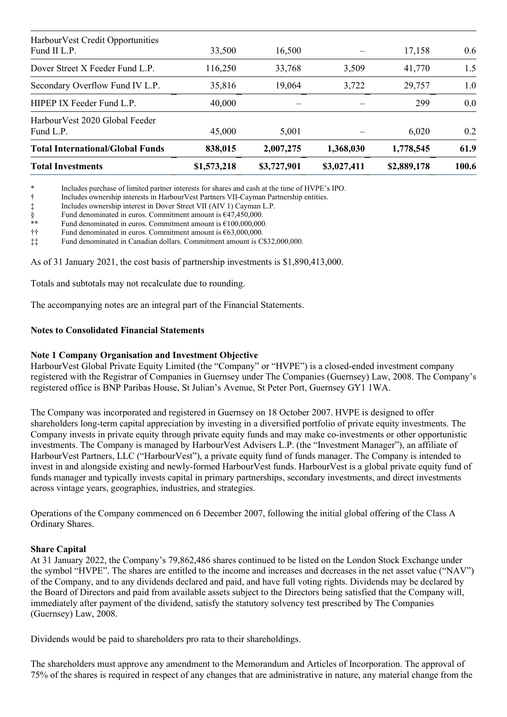| <b>Total Investments</b>                          | \$1,573,218 | \$3,727,901 | \$3,027,411 | \$2,889,178 | 100.6 |
|---------------------------------------------------|-------------|-------------|-------------|-------------|-------|
| <b>Total International/Global Funds</b>           | 838,015     | 2,007,275   | 1,368,030   | 1,778,545   | 61.9  |
| Harbour Vest 2020 Global Feeder<br>Fund L.P.      | 45,000      | 5,001       |             | 6,020       | 0.2   |
| HIPEP IX Feeder Fund L.P.                         | 40,000      |             |             | 299         | 0.0   |
| Secondary Overflow Fund IV L.P.                   | 35,816      | 19,064      | 3,722       | 29,757      | 1.0   |
| Dover Street X Feeder Fund L.P.                   | 116,250     | 33,768      | 3,509       | 41,770      | 1.5   |
| Harbour Vest Credit Opportunities<br>Fund II L.P. | 33,500      | 16,500      |             | 17,158      | 0.6   |

\* Includes purchase of limited partner interests for shares and cash at the time of HVPE's IPO.<br>
† Includes ownership interests in HarbourVest Partners VII-Cayman Partnership entities.<br>
† Includes ownership interest in Dov

† Includes ownership interests in HarbourVest Partners VII-Cayman Partnership entities.

Includes ownership interest in Dover Street VII (AIV 1) Cayman L.P.

Fund denominated in euros. Commitment amount is  $€47,450,000$ .

\*\* Fund denominated in euros. Commitment amount is €100,000,000.<br>
†† Fund denominated in euros. Commitment amount is €63,000,000. Fund denominated in euros. Commitment amount is  $€63,000,000$ .

‡‡ Fund denominated in Canadian dollars. Commitment amount is C\$32,000,000.

As of 31 January 2021, the cost basis of partnership investments is \$1,890,413,000.

Totals and subtotals may not recalculate due to rounding.

The accompanying notes are an integral part of the Financial Statements.

#### **Notes to Consolidated Financial Statements**

#### **Note 1 Company Organisation and Investment Objective**

HarbourVest Global Private Equity Limited (the "Company" or "HVPE") is a closed-ended investment company registered with the Registrar of Companies in Guernsey under The Companies (Guernsey) Law, 2008. The Company's registered office is BNP Paribas House, St Julian's Avenue, St Peter Port, Guernsey GY1 1WA.

The Company was incorporated and registered in Guernsey on 18 October 2007. HVPE is designed to offer shareholders long-term capital appreciation by investing in a diversified portfolio of private equity investments. The Company invests in private equity through private equity funds and may make co-investments or other opportunistic investments. The Company is managed by HarbourVest Advisers L.P. (the "Investment Manager"), an affiliate of HarbourVest Partners, LLC ("HarbourVest"), a private equity fund of funds manager. The Company is intended to invest in and alongside existing and newly-formed HarbourVest funds. HarbourVest is a global private equity fund of funds manager and typically invests capital in primary partnerships, secondary investments, and direct investments across vintage years, geographies, industries, and strategies.

Operations of the Company commenced on 6 December 2007, following the initial global offering of the Class A Ordinary Shares.

#### **Share Capital**

At 31 January 2022, the Company's 79,862,486 shares continued to be listed on the London Stock Exchange under the symbol "HVPE". The shares are entitled to the income and increases and decreases in the net asset value ("NAV") of the Company, and to any dividends declared and paid, and have full voting rights. Dividends may be declared by the Board of Directors and paid from available assets subject to the Directors being satisfied that the Company will, immediately after payment of the dividend, satisfy the statutory solvency test prescribed by The Companies (Guernsey) Law, 2008.

Dividends would be paid to shareholders pro rata to their shareholdings.

The shareholders must approve any amendment to the Memorandum and Articles of Incorporation. The approval of 75% of the shares is required in respect of any changes that are administrative in nature, any material change from the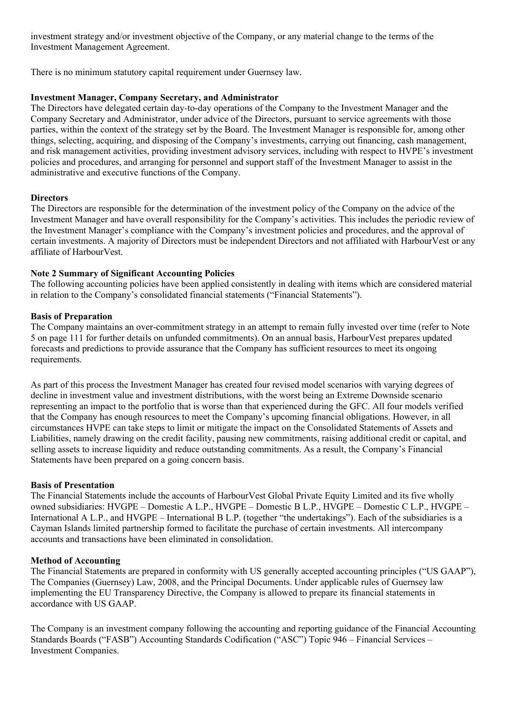investment strategy and/or investment objective of the Company, or any material change to the terms of the Investment Management Agreement.

There is no minimum statutory capital requirement under Guernsey law.

#### **Investment Manager, Company Secretary, and Administrator**

The Directors have delegated certain day-to-day operations of the Company to the Investment Manager and the Company Secretary and Administrator, under advice of the Directors, pursuant to service agreements with those parties, within the context of the strategy set by the Board. The Investment Manager is responsible for, among other things, selecting, acquiring, and disposing of the Company's investments, carrying out financing, cash management, and risk management activities, providing investment advisory services, including with respect to HVPE's investment policies and procedures, and arranging for personnel and support staff of the Investment Manager to assist in the administrative and executive functions of the Company.

## **Directors**

The Directors are responsible for the determination of the investment policy of the Company on the advice of the Investment Manager and have overall responsibility for the Company's activities. This includes the periodic review of the Investment Manager's compliance with the Company's investment policies and procedures, and the approval of certain investments. A majority of Directors must be independent Directors and not affiliated with HarbourVest or any affiliate of HarbourVest.

## **Note 2 Summary of Significant Accounting Policies**

The following accounting policies have been applied consistently in dealing with items which are considered material in relation to the Company's consolidated financial statements ("Financial Statements").

## **Basis of Preparation**

The Company maintains an over-commitment strategy in an attempt to remain fully invested over time (refer to Note 5 on page 111 for further details on unfunded commitments). On an annual basis, HarbourVest prepares updated forecasts and predictions to provide assurance that the Company has sufficient resources to meet its ongoing requirements.

As part of this process the Investment Manager has created four revised model scenarios with varying degrees of decline in investment value and investment distributions, with the worst being an Extreme Downside scenario representing an impact to the portfolio that is worse than that experienced during the GFC. All four models verified that the Company has enough resources to meet the Company's upcoming financial obligations. However, in all circumstances HVPE can take steps to limit or mitigate the impact on the Consolidated Statements of Assets and Liabilities, namely drawing on the credit facility, pausing new commitments, raising additional credit or capital, and selling assets to increase liquidity and reduce outstanding commitments. As a result, the Company's Financial Statements have been prepared on a going concern basis.

## **Basis of Presentation**

The Financial Statements include the accounts of HarbourVest Global Private Equity Limited and its five wholly owned subsidiaries: HVGPE – Domestic A L.P., HVGPE – Domestic B L.P., HVGPE – Domestic C L.P., HVGPE – International A L.P., and HVGPE – International B L.P. (together "the undertakings"). Each of the subsidiaries is a Cayman Islands limited partnership formed to facilitate the purchase of certain investments. All intercompany accounts and transactions have been eliminated in consolidation.

## **Method of Accounting**

The Financial Statements are prepared in conformity with US generally accepted accounting principles ("US GAAP"), The Companies (Guernsey) Law, 2008, and the Principal Documents. Under applicable rules of Guernsey law implementing the EU Transparency Directive, the Company is allowed to prepare its financial statements in accordance with US GAAP.

The Company is an investment company following the accounting and reporting guidance of the Financial Accounting Standards Boards ("FASB") Accounting Standards Codification ("ASC") Topic 946 – Financial Services – Investment Companies.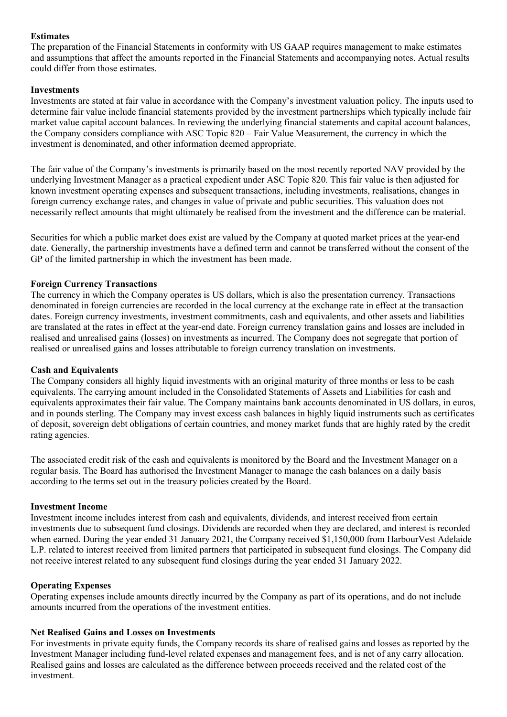#### **Estimates**

The preparation of the Financial Statements in conformity with US GAAP requires management to make estimates and assumptions that affect the amounts reported in the Financial Statements and accompanying notes. Actual results could differ from those estimates.

## **Investments**

Investments are stated at fair value in accordance with the Company's investment valuation policy. The inputs used to determine fair value include financial statements provided by the investment partnerships which typically include fair market value capital account balances. In reviewing the underlying financial statements and capital account balances, the Company considers compliance with ASC Topic 820 – Fair Value Measurement, the currency in which the investment is denominated, and other information deemed appropriate.

The fair value of the Company's investments is primarily based on the most recently reported NAV provided by the underlying Investment Manager as a practical expedient under ASC Topic 820. This fair value is then adjusted for known investment operating expenses and subsequent transactions, including investments, realisations, changes in foreign currency exchange rates, and changes in value of private and public securities. This valuation does not necessarily reflect amounts that might ultimately be realised from the investment and the difference can be material.

Securities for which a public market does exist are valued by the Company at quoted market prices at the year-end date. Generally, the partnership investments have a defined term and cannot be transferred without the consent of the GP of the limited partnership in which the investment has been made.

## **Foreign Currency Transactions**

The currency in which the Company operates is US dollars, which is also the presentation currency. Transactions denominated in foreign currencies are recorded in the local currency at the exchange rate in effect at the transaction dates. Foreign currency investments, investment commitments, cash and equivalents, and other assets and liabilities are translated at the rates in effect at the year-end date. Foreign currency translation gains and losses are included in realised and unrealised gains (losses) on investments as incurred. The Company does not segregate that portion of realised or unrealised gains and losses attributable to foreign currency translation on investments.

## **Cash and Equivalents**

The Company considers all highly liquid investments with an original maturity of three months or less to be cash equivalents. The carrying amount included in the Consolidated Statements of Assets and Liabilities for cash and equivalents approximates their fair value. The Company maintains bank accounts denominated in US dollars, in euros, and in pounds sterling. The Company may invest excess cash balances in highly liquid instruments such as certificates of deposit, sovereign debt obligations of certain countries, and money market funds that are highly rated by the credit rating agencies.

The associated credit risk of the cash and equivalents is monitored by the Board and the Investment Manager on a regular basis. The Board has authorised the Investment Manager to manage the cash balances on a daily basis according to the terms set out in the treasury policies created by the Board.

## **Investment Income**

Investment income includes interest from cash and equivalents, dividends, and interest received from certain investments due to subsequent fund closings. Dividends are recorded when they are declared, and interest is recorded when earned. During the year ended 31 January 2021, the Company received \$1,150,000 from HarbourVest Adelaide L.P. related to interest received from limited partners that participated in subsequent fund closings. The Company did not receive interest related to any subsequent fund closings during the year ended 31 January 2022.

## **Operating Expenses**

Operating expenses include amounts directly incurred by the Company as part of its operations, and do not include amounts incurred from the operations of the investment entities.

## **Net Realised Gains and Losses on Investments**

For investments in private equity funds, the Company records its share of realised gains and losses as reported by the Investment Manager including fund-level related expenses and management fees, and is net of any carry allocation. Realised gains and losses are calculated as the difference between proceeds received and the related cost of the investment.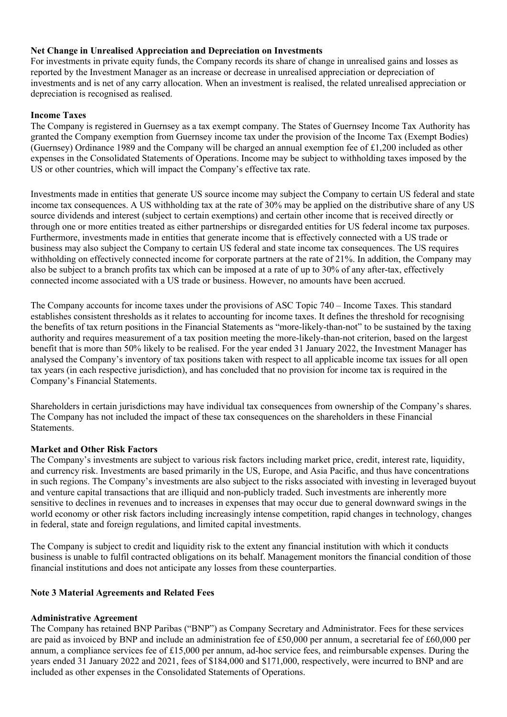## **Net Change in Unrealised Appreciation and Depreciation on Investments**

For investments in private equity funds, the Company records its share of change in unrealised gains and losses as reported by the Investment Manager as an increase or decrease in unrealised appreciation or depreciation of investments and is net of any carry allocation. When an investment is realised, the related unrealised appreciation or depreciation is recognised as realised.

## **Income Taxes**

The Company is registered in Guernsey as a tax exempt company. The States of Guernsey Income Tax Authority has granted the Company exemption from Guernsey income tax under the provision of the Income Tax (Exempt Bodies) (Guernsey) Ordinance 1989 and the Company will be charged an annual exemption fee of £1,200 included as other expenses in the Consolidated Statements of Operations. Income may be subject to withholding taxes imposed by the US or other countries, which will impact the Company's effective tax rate.

Investments made in entities that generate US source income may subject the Company to certain US federal and state income tax consequences. A US withholding tax at the rate of 30% may be applied on the distributive share of any US source dividends and interest (subject to certain exemptions) and certain other income that is received directly or through one or more entities treated as either partnerships or disregarded entities for US federal income tax purposes. Furthermore, investments made in entities that generate income that is effectively connected with a US trade or business may also subject the Company to certain US federal and state income tax consequences. The US requires withholding on effectively connected income for corporate partners at the rate of 21%. In addition, the Company may also be subject to a branch profits tax which can be imposed at a rate of up to 30% of any after-tax, effectively connected income associated with a US trade or business. However, no amounts have been accrued.

The Company accounts for income taxes under the provisions of ASC Topic 740 – Income Taxes. This standard establishes consistent thresholds as it relates to accounting for income taxes. It defines the threshold for recognising the benefits of tax return positions in the Financial Statements as "more-likely-than-not" to be sustained by the taxing authority and requires measurement of a tax position meeting the more-likely-than-not criterion, based on the largest benefit that is more than 50% likely to be realised. For the year ended 31 January 2022, the Investment Manager has analysed the Company's inventory of tax positions taken with respect to all applicable income tax issues for all open tax years (in each respective jurisdiction), and has concluded that no provision for income tax is required in the Company's Financial Statements.

Shareholders in certain jurisdictions may have individual tax consequences from ownership of the Company's shares. The Company has not included the impact of these tax consequences on the shareholders in these Financial Statements.

## **Market and Other Risk Factors**

The Company's investments are subject to various risk factors including market price, credit, interest rate, liquidity, and currency risk. Investments are based primarily in the US, Europe, and Asia Pacific, and thus have concentrations in such regions. The Company's investments are also subject to the risks associated with investing in leveraged buyout and venture capital transactions that are illiquid and non-publicly traded. Such investments are inherently more sensitive to declines in revenues and to increases in expenses that may occur due to general downward swings in the world economy or other risk factors including increasingly intense competition, rapid changes in technology, changes in federal, state and foreign regulations, and limited capital investments.

The Company is subject to credit and liquidity risk to the extent any financial institution with which it conducts business is unable to fulfil contracted obligations on its behalf. Management monitors the financial condition of those financial institutions and does not anticipate any losses from these counterparties.

## **Note 3 Material Agreements and Related Fees**

## **Administrative Agreement**

The Company has retained BNP Paribas ("BNP") as Company Secretary and Administrator. Fees for these services are paid as invoiced by BNP and include an administration fee of £50,000 per annum, a secretarial fee of £60,000 per annum, a compliance services fee of £15,000 per annum, ad-hoc service fees, and reimbursable expenses. During the years ended 31 January 2022 and 2021, fees of \$184,000 and \$171,000, respectively, were incurred to BNP and are included as other expenses in the Consolidated Statements of Operations.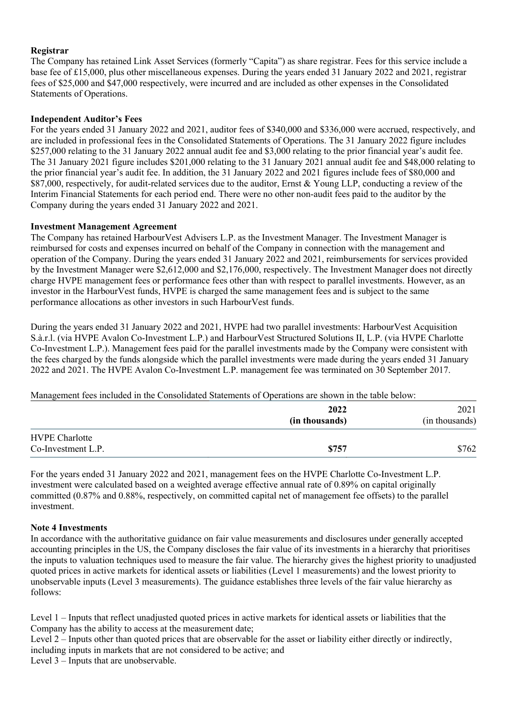## **Registrar**

The Company has retained Link Asset Services (formerly "Capita") as share registrar. Fees for this service include a base fee of £15,000, plus other miscellaneous expenses. During the years ended 31 January 2022 and 2021, registrar fees of \$25,000 and \$47,000 respectively, were incurred and are included as other expenses in the Consolidated Statements of Operations.

## **Independent Auditor's Fees**

For the years ended 31 January 2022 and 2021, auditor fees of \$340,000 and \$336,000 were accrued, respectively, and are included in professional fees in the Consolidated Statements of Operations. The 31 January 2022 figure includes \$257,000 relating to the 31 January 2022 annual audit fee and \$3,000 relating to the prior financial year's audit fee. The 31 January 2021 figure includes \$201,000 relating to the 31 January 2021 annual audit fee and \$48,000 relating to the prior financial year's audit fee. In addition, the 31 January 2022 and 2021 figures include fees of \$80,000 and \$87,000, respectively, for audit-related services due to the auditor, Ernst & Young LLP, conducting a review of the Interim Financial Statements for each period end. There were no other non-audit fees paid to the auditor by the Company during the years ended 31 January 2022 and 2021.

## **Investment Management Agreement**

The Company has retained HarbourVest Advisers L.P. as the Investment Manager. The Investment Manager is reimbursed for costs and expenses incurred on behalf of the Company in connection with the management and operation of the Company. During the years ended 31 January 2022 and 2021, reimbursements for services provided by the Investment Manager were \$2,612,000 and \$2,176,000, respectively. The Investment Manager does not directly charge HVPE management fees or performance fees other than with respect to parallel investments. However, as an investor in the HarbourVest funds, HVPE is charged the same management fees and is subject to the same performance allocations as other investors in such HarbourVest funds.

During the years ended 31 January 2022 and 2021, HVPE had two parallel investments: HarbourVest Acquisition S.à.r.l. (via HVPE Avalon Co-Investment L.P.) and HarbourVest Structured Solutions II, L.P. (via HVPE Charlotte Co-Investment L.P.). Management fees paid for the parallel investments made by the Company were consistent with the fees charged by the funds alongside which the parallel investments were made during the years ended 31 January 2022 and 2021. The HVPE Avalon Co-Investment L.P. management fee was terminated on 30 September 2017.

Management fees included in the Consolidated Statements of Operations are shown in the table below:

|                                             | 2022<br>(in thousands) | 2021<br>(in thousands) |
|---------------------------------------------|------------------------|------------------------|
| <b>HVPE Charlotte</b><br>Co-Investment L.P. | \$757                  | \$762                  |

For the years ended 31 January 2022 and 2021, management fees on the HVPE Charlotte Co-Investment L.P. investment were calculated based on a weighted average effective annual rate of 0.89% on capital originally committed (0.87% and 0.88%, respectively, on committed capital net of management fee offsets) to the parallel investment.

#### **Note 4 Investments**

In accordance with the authoritative guidance on fair value measurements and disclosures under generally accepted accounting principles in the US, the Company discloses the fair value of its investments in a hierarchy that prioritises the inputs to valuation techniques used to measure the fair value. The hierarchy gives the highest priority to unadjusted quoted prices in active markets for identical assets or liabilities (Level 1 measurements) and the lowest priority to unobservable inputs (Level 3 measurements). The guidance establishes three levels of the fair value hierarchy as follows:

Level 1 – Inputs that reflect unadjusted quoted prices in active markets for identical assets or liabilities that the Company has the ability to access at the measurement date;

Level 2 – Inputs other than quoted prices that are observable for the asset or liability either directly or indirectly, including inputs in markets that are not considered to be active; and

Level 3 – Inputs that are unobservable.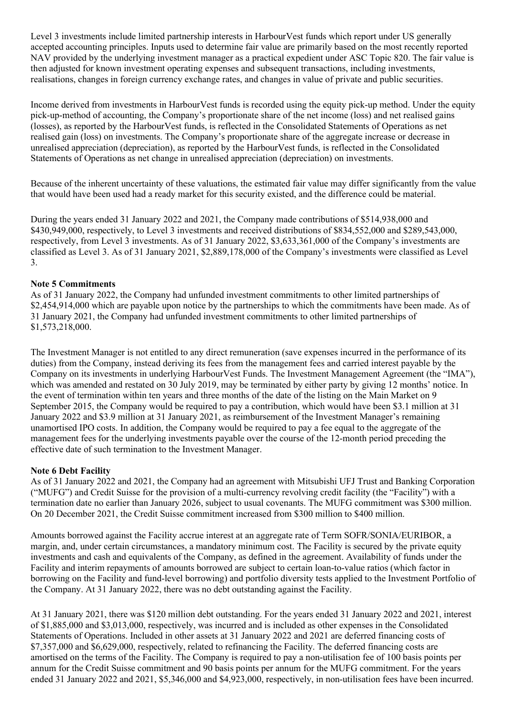Level 3 investments include limited partnership interests in HarbourVest funds which report under US generally accepted accounting principles. Inputs used to determine fair value are primarily based on the most recently reported NAV provided by the underlying investment manager as a practical expedient under ASC Topic 820. The fair value is then adjusted for known investment operating expenses and subsequent transactions, including investments, realisations, changes in foreign currency exchange rates, and changes in value of private and public securities.

Income derived from investments in HarbourVest funds is recorded using the equity pick-up method. Under the equity pick-up-method of accounting, the Company's proportionate share of the net income (loss) and net realised gains (losses), as reported by the HarbourVest funds, is reflected in the Consolidated Statements of Operations as net realised gain (loss) on investments. The Company's proportionate share of the aggregate increase or decrease in unrealised appreciation (depreciation), as reported by the HarbourVest funds, is reflected in the Consolidated Statements of Operations as net change in unrealised appreciation (depreciation) on investments.

Because of the inherent uncertainty of these valuations, the estimated fair value may differ significantly from the value that would have been used had a ready market for this security existed, and the difference could be material.

During the years ended 31 January 2022 and 2021, the Company made contributions of \$514,938,000 and \$430,949,000, respectively, to Level 3 investments and received distributions of \$834,552,000 and \$289,543,000, respectively, from Level 3 investments. As of 31 January 2022, \$3,633,361,000 of the Company's investments are classified as Level 3. As of 31 January 2021, \$2,889,178,000 of the Company's investments were classified as Level 3.

## **Note 5 Commitments**

As of 31 January 2022, the Company had unfunded investment commitments to other limited partnerships of \$2,454,914,000 which are payable upon notice by the partnerships to which the commitments have been made. As of 31 January 2021, the Company had unfunded investment commitments to other limited partnerships of \$1,573,218,000.

The Investment Manager is not entitled to any direct remuneration (save expenses incurred in the performance of its duties) from the Company, instead deriving its fees from the management fees and carried interest payable by the Company on its investments in underlying HarbourVest Funds. The Investment Management Agreement (the "IMA"), which was amended and restated on 30 July 2019, may be terminated by either party by giving 12 months' notice. In the event of termination within ten years and three months of the date of the listing on the Main Market on 9 September 2015, the Company would be required to pay a contribution, which would have been \$3.1 million at 31 January 2022 and \$3.9 million at 31 January 2021, as reimbursement of the Investment Manager's remaining unamortised IPO costs. In addition, the Company would be required to pay a fee equal to the aggregate of the management fees for the underlying investments payable over the course of the 12-month period preceding the effective date of such termination to the Investment Manager.

#### **Note 6 Debt Facility**

As of 31 January 2022 and 2021, the Company had an agreement with Mitsubishi UFJ Trust and Banking Corporation ("MUFG") and Credit Suisse for the provision of a multi-currency revolving credit facility (the "Facility") with a termination date no earlier than January 2026, subject to usual covenants. The MUFG commitment was \$300 million. On 20 December 2021, the Credit Suisse commitment increased from \$300 million to \$400 million.

Amounts borrowed against the Facility accrue interest at an aggregate rate of Term SOFR/SONIA/EURIBOR, a margin, and, under certain circumstances, a mandatory minimum cost. The Facility is secured by the private equity investments and cash and equivalents of the Company, as defined in the agreement. Availability of funds under the Facility and interim repayments of amounts borrowed are subject to certain loan-to-value ratios (which factor in borrowing on the Facility and fund-level borrowing) and portfolio diversity tests applied to the Investment Portfolio of the Company. At 31 January 2022, there was no debt outstanding against the Facility.

At 31 January 2021, there was \$120 million debt outstanding. For the years ended 31 January 2022 and 2021, interest of \$1,885,000 and \$3,013,000, respectively, was incurred and is included as other expenses in the Consolidated Statements of Operations. Included in other assets at 31 January 2022 and 2021 are deferred financing costs of \$7,357,000 and \$6,629,000, respectively, related to refinancing the Facility. The deferred financing costs are amortised on the terms of the Facility. The Company is required to pay a non-utilisation fee of 100 basis points per annum for the Credit Suisse commitment and 90 basis points per annum for the MUFG commitment. For the years ended 31 January 2022 and 2021, \$5,346,000 and \$4,923,000, respectively, in non-utilisation fees have been incurred.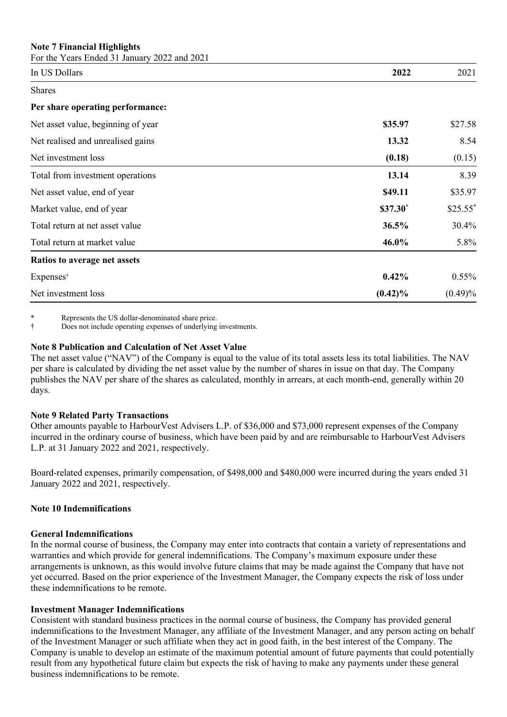#### **Note 7 Financial Highlights**

 $\frac{5}{4}$  S  $\frac{3}{2}$   $\frac{3}{2}$   $\frac{3}{2}$   $\frac{3}{2}$   $\frac{3}{2}$   $\frac{3}{2}$   $\frac{3}{2}$   $\frac{3}{2}$   $\frac{3}{2}$   $\frac{3}{2}$   $\frac{3}{2}$   $\frac{3}{2}$   $\frac{3}{2}$   $\frac{3}{2}$   $\frac{3}{2}$   $\frac{3}{2}$   $\frac{3}{2}$   $\frac{3}{2}$   $\frac{3}{2}$   $\frac{3}{2}$   $\frac{3}{2}$ 

| For the Years Ended 31 January 2022 and 2021 |            |            |
|----------------------------------------------|------------|------------|
| In US Dollars                                | 2022       | 2021       |
| <b>Shares</b>                                |            |            |
| Per share operating performance:             |            |            |
| Net asset value, beginning of year           | \$35.97    | \$27.58    |
| Net realised and unrealised gains            | 13.32      | 8.54       |
| Net investment loss                          | (0.18)     | (0.15)     |
| Total from investment operations             | 13.14      | 8.39       |
| Net asset value, end of year                 | \$49.11    | \$35.97    |
| Market value, end of year                    | $$37.30^*$ | $$25.55^*$ |
| Total return at net asset value              | 36.5%      | 30.4%      |
| Total return at market value                 | 46.0%      | 5.8%       |
| Ratios to average net assets                 |            |            |
| Expenses <sup>†</sup>                        | 0.42%      | $0.55\%$   |
| Net investment loss                          | $(0.42)\%$ | $(0.49)\%$ |

Represents the US dollar-denominated share price.

† Does not include operating expenses of underlying investments.

#### **Note 8 Publication and Calculation of Net Asset Value**

The net asset value ("NAV") of the Company is equal to the value of its total assets less its total liabilities. The NAV per share is calculated by dividing the net asset value by the number of shares in issue on that day. The Company publishes the NAV per share of the shares as calculated, monthly in arrears, at each month-end, generally within 20 days.

#### **Note 9 Related Party Transactions**

Other amounts payable to HarbourVest Advisers L.P. of \$36,000 and \$73,000 represent expenses of the Company incurred in the ordinary course of business, which have been paid by and are reimbursable to HarbourVest Advisers L.P. at 31 January 2022 and 2021, respectively.

Board-related expenses, primarily compensation, of \$498,000 and \$480,000 were incurred during the years ended 31 January 2022 and 2021, respectively.

#### **Note 10 Indemnifications**

#### **General Indemnifications**

In the normal course of business, the Company may enter into contracts that contain a variety of representations and warranties and which provide for general indemnifications. The Company's maximum exposure under these arrangements is unknown, as this would involve future claims that may be made against the Company that have not yet occurred. Based on the prior experience of the Investment Manager, the Company expects the risk of loss under these indemnifications to be remote.

#### **Investment Manager Indemnifications**

Consistent with standard business practices in the normal course of business, the Company has provided general indemnifications to the Investment Manager, any affiliate of the Investment Manager, and any person acting on behalf of the Investment Manager or such affiliate when they act in good faith, in the best interest of the Company. The Company is unable to develop an estimate of the maximum potential amount of future payments that could potentially result from any hypothetical future claim but expects the risk of having to make any payments under these general business indemnifications to be remote.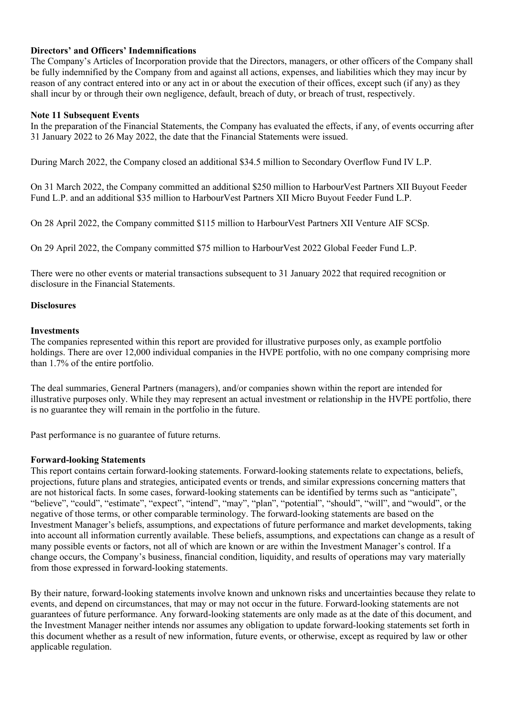## **Directors' and Officers' Indemnifications**

The Company's Articles of Incorporation provide that the Directors, managers, or other officers of the Company shall be fully indemnified by the Company from and against all actions, expenses, and liabilities which they may incur by reason of any contract entered into or any act in or about the execution of their offices, except such (if any) as they shall incur by or through their own negligence, default, breach of duty, or breach of trust, respectively.

#### **Note 11 Subsequent Events**

In the preparation of the Financial Statements, the Company has evaluated the effects, if any, of events occurring after 31 January 2022 to 26 May 2022, the date that the Financial Statements were issued.

During March 2022, the Company closed an additional \$34.5 million to Secondary Overflow Fund IV L.P.

On 31 March 2022, the Company committed an additional \$250 million to HarbourVest Partners XII Buyout Feeder Fund L.P. and an additional \$35 million to HarbourVest Partners XII Micro Buyout Feeder Fund L.P.

On 28 April 2022, the Company committed \$115 million to HarbourVest Partners XII Venture AIF SCSp.

On 29 April 2022, the Company committed \$75 million to HarbourVest 2022 Global Feeder Fund L.P.

There were no other events or material transactions subsequent to 31 January 2022 that required recognition or disclosure in the Financial Statements.

#### **Disclosures**

#### **Investments**

The companies represented within this report are provided for illustrative purposes only, as example portfolio holdings. There are over 12,000 individual companies in the HVPE portfolio, with no one company comprising more than 1.7% of the entire portfolio.

The deal summaries, General Partners (managers), and/or companies shown within the report are intended for illustrative purposes only. While they may represent an actual investment or relationship in the HVPE portfolio, there is no guarantee they will remain in the portfolio in the future.

Past performance is no guarantee of future returns.

#### **Forward-looking Statements**

This report contains certain forward-looking statements. Forward-looking statements relate to expectations, beliefs, projections, future plans and strategies, anticipated events or trends, and similar expressions concerning matters that are not historical facts. In some cases, forward-looking statements can be identified by terms such as "anticipate", "believe", "could", "estimate", "expect", "intend", "may", "plan", "potential", "should", "will", and "would", or the negative of those terms, or other comparable terminology. The forward-looking statements are based on the Investment Manager's beliefs, assumptions, and expectations of future performance and market developments, taking into account all information currently available. These beliefs, assumptions, and expectations can change as a result of many possible events or factors, not all of which are known or are within the Investment Manager's control. If a change occurs, the Company's business, financial condition, liquidity, and results of operations may vary materially from those expressed in forward-looking statements.

By their nature, forward-looking statements involve known and unknown risks and uncertainties because they relate to events, and depend on circumstances, that may or may not occur in the future. Forward-looking statements are not guarantees of future performance. Any forward-looking statements are only made as at the date of this document, and the Investment Manager neither intends nor assumes any obligation to update forward-looking statements set forth in this document whether as a result of new information, future events, or otherwise, except as required by law or other applicable regulation.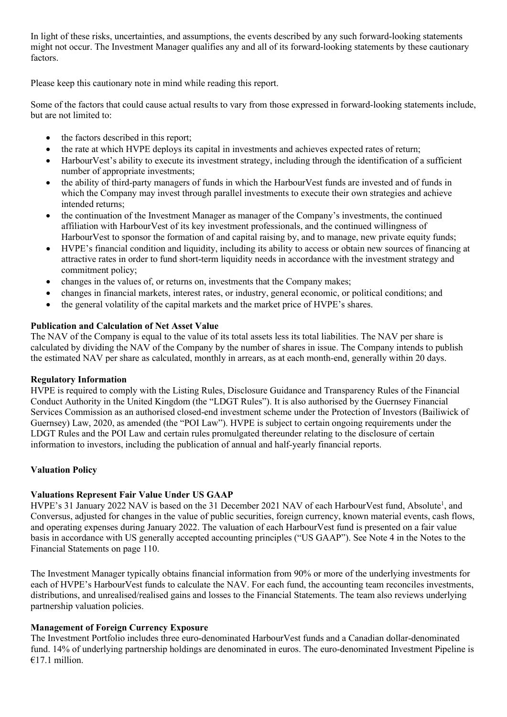In light of these risks, uncertainties, and assumptions, the events described by any such forward-looking statements might not occur. The Investment Manager qualifies any and all of its forward-looking statements by these cautionary factors.

Please keep this cautionary note in mind while reading this report.

Some of the factors that could cause actual results to vary from those expressed in forward-looking statements include, but are not limited to:

- the factors described in this report;
- the rate at which HVPE deploys its capital in investments and achieves expected rates of return;
- HarbourVest's ability to execute its investment strategy, including through the identification of a sufficient number of appropriate investments;
- the ability of third-party managers of funds in which the HarbourVest funds are invested and of funds in which the Company may invest through parallel investments to execute their own strategies and achieve intended returns;
- the continuation of the Investment Manager as manager of the Company's investments, the continued affiliation with HarbourVest of its key investment professionals, and the continued willingness of HarbourVest to sponsor the formation of and capital raising by, and to manage, new private equity funds;
- HVPE's financial condition and liquidity, including its ability to access or obtain new sources of financing at attractive rates in order to fund short-term liquidity needs in accordance with the investment strategy and commitment policy;
- changes in the values of, or returns on, investments that the Company makes;
- changes in financial markets, interest rates, or industry, general economic, or political conditions; and
- the general volatility of the capital markets and the market price of HVPE's shares.

## **Publication and Calculation of Net Asset Value**

The NAV of the Company is equal to the value of its total assets less its total liabilities. The NAV per share is calculated by dividing the NAV of the Company by the number of shares in issue. The Company intends to publish the estimated NAV per share as calculated, monthly in arrears, as at each month-end, generally within 20 days.

## **Regulatory Information**

HVPE is required to comply with the Listing Rules, Disclosure Guidance and Transparency Rules of the Financial Conduct Authority in the United Kingdom (the "LDGT Rules"). It is also authorised by the Guernsey Financial Services Commission as an authorised closed-end investment scheme under the Protection of Investors (Bailiwick of Guernsey) Law, 2020, as amended (the "POI Law"). HVPE is subject to certain ongoing requirements under the LDGT Rules and the POI Law and certain rules promulgated thereunder relating to the disclosure of certain information to investors, including the publication of annual and half-yearly financial reports.

## **Valuation Policy**

## **Valuations Represent Fair Value Under US GAAP**

HVPE's 31 January 2022 NAV is based on the 31 December 2021 NAV of each HarbourVest fund, Absolute<sup>1</sup>, and Conversus, adjusted for changes in the value of public securities, foreign currency, known material events, cash flows, and operating expenses during January 2022. The valuation of each HarbourVest fund is presented on a fair value basis in accordance with US generally accepted accounting principles ("US GAAP"). See Note 4 in the Notes to the Financial Statements on page 110.

The Investment Manager typically obtains financial information from 90% or more of the underlying investments for each of HVPE's HarbourVest funds to calculate the NAV. For each fund, the accounting team reconciles investments, distributions, and unrealised/realised gains and losses to the Financial Statements. The team also reviews underlying partnership valuation policies.

## **Management of Foreign Currency Exposure**

The Investment Portfolio includes three euro-denominated HarbourVest funds and a Canadian dollar-denominated fund. 14% of underlying partnership holdings are denominated in euros. The euro-denominated Investment Pipeline is €17.1 million.